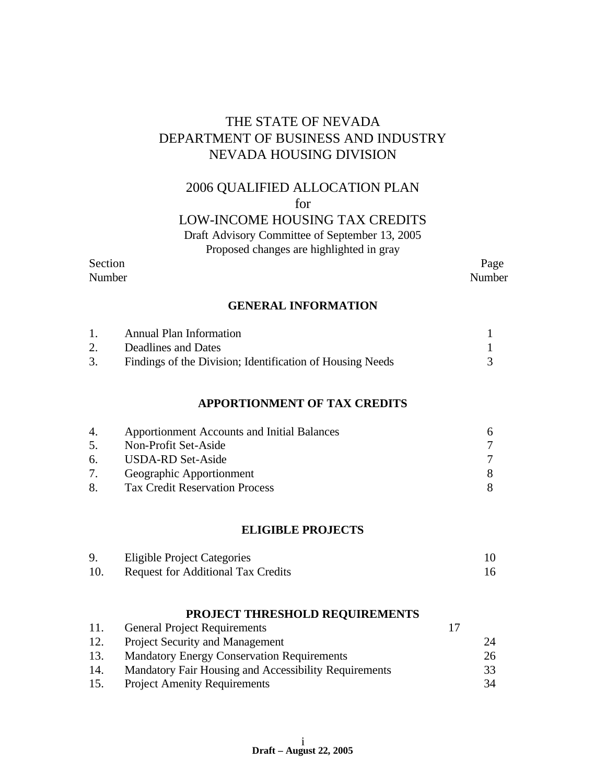# THE STATE OF NEVADA DEPARTMENT OF BUSINESS AND INDUSTRY NEVADA HOUSING DIVISION

# 2006 QUALIFIED ALLOCATION PLAN

for

# LOW-INCOME HOUSING TAX CREDITS

Draft Advisory Committee of September 13, 2005

Proposed changes are highlighted in gray

# Section Page

Number Number

#### **GENERAL INFORMATION**

|    | <b>Annual Plan Information</b>                            |  |
|----|-----------------------------------------------------------|--|
|    | Deadlines and Dates                                       |  |
| 3. | Findings of the Division; Identification of Housing Needs |  |

#### **APPORTIONMENT OF TAX CREDITS**

| 4. | <b>Apportionment Accounts and Initial Balances</b> | 6. |
|----|----------------------------------------------------|----|
| 5. | Non-Profit Set-Aside                               |    |
| 6. | USDA-RD Set-Aside                                  |    |
| 7. | Geographic Apportionment                           |    |
| 8. | <b>Tax Credit Reservation Process</b>              |    |

#### **ELIGIBLE PROJECTS**

| <b>Eligible Project Categories</b>        |  |
|-------------------------------------------|--|
| <b>Request for Additional Tax Credits</b> |  |

## **PROJECT THRESHOLD REQUIREMENTS**

| 11. | <b>General Project Requirements</b>                   |    |
|-----|-------------------------------------------------------|----|
| 12. | <b>Project Security and Management</b>                | 24 |
| 13. | <b>Mandatory Energy Conservation Requirements</b>     | 26 |
| 14. | Mandatory Fair Housing and Accessibility Requirements | 33 |
| 15. | <b>Project Amenity Requirements</b>                   | 34 |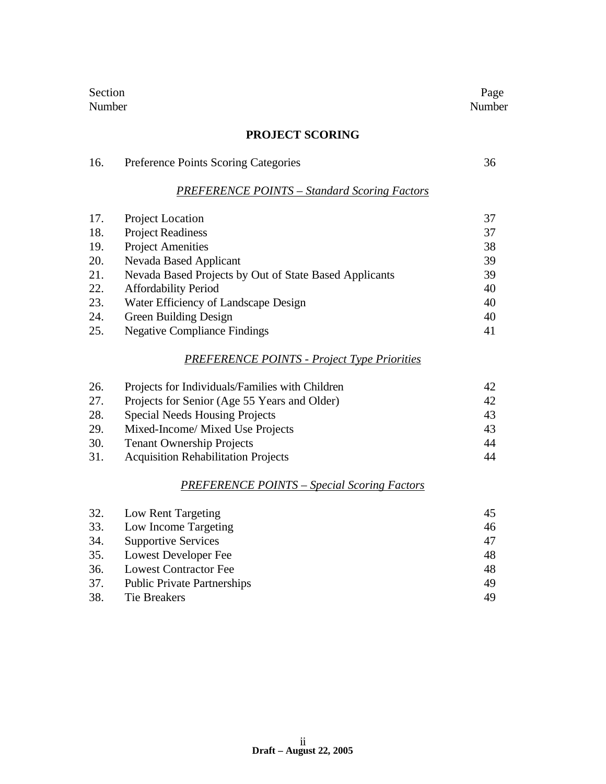| Section<br>Number |                                                        | Page<br>Number |
|-------------------|--------------------------------------------------------|----------------|
|                   | <b>PROJECT SCORING</b>                                 |                |
| 16.               | Preference Points Scoring Categories                   | 36             |
|                   | <b>PREFERENCE POINTS - Standard Scoring Factors</b>    |                |
| 17.               | <b>Project Location</b>                                | 37             |
| 18.               | <b>Project Readiness</b>                               | 37             |
| 19.               | <b>Project Amenities</b>                               | 38             |
| 20.               | Nevada Based Applicant                                 | 39             |
| 21.               | Nevada Based Projects by Out of State Based Applicants | 39             |
| 22.               | <b>Affordability Period</b>                            | 40             |

| 22.                                  |                      |
|--------------------------------------|----------------------|
| Water Efficiency of Landscape Design | 40                   |
| Green Building Design                | 40                   |
| Negative Compliance Findings         |                      |
|                                      | Affordability Period |

# *PREFERENCE POINTS - Project Type Priorities*

| 26.        | Projects for Individuals/Families with Children | 42 |
|------------|-------------------------------------------------|----|
| 27.        | Projects for Senior (Age 55 Years and Older)    | 42 |
| 28.        | <b>Special Needs Housing Projects</b>           | 43 |
| <b>29.</b> | Mixed-Income/ Mixed Use Projects                | 43 |
| 30.        | <b>Tenant Ownership Projects</b>                | 44 |
| 31.        | <b>Acquisition Rehabilitation Projects</b>      | 44 |

# *PREFERENCE POINTS – Special Scoring Factors*

|     | 32. Low Rent Targeting          | 45 |
|-----|---------------------------------|----|
|     | 33. Low Income Targeting        | 46 |
|     | 34. Supportive Services         | 47 |
|     | 35. Lowest Developer Fee        | 48 |
|     | 36. Lowest Contractor Fee       | 48 |
|     | 37. Public Private Partnerships | 49 |
| 38. | Tie Breakers                    | 49 |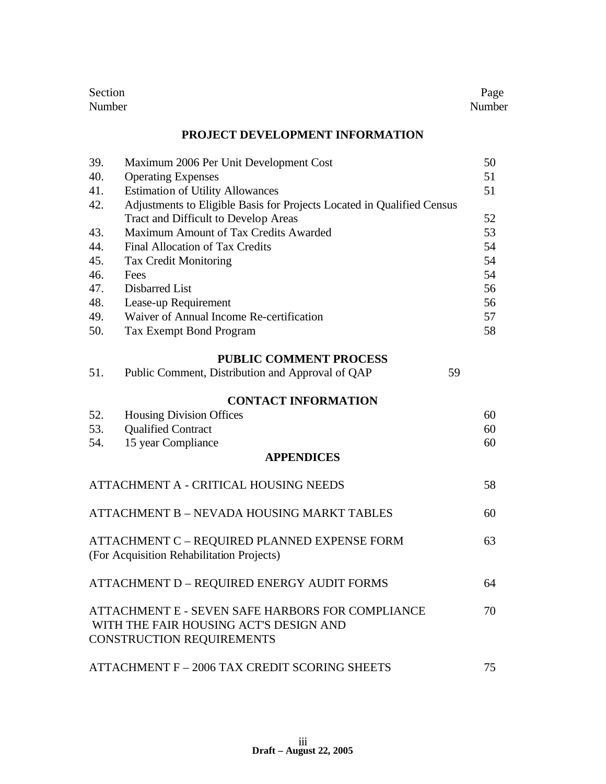| Section | Page   |
|---------|--------|
| Number  | Number |

#### **PROJECT DEVELOPMENT INFORMATION**

| 39. | Maximum 2006 Per Unit Development Cost                                 | 50 |
|-----|------------------------------------------------------------------------|----|
| 40. | <b>Operating Expenses</b>                                              | 51 |
| 41. | <b>Estimation of Utility Allowances</b>                                | 51 |
| 42. | Adjustments to Eligible Basis for Projects Located in Qualified Census |    |
|     | <b>Tract and Difficult to Develop Areas</b>                            | 52 |
| 43. | Maximum Amount of Tax Credits Awarded                                  | 53 |
| 44. | Final Allocation of Tax Credits                                        | 54 |
| 45. | <b>Tax Credit Monitoring</b>                                           | 54 |
| 46. | Fees                                                                   | 54 |
| 47. | Disbarred List                                                         | 56 |
| 48. | Lease-up Requirement                                                   | 56 |
| 49. | Waiver of Annual Income Re-certification                               | 57 |
| 50. | Tax Exempt Bond Program                                                | 58 |
|     | <b>PUBLIC COMMENT PROCESS</b>                                          |    |
| 51. | Public Comment, Distribution and Approval of QAP                       | 59 |

#### **CONTACT INFORMATION**

| 52. | <b>Housing Division Offices</b> | 60 |
|-----|---------------------------------|----|
|     | 53. Qualified Contract          | 60 |
|     | 54. 15 year Compliance          | 60 |
|     | <b>APPENDICES</b>               |    |

| ATTACHMENT A - CRITICAL HOUSING NEEDS                                                                                          | 58 |
|--------------------------------------------------------------------------------------------------------------------------------|----|
| ATTACHMENT B - NEVADA HOUSING MARKT TABLES                                                                                     | 60 |
| ATTACHMENT C - REQUIRED PLANNED EXPENSE FORM<br>(For Acquisition Rehabilitation Projects)                                      | 63 |
| ATTACHMENT D - REQUIRED ENERGY AUDIT FORMS                                                                                     | 64 |
| ATTACHMENT E - SEVEN SAFE HARBORS FOR COMPLIANCE<br>WITH THE FAIR HOUSING ACT'S DESIGN AND<br><b>CONSTRUCTION REQUIREMENTS</b> | 70 |
| ATTACHMENT F - 2006 TAX CREDIT SCORING SHEETS                                                                                  | 75 |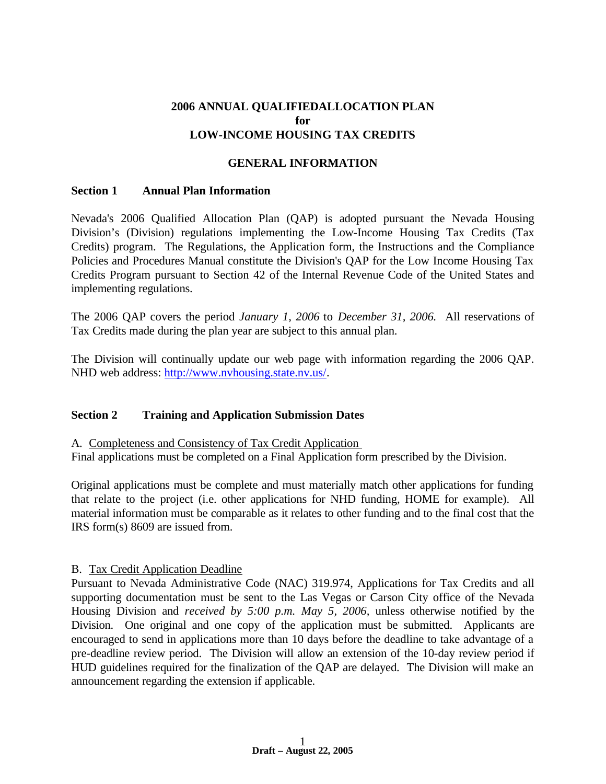#### **2006 ANNUAL QUALIFIEDALLOCATION PLAN for LOW-INCOME HOUSING TAX CREDITS**

#### **GENERAL INFORMATION**

#### **Section 1 Annual Plan Information**

Nevada's 2006 Qualified Allocation Plan (QAP) is adopted pursuant the Nevada Housing Division's (Division) regulations implementing the Low-Income Housing Tax Credits (Tax Credits) program. The Regulations, the Application form, the Instructions and the Compliance Policies and Procedures Manual constitute the Division's QAP for the Low Income Housing Tax Credits Program pursuant to Section 42 of the Internal Revenue Code of the United States and implementing regulations.

The 2006 QAP covers the period *January 1, 2006* to *December 31, 2006.* All reservations of Tax Credits made during the plan year are subject to this annual plan.

The Division will continually update our web page with information regarding the 2006 QAP. NHD web address: http://www.nvhousing.state.nv.us/.

#### **Section 2 Training and Application Submission Dates**

A. Completeness and Consistency of Tax Credit Application

Final applications must be completed on a Final Application form prescribed by the Division.

Original applications must be complete and must materially match other applications for funding that relate to the project (i.e. other applications for NHD funding, HOME for example). All material information must be comparable as it relates to other funding and to the final cost that the IRS form(s) 8609 are issued from.

#### B. Tax Credit Application Deadline

Pursuant to Nevada Administrative Code (NAC) 319.974, Applications for Tax Credits and all supporting documentation must be sent to the Las Vegas or Carson City office of the Nevada Housing Division and *received by 5:00 p.m. May 5, 2006,* unless otherwise notified by the Division. One original and one copy of the application must be submitted. Applicants are encouraged to send in applications more than 10 days before the deadline to take advantage of a pre-deadline review period. The Division will allow an extension of the 10-day review period if HUD guidelines required for the finalization of the QAP are delayed. The Division will make an announcement regarding the extension if applicable.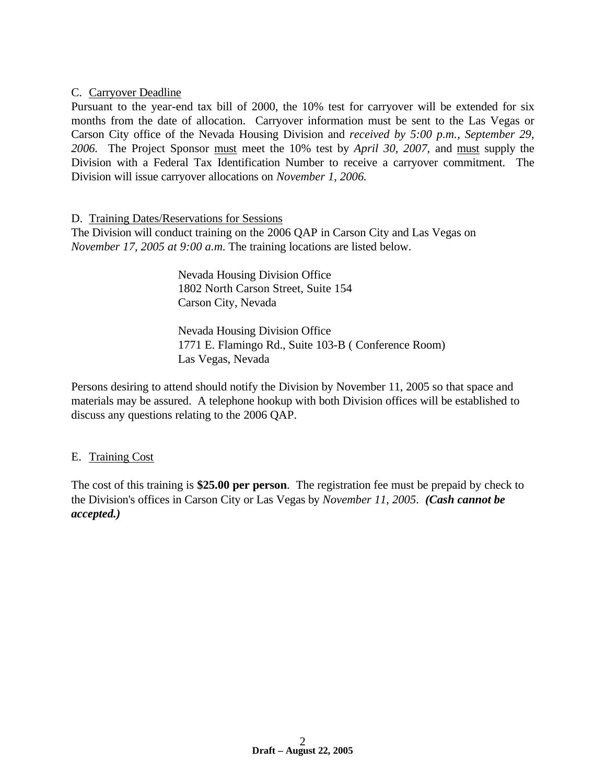#### C. Carryover Deadline

Pursuant to the year-end tax bill of 2000, the 10% test for carryover will be extended for six months from the date of allocation. Carryover information must be sent to the Las Vegas or Carson City office of the Nevada Housing Division and *received by 5:00 p.m., September 29, 2006.* The Project Sponsor must meet the 10% test by *April 30, 2007,* and must supply the Division with a Federal Tax Identification Number to receive a carryover commitment. The Division will issue carryover allocations on *November 1, 2006.*

#### D. Training Dates/Reservations for Sessions

The Division will conduct training on the 2006 QAP in Carson City and Las Vegas on *November 17, 2005 at 9:00 a.m*. The training locations are listed below.

> Nevada Housing Division Office 1802 North Carson Street, Suite 154 Carson City, Nevada

Nevada Housing Division Office 1771 E. Flamingo Rd., Suite 103-B ( Conference Room) Las Vegas, Nevada

Persons desiring to attend should notify the Division by November 11, 2005 so that space and materials may be assured. A telephone hookup with both Division offices will be established to discuss any questions relating to the 2006 QAP.

#### E. Training Cost

The cost of this training is **\$25.00 per person**. The registration fee must be prepaid by check to the Division's offices in Carson City or Las Vegas by *November 11, 2005*. *(Cash cannot be accepted.)*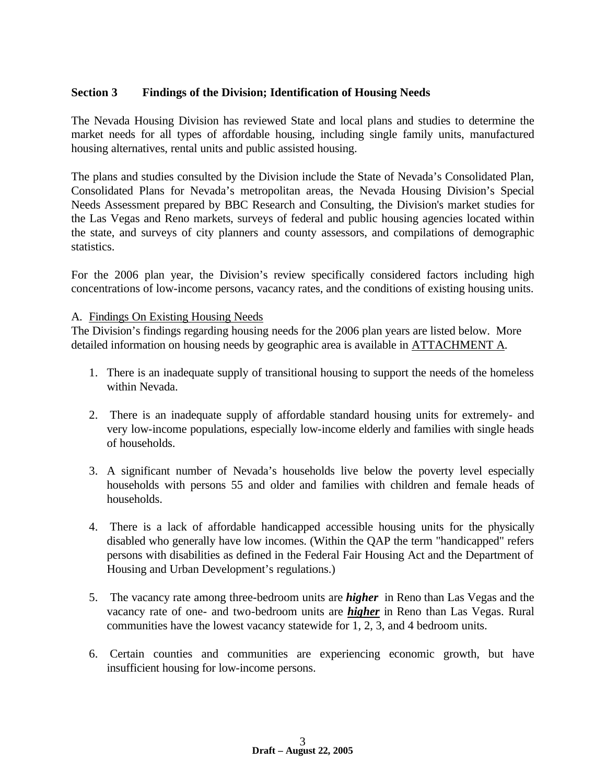#### **Section 3 Findings of the Division; Identification of Housing Needs**

The Nevada Housing Division has reviewed State and local plans and studies to determine the market needs for all types of affordable housing, including single family units, manufactured housing alternatives, rental units and public assisted housing.

The plans and studies consulted by the Division include the State of Nevada's Consolidated Plan, Consolidated Plans for Nevada's metropolitan areas, the Nevada Housing Division's Special Needs Assessment prepared by BBC Research and Consulting, the Division's market studies for the Las Vegas and Reno markets, surveys of federal and public housing agencies located within the state, and surveys of city planners and county assessors, and compilations of demographic statistics.

For the 2006 plan year, the Division's review specifically considered factors including high concentrations of low-income persons, vacancy rates, and the conditions of existing housing units.

#### A. Findings On Existing Housing Needs

The Division's findings regarding housing needs for the 2006 plan years are listed below. More detailed information on housing needs by geographic area is available in ATTACHMENT A.

- 1. There is an inadequate supply of transitional housing to support the needs of the homeless within Nevada.
- 2. There is an inadequate supply of affordable standard housing units for extremely- and very low-income populations, especially low-income elderly and families with single heads of households.
- 3. A significant number of Nevada's households live below the poverty level especially households with persons 55 and older and families with children and female heads of households.
- 4. There is a lack of affordable handicapped accessible housing units for the physically disabled who generally have low incomes. (Within the QAP the term "handicapped" refers persons with disabilities as defined in the Federal Fair Housing Act and the Department of Housing and Urban Development's regulations.)
- 5. The vacancy rate among three-bedroom units are *higher* in Reno than Las Vegas and the vacancy rate of one- and two-bedroom units are *higher* in Reno than Las Vegas. Rural communities have the lowest vacancy statewide for 1, 2, 3, and 4 bedroom units.
- 6. Certain counties and communities are experiencing economic growth, but have insufficient housing for low-income persons.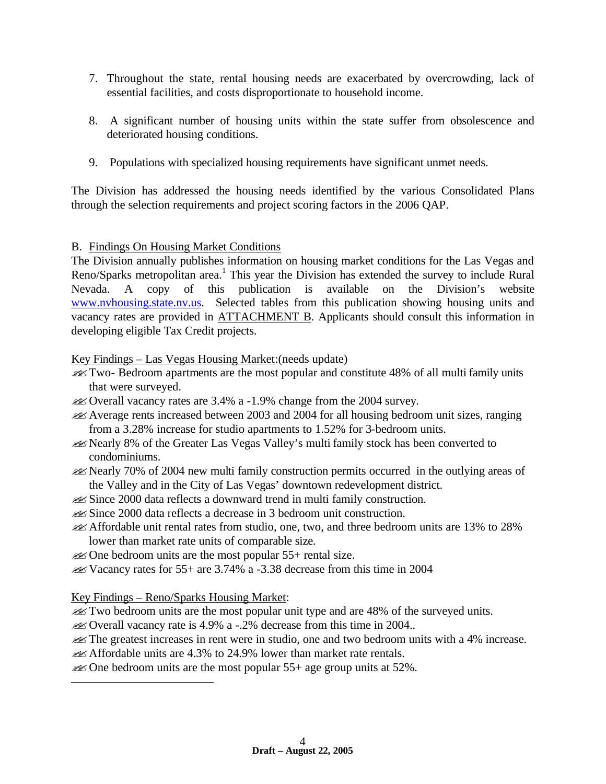- 7. Throughout the state, rental housing needs are exacerbated by overcrowding, lack of essential facilities, and costs disproportionate to household income.
- 8. A significant number of housing units within the state suffer from obsolescence and deteriorated housing conditions.
- 9. Populations with specialized housing requirements have significant unmet needs.

The Division has addressed the housing needs identified by the various Consolidated Plans through the selection requirements and project scoring factors in the 2006 QAP.

# B. Findings On Housing Market Conditions

The Division annually publishes information on housing market conditions for the Las Vegas and Reno/Sparks metropolitan area.<sup>1</sup> This year the Division has extended the survey to include Rural Nevada. A copy of this publication is available on the Division's website www.nvhousing.state.nv.us. Selected tables from this publication showing housing units and vacancy rates are provided in ATTACHMENT B. Applicants should consult this information in developing eligible Tax Credit projects.

Key Findings – Las Vegas Housing Market:(needs update)

- ??Two- Bedroom apartments are the most popular and constitute 48% of all multi family units that were surveyed.
- **EX** Overall vacancy rates are 3.4% a -1.9% change from the 2004 survey.
- $\ll$  Average rents increased between 2003 and 2004 for all housing bedroom unit sizes, ranging from a 3.28% increase for studio apartments to 1.52% for 3-bedroom units.
- ??Nearly 8% of the Greater Las Vegas Valley's multi family stock has been converted to condominiums.
- **EX** Nearly 70% of 2004 new multi family construction permits occurred in the outlying areas of the Valley and in the City of Las Vegas' downtown redevelopment district.
- **EX** Since 2000 data reflects a downward trend in multi family construction.
- **EX** Since 2000 data reflects a decrease in 3 bedroom unit construction.
- ??Affordable unit rental rates from studio, one, two, and three bedroom units are 13% to 28% lower than market rate units of comparable size.
- $\mathcal{L}$  One bedroom units are the most popular 55+ rental size.
- $\lll$  Vacancy rates for 55+ are 3.74% a -3.38 decrease from this time in 2004

Key Findings – Reno/Sparks Housing Market:

 $\overline{a}$ 

- $\mathcal{L}$  Two bedroom units are the most popular unit type and are 48% of the surveyed units.
- ??Overall vacancy rate is 4.9% a -.2% decrease from this time in 2004..
- $\ll$ The greatest increases in rent were in studio, one and two bedroom units with a 4% increase.
- $\mathcal{A}$  Affordable units are 4.3% to 24.9% lower than market rate rentals.
- $\mathcal{A}$  One bedroom units are the most popular 55+ age group units at 52%.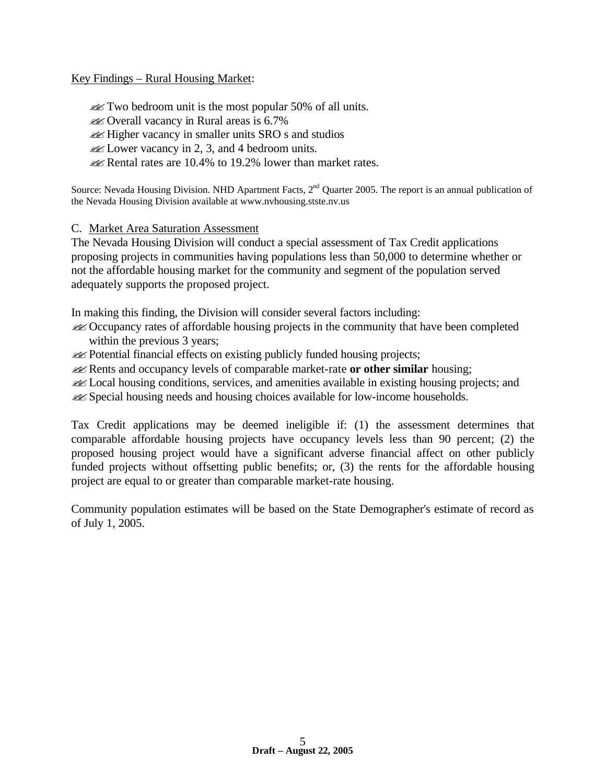Key Findings – Rural Housing Market:

 $\mathscr{L}$  Two bedroom unit is the most popular 50% of all units. ??Overall vacancy in Rural areas is 6.7% **Example 1** Higher vacancy in smaller units SRO s and studios  $\mathcal{L}$  Lower vacancy in 2, 3, and 4 bedroom units.  $\mathscr{L}$  Rental rates are 10.4% to 19.2% lower than market rates.

Source: Nevada Housing Division. NHD Apartment Facts, 2<sup>nd</sup> Quarter 2005. The report is an annual publication of the Nevada Housing Division available at www.nvhousing.stste.nv.us

#### C. Market Area Saturation Assessment

The Nevada Housing Division will conduct a special assessment of Tax Credit applications proposing projects in communities having populations less than 50,000 to determine whether or not the affordable housing market for the community and segment of the population served adequately supports the proposed project.

In making this finding, the Division will consider several factors including:

??Occupancy rates of affordable housing projects in the community that have been completed within the previous 3 years;

**Example 1** Potential financial effects on existing publicly funded housing projects;

??Rents and occupancy levels of comparable market-rate **or other similar** housing;

**Example 1** Local housing conditions, services, and amenities available in existing housing projects; and **Example 3** Special housing needs and housing choices available for low-income households.

Tax Credit applications may be deemed ineligible if: (1) the assessment determines that comparable affordable housing projects have occupancy levels less than 90 percent; (2) the proposed housing project would have a significant adverse financial affect on other publicly funded projects without offsetting public benefits; or, (3) the rents for the affordable housing project are equal to or greater than comparable market-rate housing.

Community population estimates will be based on the State Demographer's estimate of record as of July 1, 2005.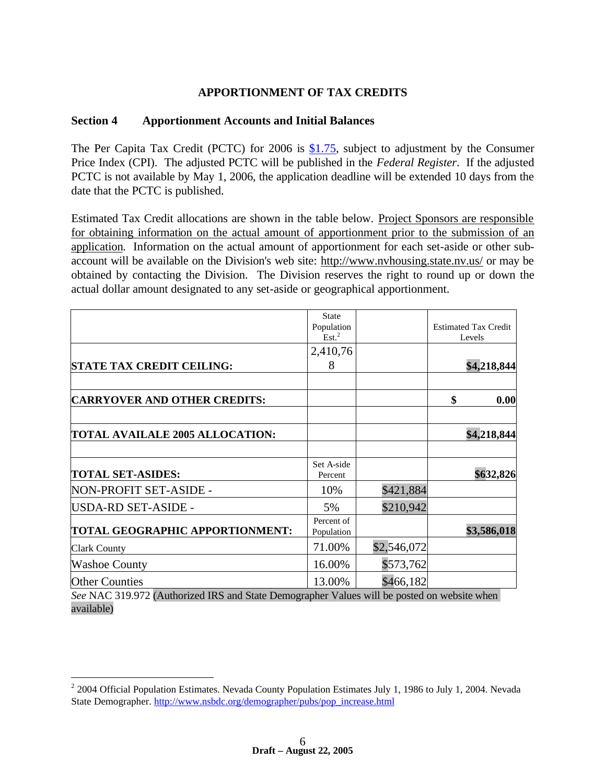## **APPORTIONMENT OF TAX CREDITS**

#### **Section 4 Apportionment Accounts and Initial Balances**

The Per Capita Tax Credit (PCTC) for 2006 is \$1.75, subject to adjustment by the Consumer Price Index (CPI). The adjusted PCTC will be published in the *Federal Register*. If the adjusted PCTC is not available by May 1, 2006, the application deadline will be extended 10 days from the date that the PCTC is published.

Estimated Tax Credit allocations are shown in the table below. Project Sponsors are responsible for obtaining information on the actual amount of apportionment prior to the submission of an application. Information on the actual amount of apportionment for each set-aside or other subaccount will be available on the Division's web site: http://www.nvhousing.state.nv.us/ or may be obtained by contacting the Division. The Division reserves the right to round up or down the actual dollar amount designated to any set-aside or geographical apportionment.

|                                                                                             | <b>State</b><br>Population |             | <b>Estimated Tax Credit</b> |
|---------------------------------------------------------------------------------------------|----------------------------|-------------|-----------------------------|
|                                                                                             | Est. <sup>2</sup>          |             | Levels                      |
|                                                                                             | 2,410,76                   |             |                             |
| <b>STATE TAX CREDIT CEILING:</b>                                                            | 8                          |             | \$4,218,844                 |
|                                                                                             |                            |             |                             |
| <b>CARRYOVER AND OTHER CREDITS:</b>                                                         |                            |             | \$<br>0.00                  |
|                                                                                             |                            |             |                             |
| <b>TOTAL AVAILALE 2005 ALLOCATION:</b>                                                      |                            |             | \$4,218,844                 |
| <b>TOTAL SET-ASIDES:</b>                                                                    | Set A-side<br>Percent      |             | \$632,826                   |
| NON-PROFIT SET-ASIDE -                                                                      | 10%                        | \$421,884   |                             |
| USDA-RD SET-ASIDE -                                                                         | 5%                         | \$210,942   |                             |
| <b>TOTAL GEOGRAPHIC APPORTIONMENT:</b>                                                      | Percent of<br>Population   |             | \$3,586,018                 |
| <b>Clark County</b>                                                                         | 71.00%                     | \$2,546,072 |                             |
| <b>Washoe County</b>                                                                        | 16.00%                     | \$573,762   |                             |
| <b>Other Counties</b>                                                                       | 13.00%                     | \$466,182   |                             |
| See NAC 319.972 (Authorized IRS and State Demographer Values will be posted on website when |                            |             |                             |

available)

<u>.</u>

 $2$  2004 Official Population Estimates. Nevada County Population Estimates July 1, 1986 to July 1, 2004. Nevada State Demographer. http://www.nsbdc.org/demographer/pubs/pop\_increase.html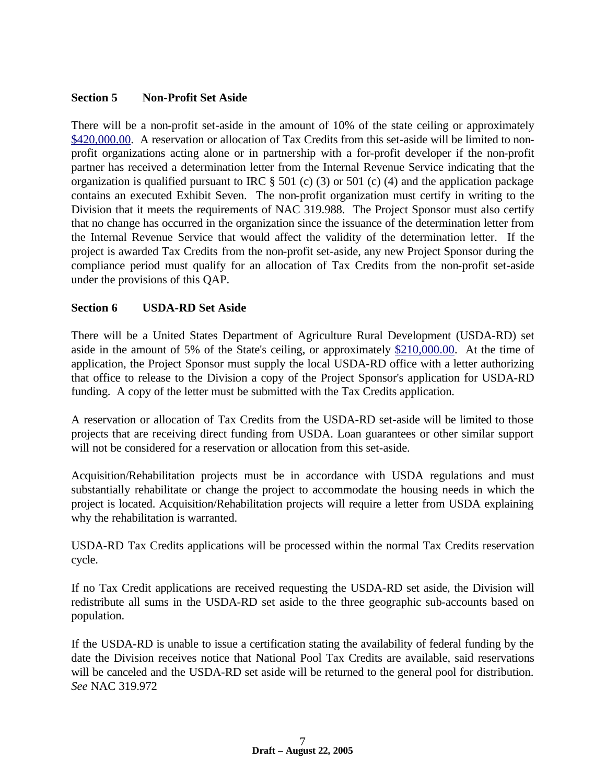#### **Section 5 Non-Profit Set Aside**

There will be a non-profit set-aside in the amount of 10% of the state ceiling or approximately \$420,000.00. A reservation or allocation of Tax Credits from this set-aside will be limited to nonprofit organizations acting alone or in partnership with a for-profit developer if the non-profit partner has received a determination letter from the Internal Revenue Service indicating that the organization is qualified pursuant to IRC  $\S$  501 (c) (3) or 501 (c) (4) and the application package contains an executed Exhibit Seven. The non-profit organization must certify in writing to the Division that it meets the requirements of NAC 319.988. The Project Sponsor must also certify that no change has occurred in the organization since the issuance of the determination letter from the Internal Revenue Service that would affect the validity of the determination letter. If the project is awarded Tax Credits from the non-profit set-aside, any new Project Sponsor during the compliance period must qualify for an allocation of Tax Credits from the non-profit set-aside under the provisions of this QAP.

#### **Section 6 USDA-RD Set Aside**

There will be a United States Department of Agriculture Rural Development (USDA-RD) set aside in the amount of 5% of the State's ceiling, or approximately \$210,000.00. At the time of application, the Project Sponsor must supply the local USDA-RD office with a letter authorizing that office to release to the Division a copy of the Project Sponsor's application for USDA-RD funding. A copy of the letter must be submitted with the Tax Credits application.

A reservation or allocation of Tax Credits from the USDA-RD set-aside will be limited to those projects that are receiving direct funding from USDA. Loan guarantees or other similar support will not be considered for a reservation or allocation from this set-aside.

Acquisition/Rehabilitation projects must be in accordance with USDA regulations and must substantially rehabilitate or change the project to accommodate the housing needs in which the project is located. Acquisition/Rehabilitation projects will require a letter from USDA explaining why the rehabilitation is warranted.

USDA-RD Tax Credits applications will be processed within the normal Tax Credits reservation cycle.

If no Tax Credit applications are received requesting the USDA-RD set aside, the Division will redistribute all sums in the USDA-RD set aside to the three geographic sub-accounts based on population.

If the USDA-RD is unable to issue a certification stating the availability of federal funding by the date the Division receives notice that National Pool Tax Credits are available, said reservations will be canceled and the USDA-RD set aside will be returned to the general pool for distribution. *See* NAC 319.972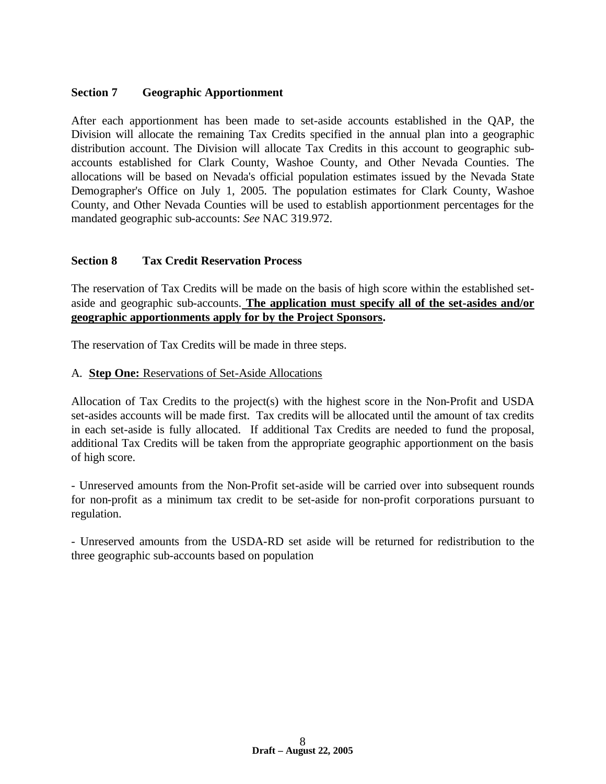## **Section 7 Geographic Apportionment**

After each apportionment has been made to set-aside accounts established in the QAP, the Division will allocate the remaining Tax Credits specified in the annual plan into a geographic distribution account. The Division will allocate Tax Credits in this account to geographic subaccounts established for Clark County, Washoe County, and Other Nevada Counties. The allocations will be based on Nevada's official population estimates issued by the Nevada State Demographer's Office on July 1, 2005. The population estimates for Clark County, Washoe County, and Other Nevada Counties will be used to establish apportionment percentages for the mandated geographic sub-accounts: *See* NAC 319.972.

#### **Section 8 Tax Credit Reservation Process**

The reservation of Tax Credits will be made on the basis of high score within the established setaside and geographic sub-accounts. **The application must specify all of the set-asides and/or geographic apportionments apply for by the Project Sponsors.**

The reservation of Tax Credits will be made in three steps.

#### A. **Step One:** Reservations of Set-Aside Allocations

Allocation of Tax Credits to the project(s) with the highest score in the Non-Profit and USDA set-asides accounts will be made first. Tax credits will be allocated until the amount of tax credits in each set-aside is fully allocated. If additional Tax Credits are needed to fund the proposal, additional Tax Credits will be taken from the appropriate geographic apportionment on the basis of high score.

- Unreserved amounts from the Non-Profit set-aside will be carried over into subsequent rounds for non-profit as a minimum tax credit to be set-aside for non-profit corporations pursuant to regulation.

- Unreserved amounts from the USDA-RD set aside will be returned for redistribution to the three geographic sub-accounts based on population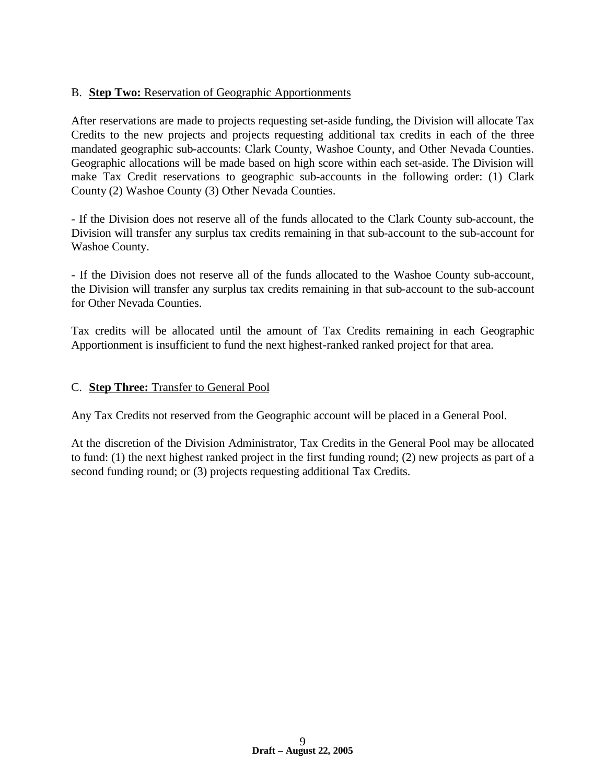# B. **Step Two:** Reservation of Geographic Apportionments

After reservations are made to projects requesting set-aside funding, the Division will allocate Tax Credits to the new projects and projects requesting additional tax credits in each of the three mandated geographic sub-accounts: Clark County, Washoe County, and Other Nevada Counties. Geographic allocations will be made based on high score within each set-aside. The Division will make Tax Credit reservations to geographic sub-accounts in the following order: (1) Clark County (2) Washoe County (3) Other Nevada Counties.

- If the Division does not reserve all of the funds allocated to the Clark County sub-account, the Division will transfer any surplus tax credits remaining in that sub-account to the sub-account for Washoe County.

- If the Division does not reserve all of the funds allocated to the Washoe County sub-account, the Division will transfer any surplus tax credits remaining in that sub-account to the sub-account for Other Nevada Counties.

Tax credits will be allocated until the amount of Tax Credits remaining in each Geographic Apportionment is insufficient to fund the next highest-ranked ranked project for that area.

#### C. **Step Three:** Transfer to General Pool

Any Tax Credits not reserved from the Geographic account will be placed in a General Pool.

At the discretion of the Division Administrator, Tax Credits in the General Pool may be allocated to fund: (1) the next highest ranked project in the first funding round; (2) new projects as part of a second funding round; or (3) projects requesting additional Tax Credits.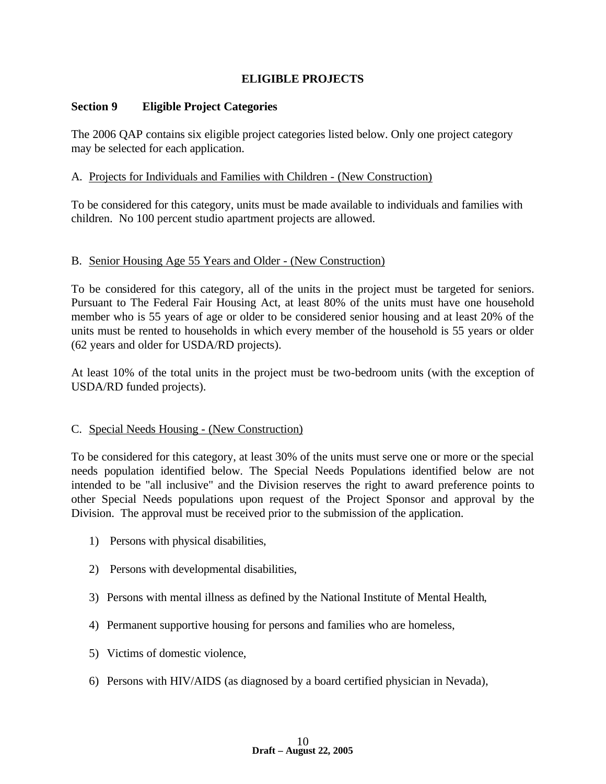## **ELIGIBLE PROJECTS**

#### **Section 9 Eligible Project Categories**

The 2006 QAP contains six eligible project categories listed below. Only one project category may be selected for each application.

#### A. Projects for Individuals and Families with Children - (New Construction)

To be considered for this category, units must be made available to individuals and families with children. No 100 percent studio apartment projects are allowed.

#### B. Senior Housing Age 55 Years and Older - (New Construction)

To be considered for this category, all of the units in the project must be targeted for seniors. Pursuant to The Federal Fair Housing Act, at least 80% of the units must have one household member who is 55 years of age or older to be considered senior housing and at least 20% of the units must be rented to households in which every member of the household is 55 years or older (62 years and older for USDA/RD projects).

At least 10% of the total units in the project must be two-bedroom units (with the exception of USDA/RD funded projects).

#### C. Special Needs Housing - (New Construction)

To be considered for this category, at least 30% of the units must serve one or more or the special needs population identified below. The Special Needs Populations identified below are not intended to be "all inclusive" and the Division reserves the right to award preference points to other Special Needs populations upon request of the Project Sponsor and approval by the Division. The approval must be received prior to the submission of the application.

- 1) Persons with physical disabilities,
- 2) Persons with developmental disabilities,
- 3) Persons with mental illness as defined by the National Institute of Mental Health,
- 4) Permanent supportive housing for persons and families who are homeless,
- 5) Victims of domestic violence,
- 6) Persons with HIV/AIDS (as diagnosed by a board certified physician in Nevada),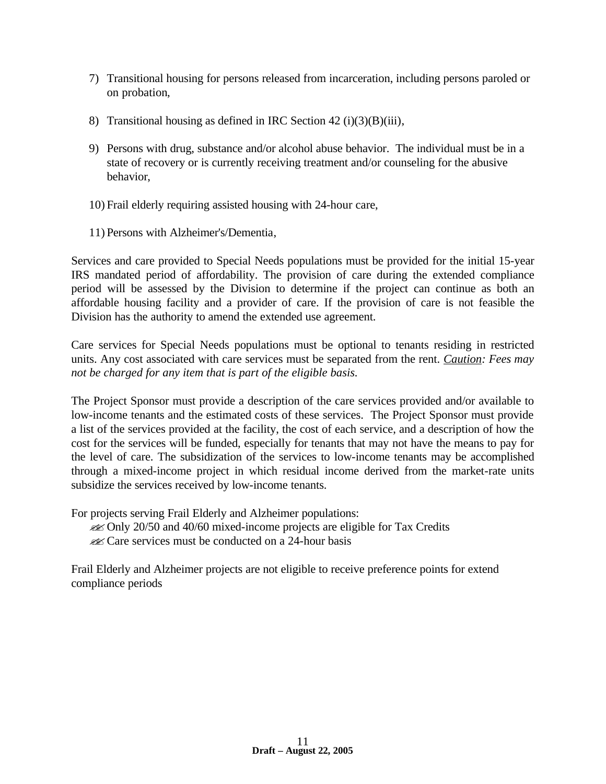- 7) Transitional housing for persons released from incarceration, including persons paroled or on probation,
- 8) Transitional housing as defined in IRC Section 42 (i)(3)(B)(iii),
- 9) Persons with drug, substance and/or alcohol abuse behavior. The individual must be in a state of recovery or is currently receiving treatment and/or counseling for the abusive behavior,
- 10) Frail elderly requiring assisted housing with 24-hour care,
- 11) Persons with Alzheimer's/Dementia,

Services and care provided to Special Needs populations must be provided for the initial 15-year IRS mandated period of affordability. The provision of care during the extended compliance period will be assessed by the Division to determine if the project can continue as both an affordable housing facility and a provider of care. If the provision of care is not feasible the Division has the authority to amend the extended use agreement.

Care services for Special Needs populations must be optional to tenants residing in restricted units. Any cost associated with care services must be separated from the rent. *Caution: Fees may not be charged for any item that is part of the eligible basis.* 

The Project Sponsor must provide a description of the care services provided and/or available to low-income tenants and the estimated costs of these services. The Project Sponsor must provide a list of the services provided at the facility, the cost of each service, and a description of how the cost for the services will be funded, especially for tenants that may not have the means to pay for the level of care. The subsidization of the services to low-income tenants may be accomplished through a mixed-income project in which residual income derived from the market-rate units subsidize the services received by low-income tenants.

For projects serving Frail Elderly and Alzheimer populations:

- **EX** Only 20/50 and 40/60 mixed-income projects are eligible for Tax Credits
- $\mathscr{A}$  Care services must be conducted on a 24-hour basis

Frail Elderly and Alzheimer projects are not eligible to receive preference points for extend compliance periods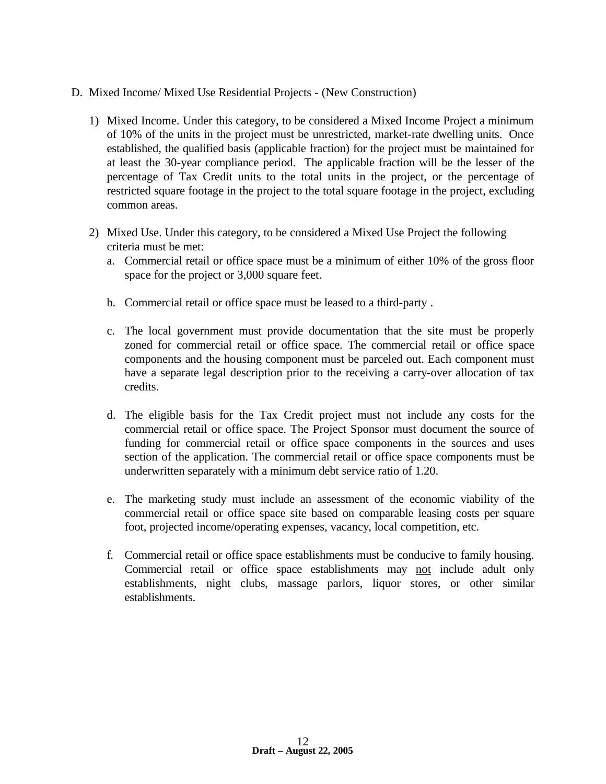#### D. Mixed Income/ Mixed Use Residential Projects - (New Construction)

- 1) Mixed Income. Under this category, to be considered a Mixed Income Project a minimum of 10% of the units in the project must be unrestricted, market-rate dwelling units. Once established, the qualified basis (applicable fraction) for the project must be maintained for at least the 30-year compliance period. The applicable fraction will be the lesser of the percentage of Tax Credit units to the total units in the project, or the percentage of restricted square footage in the project to the total square footage in the project, excluding common areas.
- 2) Mixed Use. Under this category, to be considered a Mixed Use Project the following criteria must be met:
	- a. Commercial retail or office space must be a minimum of either 10% of the gross floor space for the project or 3,000 square feet.
	- b. Commercial retail or office space must be leased to a third-party .
	- c. The local government must provide documentation that the site must be properly zoned for commercial retail or office space. The commercial retail or office space components and the housing component must be parceled out. Each component must have a separate legal description prior to the receiving a carry-over allocation of tax credits.
	- d. The eligible basis for the Tax Credit project must not include any costs for the commercial retail or office space. The Project Sponsor must document the source of funding for commercial retail or office space components in the sources and uses section of the application. The commercial retail or office space components must be underwritten separately with a minimum debt service ratio of 1.20.
	- e. The marketing study must include an assessment of the economic viability of the commercial retail or office space site based on comparable leasing costs per square foot, projected income/operating expenses, vacancy, local competition, etc.
	- f. Commercial retail or office space establishments must be conducive to family housing. Commercial retail or office space establishments may not include adult only establishments, night clubs, massage parlors, liquor stores, or other similar establishments.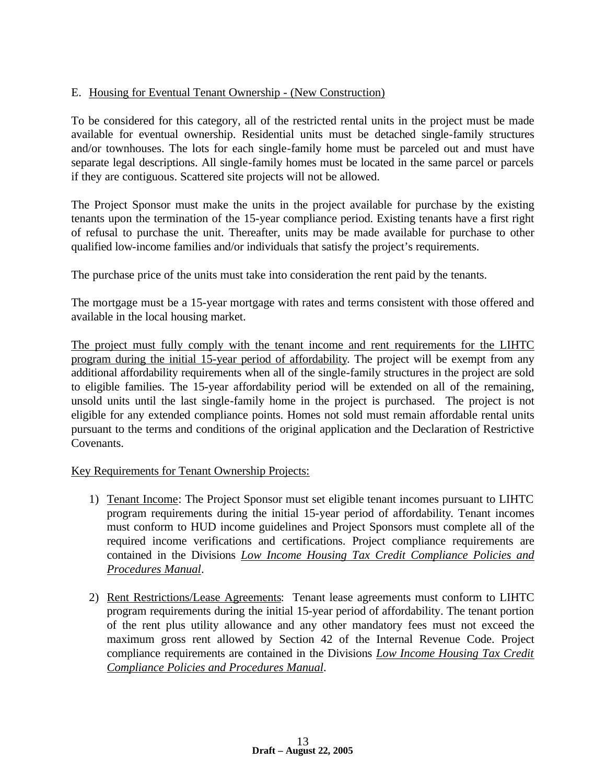# E. Housing for Eventual Tenant Ownership - (New Construction)

To be considered for this category, all of the restricted rental units in the project must be made available for eventual ownership. Residential units must be detached single-family structures and/or townhouses. The lots for each single-family home must be parceled out and must have separate legal descriptions. All single-family homes must be located in the same parcel or parcels if they are contiguous. Scattered site projects will not be allowed.

The Project Sponsor must make the units in the project available for purchase by the existing tenants upon the termination of the 15-year compliance period. Existing tenants have a first right of refusal to purchase the unit. Thereafter, units may be made available for purchase to other qualified low-income families and/or individuals that satisfy the project's requirements.

The purchase price of the units must take into consideration the rent paid by the tenants.

The mortgage must be a 15-year mortgage with rates and terms consistent with those offered and available in the local housing market.

The project must fully comply with the tenant income and rent requirements for the LIHTC program during the initial 15-year period of affordability. The project will be exempt from any additional affordability requirements when all of the single-family structures in the project are sold to eligible families. The 15-year affordability period will be extended on all of the remaining, unsold units until the last single-family home in the project is purchased. The project is not eligible for any extended compliance points. Homes not sold must remain affordable rental units pursuant to the terms and conditions of the original application and the Declaration of Restrictive Covenants.

#### Key Requirements for Tenant Ownership Projects:

- 1) Tenant Income: The Project Sponsor must set eligible tenant incomes pursuant to LIHTC program requirements during the initial 15-year period of affordability. Tenant incomes must conform to HUD income guidelines and Project Sponsors must complete all of the required income verifications and certifications. Project compliance requirements are contained in the Divisions *Low Income Housing Tax Credit Compliance Policies and Procedures Manual*.
- 2) Rent Restrictions/Lease Agreements: Tenant lease agreements must conform to LIHTC program requirements during the initial 15-year period of affordability. The tenant portion of the rent plus utility allowance and any other mandatory fees must not exceed the maximum gross rent allowed by Section 42 of the Internal Revenue Code. Project compliance requirements are contained in the Divisions *Low Income Housing Tax Credit Compliance Policies and Procedures Manual*.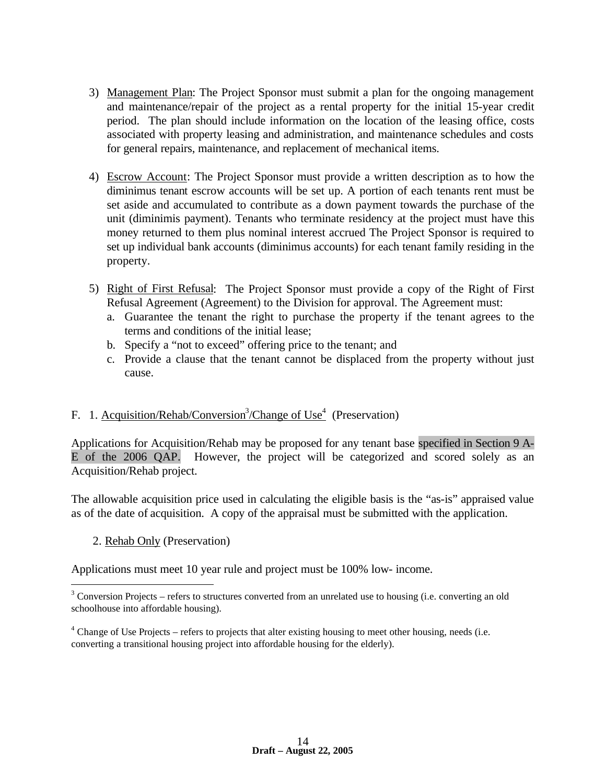- 3) Management Plan: The Project Sponsor must submit a plan for the ongoing management and maintenance/repair of the project as a rental property for the initial 15-year credit period. The plan should include information on the location of the leasing office, costs associated with property leasing and administration, and maintenance schedules and costs for general repairs, maintenance, and replacement of mechanical items.
- 4) Escrow Account: The Project Sponsor must provide a written description as to how the diminimus tenant escrow accounts will be set up. A portion of each tenants rent must be set aside and accumulated to contribute as a down payment towards the purchase of the unit (diminimis payment). Tenants who terminate residency at the project must have this money returned to them plus nominal interest accrued The Project Sponsor is required to set up individual bank accounts (diminimus accounts) for each tenant family residing in the property.
- 5) Right of First Refusal: The Project Sponsor must provide a copy of the Right of First Refusal Agreement (Agreement) to the Division for approval. The Agreement must:
	- a. Guarantee the tenant the right to purchase the property if the tenant agrees to the terms and conditions of the initial lease;
	- b. Specify a "not to exceed" offering price to the tenant; and
	- c. Provide a clause that the tenant cannot be displaced from the property without just cause.

# F. 1. Acquisition/Rehab/Conversion<sup>3</sup>/Change of Use<sup>4</sup> (Preservation)

Applications for Acquisition/Rehab may be proposed for any tenant base specified in Section 9 A-E of the 2006 QAP. However, the project will be categorized and scored solely as an Acquisition/Rehab project.

The allowable acquisition price used in calculating the eligible basis is the "as-is" appraised value as of the date of acquisition. A copy of the appraisal must be submitted with the application.

2. Rehab Only (Preservation)

<u>.</u>

Applications must meet 10 year rule and project must be 100% low- income.

 $3$  Conversion Projects – refers to structures converted from an unrelated use to housing (i.e. converting an old schoolhouse into affordable housing).

<sup>&</sup>lt;sup>4</sup> Change of Use Projects – refers to projects that alter existing housing to meet other housing, needs (i.e. converting a transitional housing project into affordable housing for the elderly).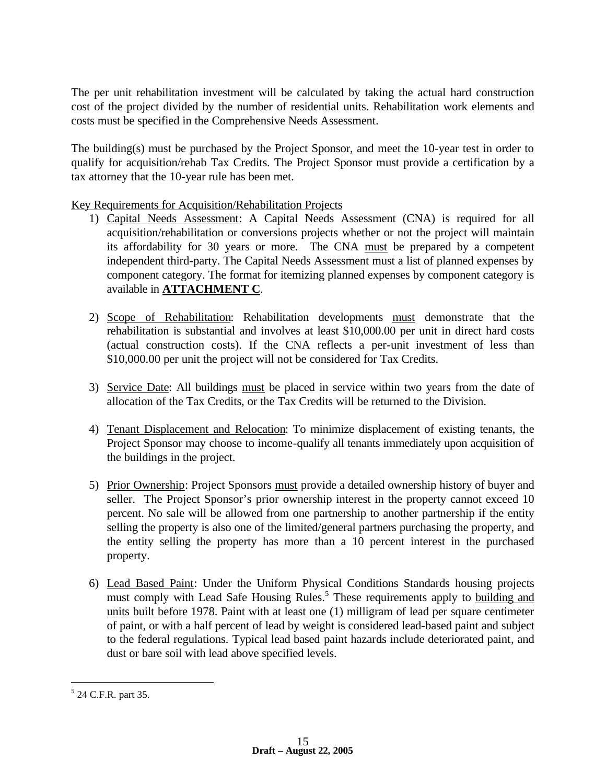The per unit rehabilitation investment will be calculated by taking the actual hard construction cost of the project divided by the number of residential units. Rehabilitation work elements and costs must be specified in the Comprehensive Needs Assessment.

The building(s) must be purchased by the Project Sponsor, and meet the 10-year test in order to qualify for acquisition/rehab Tax Credits. The Project Sponsor must provide a certification by a tax attorney that the 10-year rule has been met.

Key Requirements for Acquisition/Rehabilitation Projects

- 1) Capital Needs Assessment: A Capital Needs Assessment (CNA) is required for all acquisition/rehabilitation or conversions projects whether or not the project will maintain its affordability for 30 years or more. The CNA must be prepared by a competent independent third-party. The Capital Needs Assessment must a list of planned expenses by component category. The format for itemizing planned expenses by component category is available in **ATTACHMENT C**.
- 2) Scope of Rehabilitation: Rehabilitation developments must demonstrate that the rehabilitation is substantial and involves at least \$10,000.00 per unit in direct hard costs (actual construction costs). If the CNA reflects a per-unit investment of less than \$10,000.00 per unit the project will not be considered for Tax Credits.
- 3) Service Date: All buildings must be placed in service within two years from the date of allocation of the Tax Credits, or the Tax Credits will be returned to the Division.
- 4) Tenant Displacement and Relocation: To minimize displacement of existing tenants, the Project Sponsor may choose to income-qualify all tenants immediately upon acquisition of the buildings in the project.
- 5) Prior Ownership: Project Sponsors must provide a detailed ownership history of buyer and seller. The Project Sponsor's prior ownership interest in the property cannot exceed 10 percent. No sale will be allowed from one partnership to another partnership if the entity selling the property is also one of the limited/general partners purchasing the property, and the entity selling the property has more than a 10 percent interest in the purchased property.
- 6) Lead Based Paint: Under the Uniform Physical Conditions Standards housing projects must comply with Lead Safe Housing Rules.<sup>5</sup> These requirements apply to building and units built before 1978. Paint with at least one (1) milligram of lead per square centimeter of paint, or with a half percent of lead by weight is considered lead-based paint and subject to the federal regulations*.* Typical lead based paint hazards include deteriorated paint, and dust or bare soil with lead above specified levels.

1

<sup>&</sup>lt;sup>5</sup> 24 C.F.R. part 35.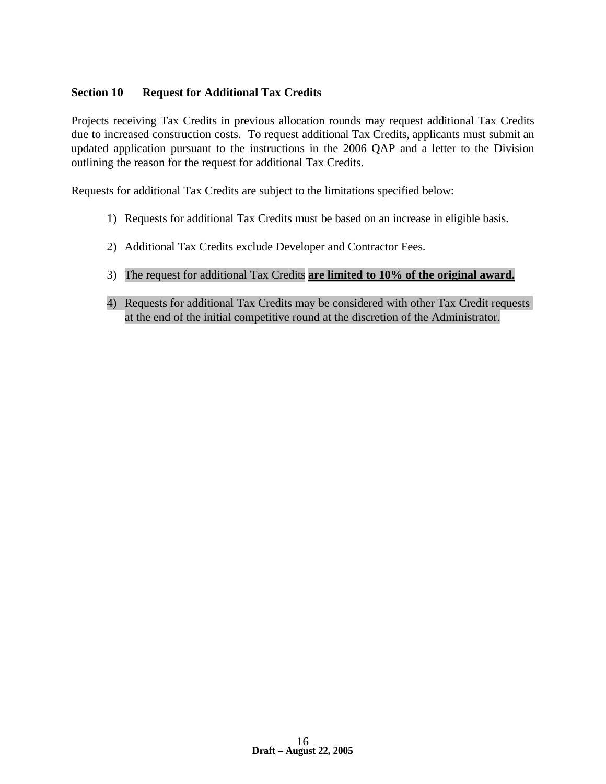## **Section 10 Request for Additional Tax Credits**

Projects receiving Tax Credits in previous allocation rounds may request additional Tax Credits due to increased construction costs. To request additional Tax Credits, applicants must submit an updated application pursuant to the instructions in the 2006 QAP and a letter to the Division outlining the reason for the request for additional Tax Credits.

Requests for additional Tax Credits are subject to the limitations specified below:

- 1) Requests for additional Tax Credits must be based on an increase in eligible basis.
- 2) Additional Tax Credits exclude Developer and Contractor Fees.
- 3) The request for additional Tax Credits **are limited to 10% of the original award.**
- 4) Requests for additional Tax Credits may be considered with other Tax Credit requests at the end of the initial competitive round at the discretion of the Administrator.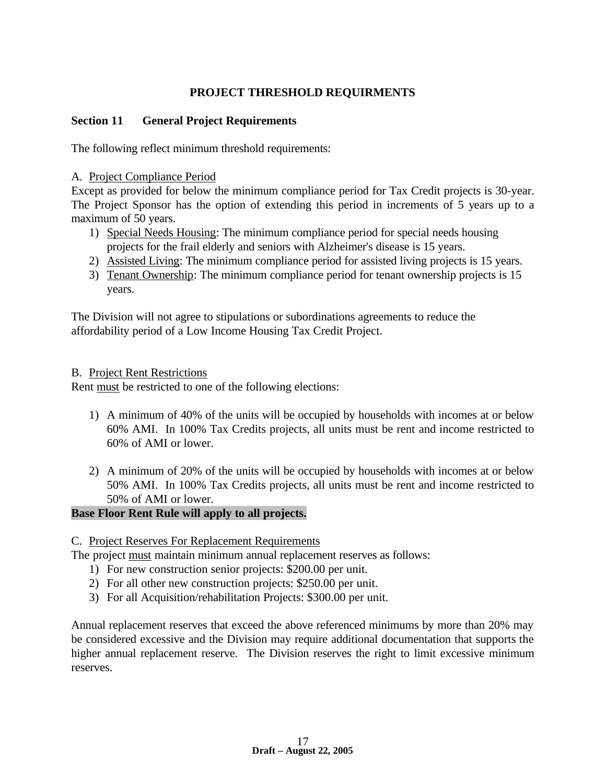# **PROJECT THRESHOLD REQUIRMENTS**

## **Section 11 General Project Requirements**

The following reflect minimum threshold requirements:

#### A. Project Compliance Period

Except as provided for below the minimum compliance period for Tax Credit projects is 30-year. The Project Sponsor has the option of extending this period in increments of 5 years up to a maximum of 50 years.

- 1) Special Needs Housing: The minimum compliance period for special needs housing projects for the frail elderly and seniors with Alzheimer's disease is 15 years.
- 2) Assisted Living: The minimum compliance period for assisted living projects is 15 years.
- 3) Tenant Ownership: The minimum compliance period for tenant ownership projects is 15 years.

The Division will not agree to stipulations or subordinations agreements to reduce the affordability period of a Low Income Housing Tax Credit Project.

#### B. Project Rent Restrictions

Rent must be restricted to one of the following elections:

- 1) A minimum of 40% of the units will be occupied by households with incomes at or below 60% AMI. In 100% Tax Credits projects, all units must be rent and income restricted to 60% of AMI or lower.
- 2) A minimum of 20% of the units will be occupied by households with incomes at or below 50% AMI. In 100% Tax Credits projects, all units must be rent and income restricted to 50% of AMI or lower.

# **Base Floor Rent Rule will apply to all projects.**

#### C. Project Reserves For Replacement Requirements

The project must maintain minimum annual replacement reserves as follows:

- 1) For new construction senior projects: \$200.00 per unit.
- 2) For all other new construction projects: \$250.00 per unit.
- 3) For all Acquisition/rehabilitation Projects: \$300.00 per unit.

Annual replacement reserves that exceed the above referenced minimums by more than 20% may be considered excessive and the Division may require additional documentation that supports the higher annual replacement reserve. The Division reserves the right to limit excessive minimum reserves.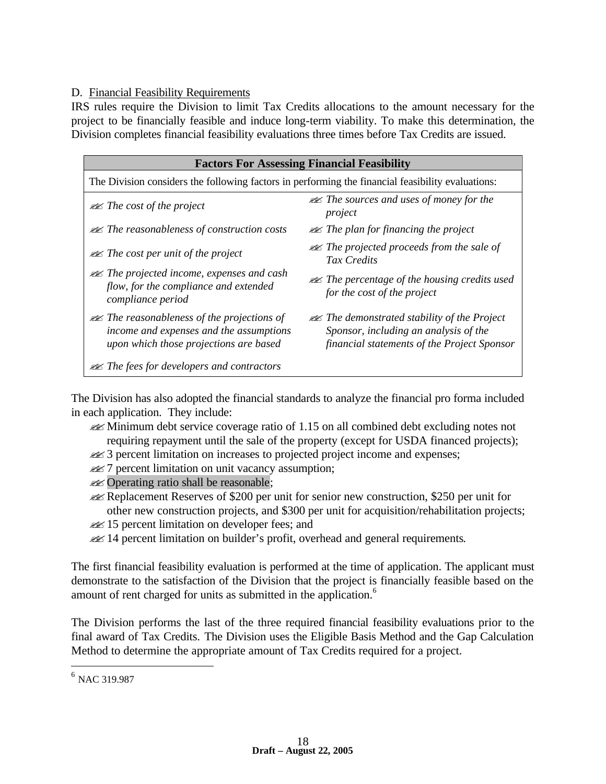#### D. Financial Feasibility Requirements

IRS rules require the Division to limit Tax Credits allocations to the amount necessary for the project to be financially feasible and induce long-term viability. To make this determination, the Division completes financial feasibility evaluations three times before Tax Credits are issued.

| <b>Factors For Assessing Financial Feasibility</b>                                                                                          |                                                                                                                                                 |  |  |
|---------------------------------------------------------------------------------------------------------------------------------------------|-------------------------------------------------------------------------------------------------------------------------------------------------|--|--|
| The Division considers the following factors in performing the financial feasibility evaluations:                                           |                                                                                                                                                 |  |  |
| $\mathcal{A}$ The cost of the project                                                                                                       | $\mathcal{A}$ The sources and uses of money for the<br>project                                                                                  |  |  |
| $\mathcal{A}$ The reasonableness of construction costs                                                                                      | $\mathcal{A}$ The plan for financing the project                                                                                                |  |  |
| $\mathcal{Z}$ The cost per unit of the project                                                                                              | $\mathcal{A}$ The projected proceeds from the sale of<br>Tax Credits                                                                            |  |  |
| $\mathcal{A}$ The projected income, expenses and cash<br>flow, for the compliance and extended<br>compliance period                         | $\mathcal{A}$ The percentage of the housing credits used<br>for the cost of the project                                                         |  |  |
| $\mathcal{A}$ The reasonableness of the projections of<br>income and expenses and the assumptions<br>upon which those projections are based | $\mathcal{A}$ The demonstrated stability of the Project<br>Sponsor, including an analysis of the<br>financial statements of the Project Sponsor |  |  |
| $\mathcal{A}$ The fees for developers and contractors                                                                                       |                                                                                                                                                 |  |  |

The Division has also adopted the financial standards to analyze the financial pro forma included in each application. They include:

- $\mathcal{L}$  Minimum debt service coverage ratio of 1.15 on all combined debt excluding notes not requiring repayment until the sale of the property (except for USDA financed projects);
- **22** 3 percent limitation on increases to projected project income and expenses;
- $\mathscr{A}$  7 percent limitation on unit vacancy assumption;
- **EX** Operating ratio shall be reasonable;
- $\ll$  Replacement Reserves of \$200 per unit for senior new construction, \$250 per unit for other new construction projects, and \$300 per unit for acquisition/rehabilitation projects;
- $\mathscr{A}$  15 percent limitation on developer fees; and
- **226 14 percent limitation on builder's profit, overhead and general requirements.**

The first financial feasibility evaluation is performed at the time of application. The applicant must demonstrate to the satisfaction of the Division that the project is financially feasible based on the amount of rent charged for units as submitted in the application.<sup>6</sup>

The Division performs the last of the three required financial feasibility evaluations prior to the final award of Tax Credits. The Division uses the Eligible Basis Method and the Gap Calculation Method to determine the appropriate amount of Tax Credits required for a project.

 $\overline{a}$ 

<sup>6</sup> NAC 319.987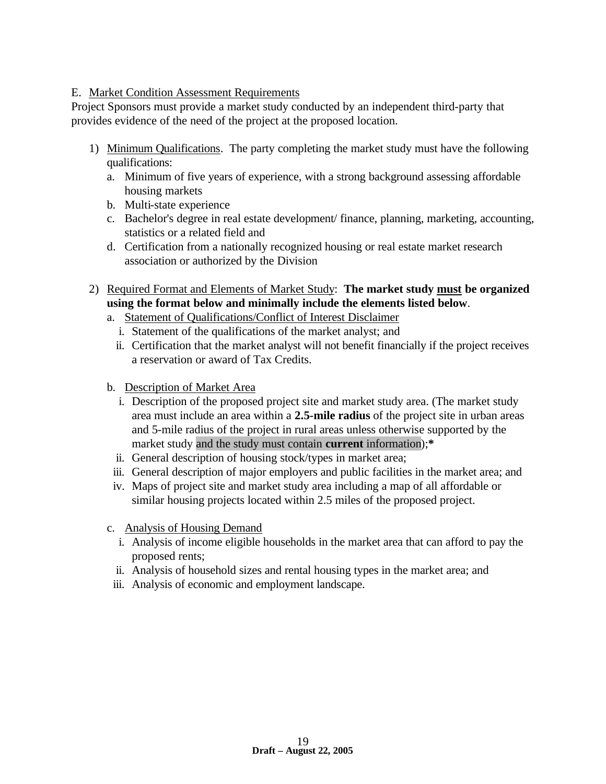#### E. Market Condition Assessment Requirements

Project Sponsors must provide a market study conducted by an independent third-party that provides evidence of the need of the project at the proposed location.

- 1) Minimum Qualifications. The party completing the market study must have the following qualifications:
	- a. Minimum of five years of experience, with a strong background assessing affordable housing markets
	- b. Multi-state experience
	- c. Bachelor's degree in real estate development/ finance, planning, marketing, accounting, statistics or a related field and
	- d. Certification from a nationally recognized housing or real estate market research association or authorized by the Division
- 2) Required Format and Elements of Market Study: **The market study must be organized using the format below and minimally include the elements listed below**.
	- a. Statement of Qualifications/Conflict of Interest Disclaimer
		- i. Statement of the qualifications of the market analyst; and
		- ii. Certification that the market analyst will not benefit financially if the project receives a reservation or award of Tax Credits.
	- b. Description of Market Area
		- i. Description of the proposed project site and market study area. (The market study area must include an area within a **2.5-mile radius** of the project site in urban areas and 5-mile radius of the project in rural areas unless otherwise supported by the market study and the study must contain **current** information);**\***
		- ii. General description of housing stock/types in market area;
	- iii. General description of major employers and public facilities in the market area; and
	- iv. Maps of project site and market study area including a map of all affordable or similar housing projects located within 2.5 miles of the proposed project.
	- c. Analysis of Housing Demand
		- i. Analysis of income eligible households in the market area that can afford to pay the proposed rents;
		- ii. Analysis of household sizes and rental housing types in the market area; and
	- iii. Analysis of economic and employment landscape.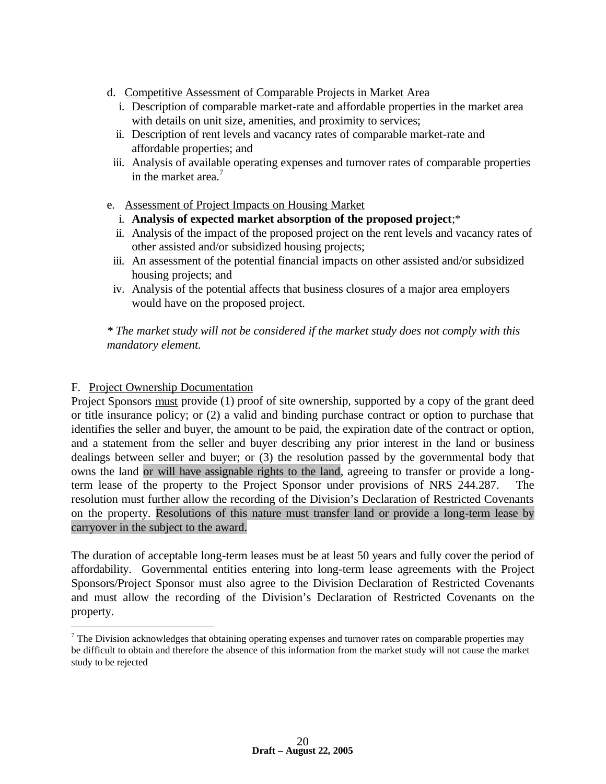- d. Competitive Assessment of Comparable Projects in Market Area
	- i. Description of comparable market-rate and affordable properties in the market area with details on unit size, amenities, and proximity to services;
	- ii. Description of rent levels and vacancy rates of comparable market-rate and affordable properties; and
- iii. Analysis of available operating expenses and turnover rates of comparable properties in the market area.<sup>7</sup>
- e. Assessment of Project Impacts on Housing Market
	- i. **Analysis of expected market absorption of the proposed project**;\*
	- ii. Analysis of the impact of the proposed project on the rent levels and vacancy rates of other assisted and/or subsidized housing projects;
	- iii. An assessment of the potential financial impacts on other assisted and/or subsidized housing projects; and
- iv. Analysis of the potential affects that business closures of a major area employers would have on the proposed project.

*\* The market study will not be considered if the market study does not comply with this mandatory element.*

# F. Project Ownership Documentation

 $\overline{a}$ 

Project Sponsors must provide (1) proof of site ownership, supported by a copy of the grant deed or title insurance policy; or (2) a valid and binding purchase contract or option to purchase that identifies the seller and buyer, the amount to be paid, the expiration date of the contract or option, and a statement from the seller and buyer describing any prior interest in the land or business dealings between seller and buyer; or (3) the resolution passed by the governmental body that owns the land or will have assignable rights to the land, agreeing to transfer or provide a longterm lease of the property to the Project Sponsor under provisions of NRS 244.287. The resolution must further allow the recording of the Division's Declaration of Restricted Covenants on the property. Resolutions of this nature must transfer land or provide a long-term lease by carryover in the subject to the award.

The duration of acceptable long-term leases must be at least 50 years and fully cover the period of affordability. Governmental entities entering into long-term lease agreements with the Project Sponsors/Project Sponsor must also agree to the Division Declaration of Restricted Covenants and must allow the recording of the Division's Declaration of Restricted Covenants on the property.

 $<sup>7</sup>$  The Division acknowledges that obtaining operating expenses and turnover rates on comparable properties may</sup> be difficult to obtain and therefore the absence of this information from the market study will not cause the market study to be rejected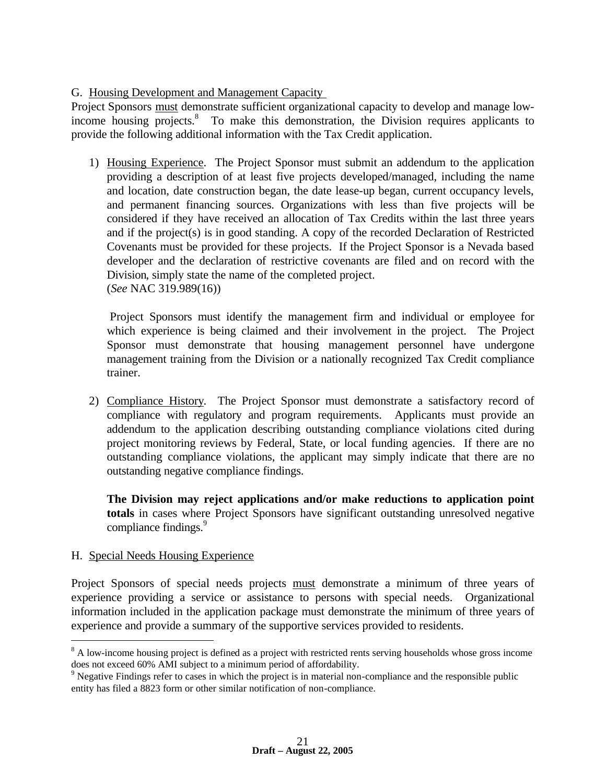# G. Housing Development and Management Capacity

Project Sponsors must demonstrate sufficient organizational capacity to develop and manage lowincome housing projects.<sup>8</sup> To make this demonstration, the Division requires applicants to provide the following additional information with the Tax Credit application.

1) Housing Experience. The Project Sponsor must submit an addendum to the application providing a description of at least five projects developed/managed, including the name and location, date construction began, the date lease-up began, current occupancy levels, and permanent financing sources. Organizations with less than five projects will be considered if they have received an allocation of Tax Credits within the last three years and if the project(s) is in good standing. A copy of the recorded Declaration of Restricted Covenants must be provided for these projects. If the Project Sponsor is a Nevada based developer and the declaration of restrictive covenants are filed and on record with the Division, simply state the name of the completed project. (*See* NAC 319.989(16))

 Project Sponsors must identify the management firm and individual or employee for which experience is being claimed and their involvement in the project. The Project Sponsor must demonstrate that housing management personnel have undergone management training from the Division or a nationally recognized Tax Credit compliance trainer.

2) Compliance History. The Project Sponsor must demonstrate a satisfactory record of compliance with regulatory and program requirements. Applicants must provide an addendum to the application describing outstanding compliance violations cited during project monitoring reviews by Federal, State, or local funding agencies. If there are no outstanding compliance violations, the applicant may simply indicate that there are no outstanding negative compliance findings.

**The Division may reject applications and/or make reductions to application point totals** in cases where Project Sponsors have significant outstanding unresolved negative compliance findings.<sup>9</sup>

#### H. Special Needs Housing Experience

 $\overline{a}$ 

Project Sponsors of special needs projects must demonstrate a minimum of three years of experience providing a service or assistance to persons with special needs. Organizational information included in the application package must demonstrate the minimum of three years of experience and provide a summary of the supportive services provided to residents.

<sup>&</sup>lt;sup>8</sup> A low-income housing project is defined as a project with restricted rents serving households whose gross income does not exceed 60% AMI subject to a minimum period of affordability.

<sup>&</sup>lt;sup>9</sup> Negative Findings refer to cases in which the project is in material non-compliance and the responsible public entity has filed a 8823 form or other similar notification of non-compliance.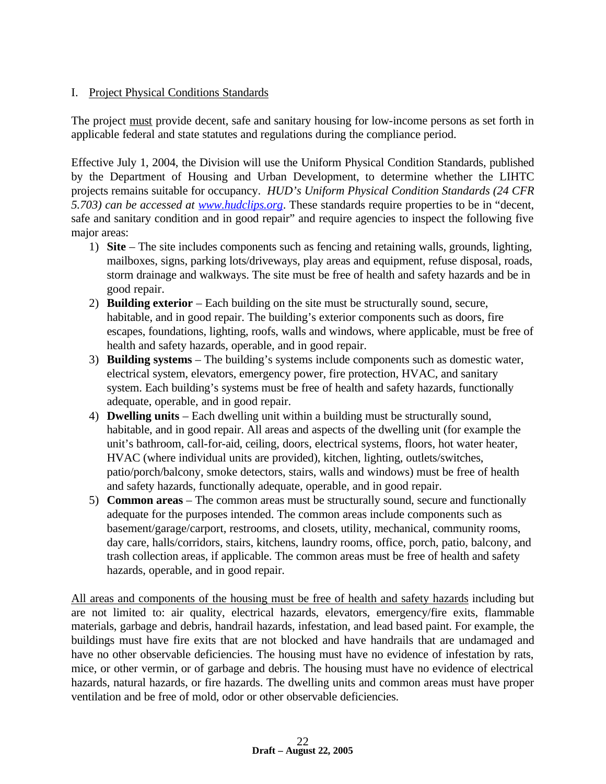## I. Project Physical Conditions Standards

The project must provide decent, safe and sanitary housing for low-income persons as set forth in applicable federal and state statutes and regulations during the compliance period.

Effective July 1, 2004, the Division will use the Uniform Physical Condition Standards, published by the Department of Housing and Urban Development, to determine whether the LIHTC projects remains suitable for occupancy. *HUD's Uniform Physical Condition Standards (24 CFR 5.703) can be accessed at www.hudclips.org*. These standards require properties to be in "decent, safe and sanitary condition and in good repair" and require agencies to inspect the following five major areas:

- 1) **Site**  The site includes components such as fencing and retaining walls, grounds, lighting, mailboxes, signs, parking lots/driveways, play areas and equipment, refuse disposal, roads, storm drainage and walkways. The site must be free of health and safety hazards and be in good repair.
- 2) **Building exterior**  Each building on the site must be structurally sound, secure, habitable, and in good repair. The building's exterior components such as doors, fire escapes, foundations, lighting, roofs, walls and windows, where applicable, must be free of health and safety hazards, operable, and in good repair.
- 3) **Building systems** The building's systems include components such as domestic water, electrical system, elevators, emergency power, fire protection, HVAC, and sanitary system. Each building's systems must be free of health and safety hazards, functionally adequate, operable, and in good repair.
- 4) **Dwelling units**  Each dwelling unit within a building must be structurally sound, habitable, and in good repair. All areas and aspects of the dwelling unit (for example the unit's bathroom, call-for-aid, ceiling, doors, electrical systems, floors, hot water heater, HVAC (where individual units are provided), kitchen, lighting, outlets/switches, patio/porch/balcony, smoke detectors, stairs, walls and windows) must be free of health and safety hazards, functionally adequate, operable, and in good repair.
- 5) **Common areas**  The common areas must be structurally sound, secure and functionally adequate for the purposes intended. The common areas include components such as basement/garage/carport, restrooms, and closets, utility, mechanical, community rooms, day care, halls/corridors, stairs, kitchens, laundry rooms, office, porch, patio, balcony, and trash collection areas, if applicable. The common areas must be free of health and safety hazards, operable, and in good repair.

All areas and components of the housing must be free of health and safety hazards including but are not limited to: air quality, electrical hazards, elevators, emergency/fire exits, flammable materials, garbage and debris, handrail hazards, infestation, and lead based paint. For example, the buildings must have fire exits that are not blocked and have handrails that are undamaged and have no other observable deficiencies. The housing must have no evidence of infestation by rats, mice, or other vermin, or of garbage and debris. The housing must have no evidence of electrical hazards, natural hazards, or fire hazards. The dwelling units and common areas must have proper ventilation and be free of mold, odor or other observable deficiencies.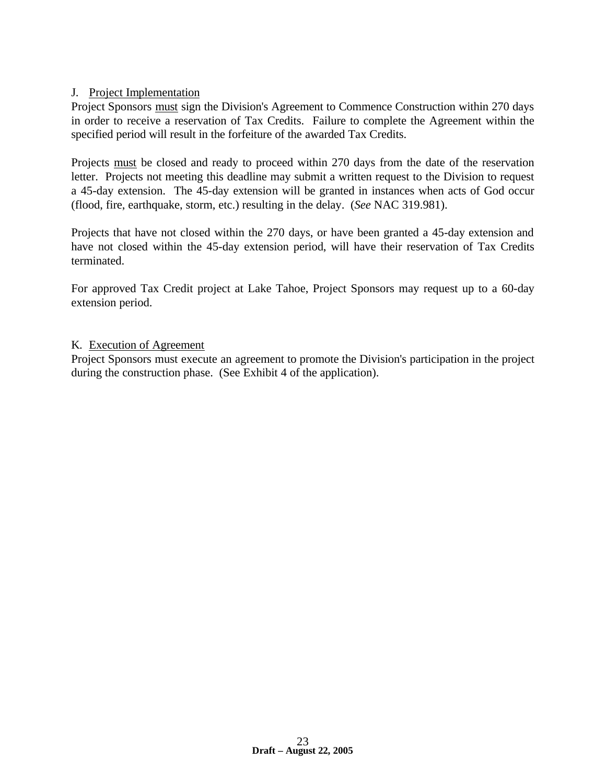#### J. Project Implementation

Project Sponsors must sign the Division's Agreement to Commence Construction within 270 days in order to receive a reservation of Tax Credits. Failure to complete the Agreement within the specified period will result in the forfeiture of the awarded Tax Credits.

Projects must be closed and ready to proceed within 270 days from the date of the reservation letter. Projects not meeting this deadline may submit a written request to the Division to request a 45-day extension. The 45-day extension will be granted in instances when acts of God occur (flood, fire, earthquake, storm, etc.) resulting in the delay. (*See* NAC 319.981).

Projects that have not closed within the 270 days, or have been granted a 45-day extension and have not closed within the 45-day extension period, will have their reservation of Tax Credits terminated.

For approved Tax Credit project at Lake Tahoe, Project Sponsors may request up to a 60-day extension period.

#### K. Execution of Agreement

Project Sponsors must execute an agreement to promote the Division's participation in the project during the construction phase. (See Exhibit 4 of the application).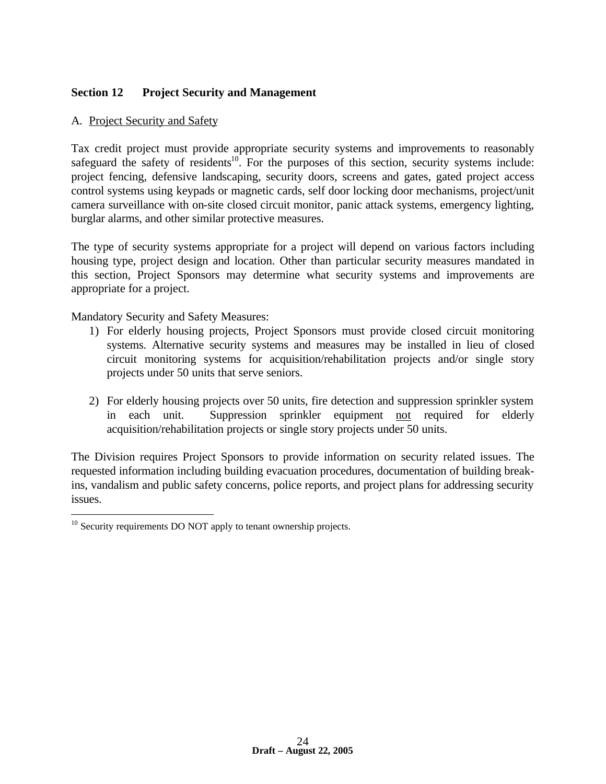# **Section 12 Project Security and Management**

#### A. Project Security and Safety

Tax credit project must provide appropriate security systems and improvements to reasonably safeguard the safety of residents<sup>10</sup>. For the purposes of this section, security systems include: project fencing, defensive landscaping, security doors, screens and gates, gated project access control systems using keypads or magnetic cards, self door locking door mechanisms, project/unit camera surveillance with on-site closed circuit monitor, panic attack systems, emergency lighting, burglar alarms, and other similar protective measures.

The type of security systems appropriate for a project will depend on various factors including housing type, project design and location. Other than particular security measures mandated in this section, Project Sponsors may determine what security systems and improvements are appropriate for a project.

Mandatory Security and Safety Measures:

- 1) For elderly housing projects, Project Sponsors must provide closed circuit monitoring systems. Alternative security systems and measures may be installed in lieu of closed circuit monitoring systems for acquisition/rehabilitation projects and/or single story projects under 50 units that serve seniors.
- 2) For elderly housing projects over 50 units, fire detection and suppression sprinkler system in each unit. Suppression sprinkler equipment not required for elderly acquisition/rehabilitation projects or single story projects under 50 units.

The Division requires Project Sponsors to provide information on security related issues. The requested information including building evacuation procedures, documentation of building breakins, vandalism and public safety concerns, police reports, and project plans for addressing security issues.

 $\overline{a}$  $10$  Security requirements DO NOT apply to tenant ownership projects.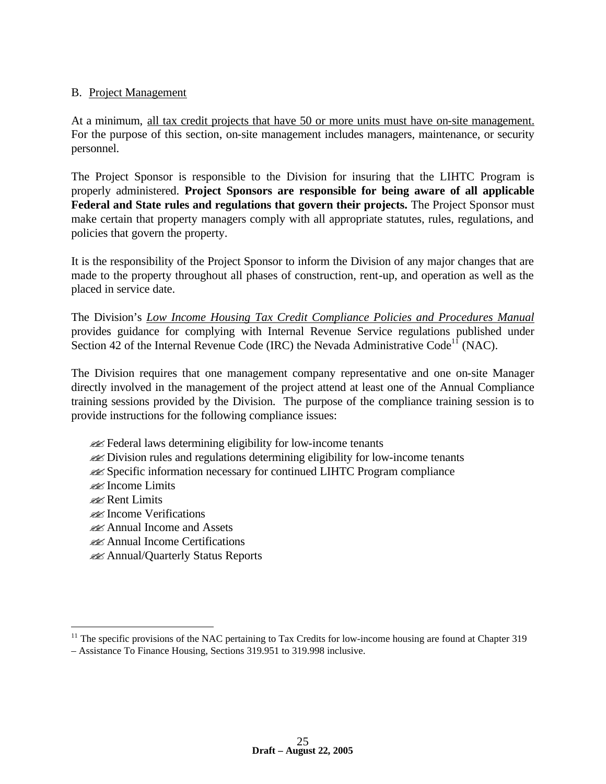#### B. Project Management

At a minimum, all tax credit projects that have 50 or more units must have on-site management. For the purpose of this section, on-site management includes managers, maintenance, or security personnel.

The Project Sponsor is responsible to the Division for insuring that the LIHTC Program is properly administered. **Project Sponsors are responsible for being aware of all applicable Federal and State rules and regulations that govern their projects.** The Project Sponsor must make certain that property managers comply with all appropriate statutes, rules, regulations, and policies that govern the property.

It is the responsibility of the Project Sponsor to inform the Division of any major changes that are made to the property throughout all phases of construction, rent-up, and operation as well as the placed in service date.

The Division's *Low Income Housing Tax Credit Compliance Policies and Procedures Manual* provides guidance for complying with Internal Revenue Service regulations published under Section 42 of the Internal Revenue Code (IRC) the Nevada Administrative Code<sup>11</sup> (NAC).

The Division requires that one management company representative and one on-site Manager directly involved in the management of the project attend at least one of the Annual Compliance training sessions provided by the Division. The purpose of the compliance training session is to provide instructions for the following compliance issues:

- **Example 12** Federal laws determining eligibility for low-income tenants
- ??Division rules and regulations determining eligibility for low-income tenants
- ??Specific information necessary for continued LIHTC Program compliance
- ??Income Limits
- *PR* Rent Limits

1

- ??Income Verifications
- **EXAnnual Income and Assets**
- ??Annual Income Certifications
- **Examinary Status Reports**

 $11$  The specific provisions of the NAC pertaining to Tax Credits for low-income housing are found at Chapter 319 – Assistance To Finance Housing, Sections 319.951 to 319.998 inclusive.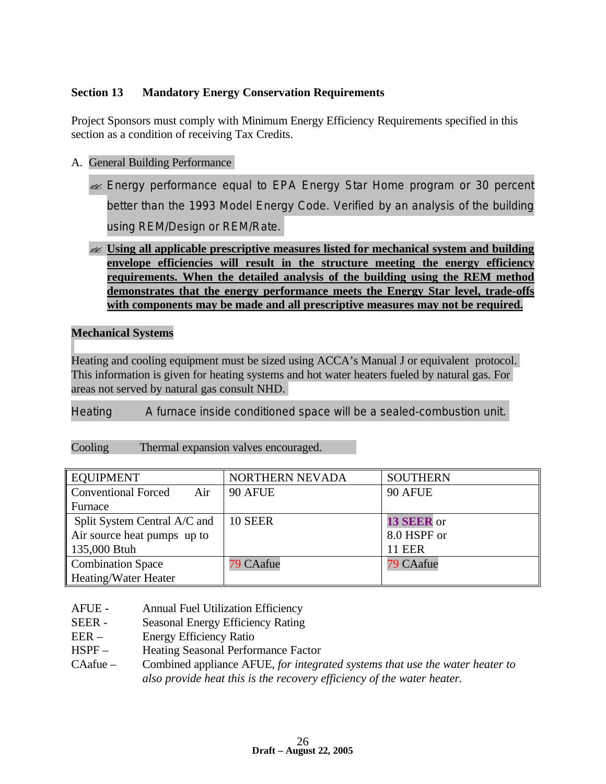# **Section 13 Mandatory Energy Conservation Requirements**

Project Sponsors must comply with Minimum Energy Efficiency Requirements specified in this section as a condition of receiving Tax Credits.

- A. General Building Performance
	- **Energy performance equal to EPA Energy Star Home program or 30 percent** better than the 1993 Model Energy Code. Verified by an analysis of the building using REM/Design or REM/Rate.
	- ?? **Using all applicable prescriptive measures listed for mechanical system and building envelope efficiencies will result in the structure meeting the energy efficiency requirements. When the detailed analysis of the building using the REM method demonstrates that the energy performance meets the Energy Star level, trade-offs with components may be made and all prescriptive measures may not be required.**

#### **Mechanical Systems**

Heating and cooling equipment must be sized using ACCA's Manual J or equivalent protocol. This information is given for heating systems and hot water heaters fueled by natural gas. For areas not served by natural gas consult NHD.

Heating A furnace inside conditioned space will be a sealed-combustion unit.

| Cooling |  |  |  | Thermal expansion valves encouraged. |
|---------|--|--|--|--------------------------------------|
|---------|--|--|--|--------------------------------------|

| <b>EQUIPMENT</b>                  | NORTHERN NEVADA | <b>SOUTHERN</b> |
|-----------------------------------|-----------------|-----------------|
| <b>Conventional Forced</b><br>Air | 90 AFUE         | 90 AFUE         |
| Furnace                           |                 |                 |
| Split System Central A/C and      | 10 SEER         | 13 SEER or      |
| Air source heat pumps up to       |                 | 8.0 HSPF or     |
| 135,000 Btuh                      |                 | <b>11 EER</b>   |
| <b>Combination Space</b>          | 79 CAafue       | 79 CAafue       |
| Heating/Water Heater              |                 |                 |

- AFUE Annual Fuel Utilization Efficiency
- SEER Seasonal Energy Efficiency Rating
- EER Energy Efficiency Ratio
- HSPF Heating Seasonal Performance Factor
- CAafue Combined appliance AFUE, *for integrated systems that use the water heater to also provide heat this is the recovery efficiency of the water heater.*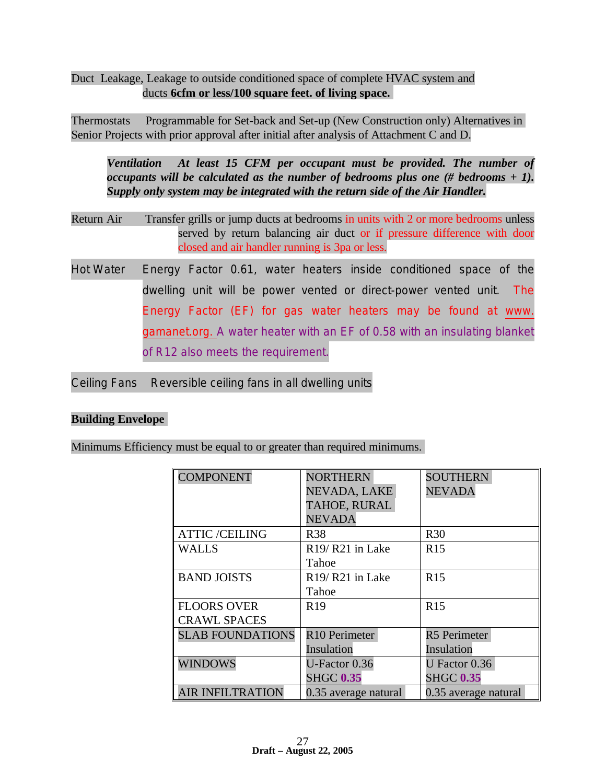Duct Leakage, Leakage to outside conditioned space of complete HVAC system and ducts **6cfm or less/100 square feet. of living space.**

Thermostats Programmable for Set-back and Set-up (New Construction only) Alternatives in Senior Projects with prior approval after initial after analysis of Attachment C and D.

*Ventilation At least 15 CFM per occupant must be provided. The number of occupants will be calculated as the number of bedrooms plus one (# bedrooms + 1). Supply only system may be integrated with the return side of the Air Handler.*

- Return Air Transfer grills or jump ducts at bedrooms in units with 2 or more bedrooms unless served by return balancing air duct or if pressure difference with door closed and air handler running is 3pa or less.
- Hot Water Energy Factor 0.61, water heaters inside conditioned space of the dwelling unit will be power vented or direct-power vented unit. The Energy Factor (EF) for gas water heaters may be found at www. gamanet.org. A water heater with an EF of 0.58 with an insulating blanket of R12 also meets the requirement.

Ceiling Fans Reversible ceiling fans in all dwelling units

#### **Building Envelope**

Minimums Efficiency must be equal to or greater than required minimums.

| <b>COMPONENT</b>        | <b>NORTHERN</b>                          | <b>SOUTHERN</b>      |
|-------------------------|------------------------------------------|----------------------|
|                         | NEVADA, LAKE                             | <b>NEVADA</b>        |
|                         | TAHOE, RURAL                             |                      |
|                         | <b>NEVADA</b>                            |                      |
| <b>ATTIC/CEILING</b>    | <b>R38</b>                               | <b>R30</b>           |
| <b>WALLS</b>            | R <sub>19</sub> /R <sub>21</sub> in Lake | R15                  |
|                         | Tahoe                                    |                      |
| <b>BAND JOISTS</b>      | R <sub>19</sub> /R <sub>21</sub> in Lake | <b>R15</b>           |
|                         | Tahoe                                    |                      |
| <b>FLOORS OVER</b>      | R <sub>19</sub>                          | R <sub>15</sub>      |
| <b>CRAWL SPACES</b>     |                                          |                      |
| <b>SLAB FOUNDATIONS</b> | R10 Perimeter                            | <b>R5</b> Perimeter  |
|                         | Insulation                               | Insulation           |
| <b>WINDOWS</b>          | U-Factor 0.36                            | U Factor 0.36        |
|                         | <b>SHGC 0.35</b>                         | <b>SHGC 0.35</b>     |
| <b>AIR INFILTRATION</b> | 0.35 average natural                     | 0.35 average natural |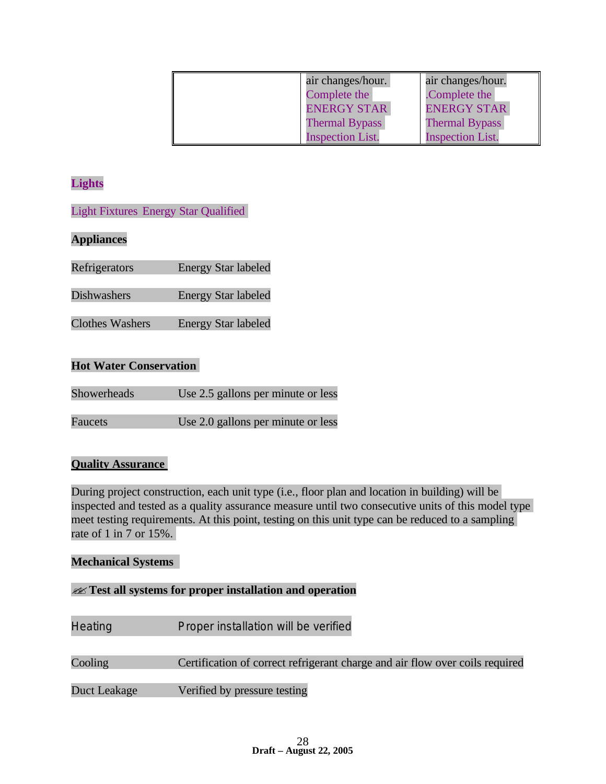| air changes/hour.       | air changes/hour.       |
|-------------------------|-------------------------|
| Complete the            | Complete the            |
| <b>ENERGY STAR</b>      | <b>ENERGY STAR</b>      |
| <b>Thermal Bypass</b>   | <b>Thermal Bypass</b>   |
| <b>Inspection List.</b> | <b>Inspection List.</b> |

# **Lights**

Light Fixtures Energy Star Qualified

# **Appliances**

| <b>Energy Star labeled</b> |
|----------------------------|
|                            |

Dishwashers Energy Star labeled

Clothes Washers Energy Star labeled

#### **Hot Water Conservation**

| <b>Showerheads</b> | Use 2.5 gallons per minute or less |
|--------------------|------------------------------------|
|                    |                                    |
| Faucets            | Use 2.0 gallons per minute or less |

# **Quality Assurance**

During project construction, each unit type (i.e., floor plan and location in building) will be inspected and tested as a quality assurance measure until two consecutive units of this model type meet testing requirements. At this point, testing on this unit type can be reduced to a sampling rate of 1 in 7 or 15%.

#### **Mechanical Systems**

#### ??**Test all systems for proper installation and operation**

Heating Proper installation will be verified

Cooling Certification of correct refrigerant charge and air flow over coils required

Duct Leakage Verified by pressure testing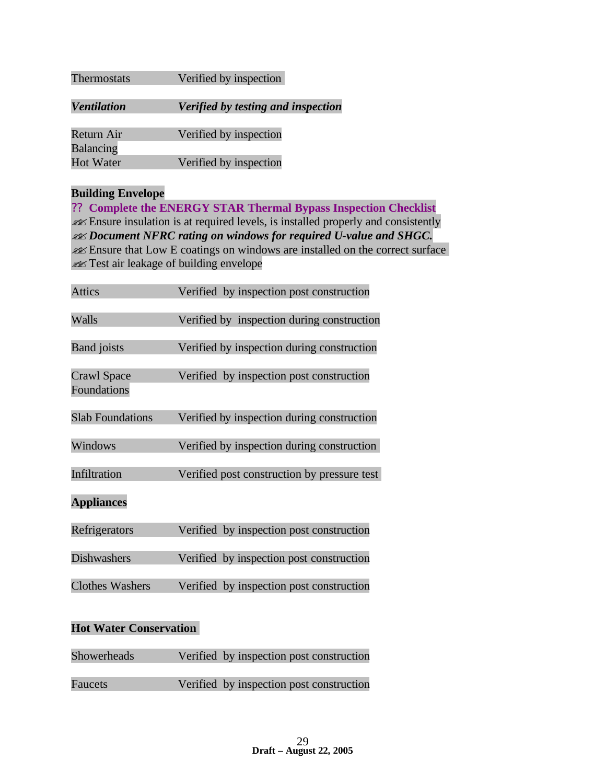| Thermostats                          | Verified by inspection             |
|--------------------------------------|------------------------------------|
| <b>Ventilation</b>                   | Verified by testing and inspection |
| Return Air                           | Verified by inspection             |
| <b>Balancing</b><br><b>Hot Water</b> | Verified by inspection             |

# **Building Envelope**

?? **Complete the ENERGY STAR Thermal Bypass Inspection Checklist** ??Ensure insulation is at required levels, is installed properly and consistently ??*Document NFRC rating on windows for required U-value and SHGC.* **Ensure that Low E coatings on windows are installed on the correct surface Example 3** Test air leakage of building envelope

| <b>Attics</b>                            | Verified by inspection post construction    |
|------------------------------------------|---------------------------------------------|
| Walls                                    | Verified by inspection during construction  |
| <b>Band</b> joists                       | Verified by inspection during construction  |
| <b>Crawl Space</b><br><b>Foundations</b> | Verified by inspection post construction    |
| <b>Slab Foundations</b>                  | Verified by inspection during construction  |
| Windows                                  | Verified by inspection during construction  |
| Infiltration                             | Verified post construction by pressure test |
| <b>Appliances</b>                        |                                             |
| Refrigerators                            | Verified by inspection post construction    |
| <b>Dishwashers</b>                       | Verified by inspection post construction    |
| <b>Clothes Washers</b>                   | Verified by inspection post construction    |

# **Hot Water Conservation**

| <b>Showerheads</b> | Verified by inspection post construction |
|--------------------|------------------------------------------|
| <b>Faucets</b>     | Verified by inspection post construction |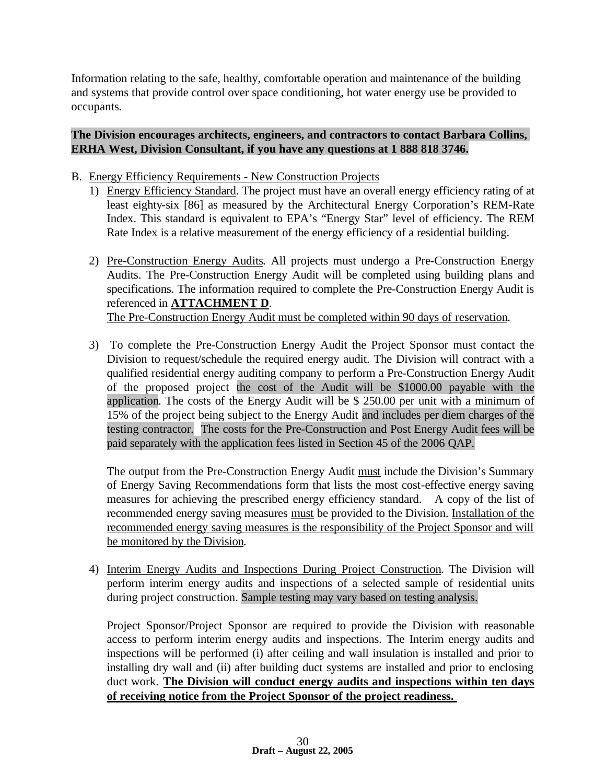Information relating to the safe, healthy, comfortable operation and maintenance of the building and systems that provide control over space conditioning, hot water energy use be provided to occupants.

#### **The Division encourages architects, engineers, and contractors to contact Barbara Collins, ERHA West, Division Consultant, if you have any questions at 1 888 818 3746.**

- B. Energy Efficiency Requirements New Construction Projects
	- 1) Energy Efficiency Standard. The project must have an overall energy efficiency rating of at least eighty-six [86] as measured by the Architectural Energy Corporation's REM-Rate Index. This standard is equivalent to EPA's "Energy Star" level of efficiency. The REM Rate Index is a relative measurement of the energy efficiency of a residential building.
	- 2) Pre-Construction Energy Audits. All projects must undergo a Pre-Construction Energy Audits. The Pre-Construction Energy Audit will be completed using building plans and specifications. The information required to complete the Pre-Construction Energy Audit is referenced in **ATTACHMENT D**. The Pre-Construction Energy Audit must be completed within 90 days of reservation.
	- 3) To complete the Pre-Construction Energy Audit the Project Sponsor must contact the Division to request/schedule the required energy audit. The Division will contract with a qualified residential energy auditing company to perform a Pre-Construction Energy Audit of the proposed project the cost of the Audit will be \$1000.00 payable with the application. The costs of the Energy Audit will be \$ 250.00 per unit with a minimum of 15% of the project being subject to the Energy Audit and includes per diem charges of the testing contractor. The costs for the Pre-Construction and Post Energy Audit fees will be paid separately with the application fees listed in Section 45 of the 2006 QAP.

The output from the Pre-Construction Energy Audit must include the Division's Summary of Energy Saving Recommendations form that lists the most cost-effective energy saving measures for achieving the prescribed energy efficiency standard. A copy of the list of recommended energy saving measures must be provided to the Division. Installation of the recommended energy saving measures is the responsibility of the Project Sponsor and will be monitored by the Division.

4) Interim Energy Audits and Inspections During Project Construction. The Division will perform interim energy audits and inspections of a selected sample of residential units during project construction. Sample testing may vary based on testing analysis.

Project Sponsor/Project Sponsor are required to provide the Division with reasonable access to perform interim energy audits and inspections. The Interim energy audits and inspections will be performed (i) after ceiling and wall insulation is installed and prior to installing dry wall and (ii) after building duct systems are installed and prior to enclosing duct work. **The Division will conduct energy audits and inspections within ten days of receiving notice from the Project Sponsor of the project readiness.**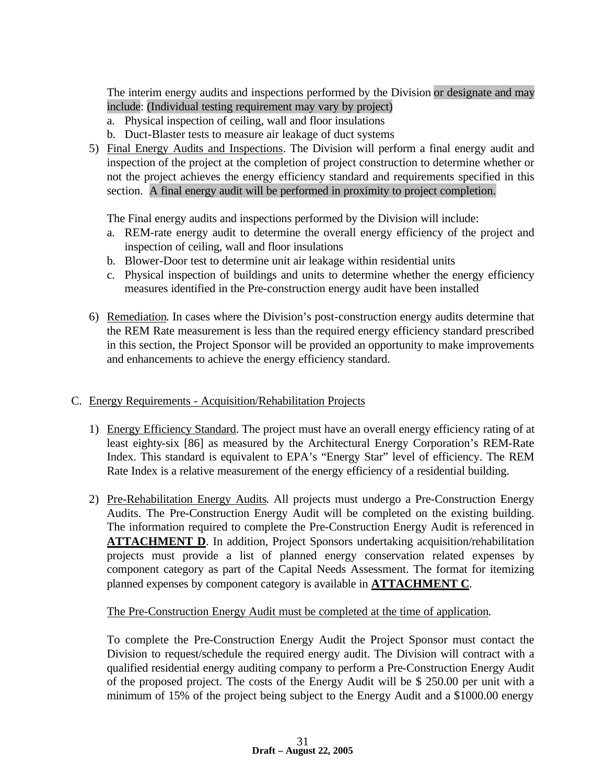The interim energy audits and inspections performed by the Division or designate and may include: (Individual testing requirement may vary by project)

- a. Physical inspection of ceiling, wall and floor insulations
- b. Duct-Blaster tests to measure air leakage of duct systems
- 5) Final Energy Audits and Inspections. The Division will perform a final energy audit and inspection of the project at the completion of project construction to determine whether or not the project achieves the energy efficiency standard and requirements specified in this section. A final energy audit will be performed in proximity to project completion.

The Final energy audits and inspections performed by the Division will include:

- a. REM-rate energy audit to determine the overall energy efficiency of the project and inspection of ceiling, wall and floor insulations
- b. Blower-Door test to determine unit air leakage within residential units
- c. Physical inspection of buildings and units to determine whether the energy efficiency measures identified in the Pre-construction energy audit have been installed
- 6) Remediation. In cases where the Division's post-construction energy audits determine that the REM Rate measurement is less than the required energy efficiency standard prescribed in this section, the Project Sponsor will be provided an opportunity to make improvements and enhancements to achieve the energy efficiency standard.

#### C. Energy Requirements - Acquisition/Rehabilitation Projects

- 1) Energy Efficiency Standard. The project must have an overall energy efficiency rating of at least eighty-six [86] as measured by the Architectural Energy Corporation's REM-Rate Index. This standard is equivalent to EPA's "Energy Star" level of efficiency. The REM Rate Index is a relative measurement of the energy efficiency of a residential building.
- 2) Pre-Rehabilitation Energy Audits. All projects must undergo a Pre-Construction Energy Audits. The Pre-Construction Energy Audit will be completed on the existing building. The information required to complete the Pre-Construction Energy Audit is referenced in **ATTACHMENT D**. In addition, Project Sponsors undertaking acquisition/rehabilitation projects must provide a list of planned energy conservation related expenses by component category as part of the Capital Needs Assessment. The format for itemizing planned expenses by component category is available in **ATTACHMENT C**.

#### The Pre-Construction Energy Audit must be completed at the time of application.

To complete the Pre-Construction Energy Audit the Project Sponsor must contact the Division to request/schedule the required energy audit. The Division will contract with a qualified residential energy auditing company to perform a Pre-Construction Energy Audit of the proposed project. The costs of the Energy Audit will be \$ 250.00 per unit with a minimum of 15% of the project being subject to the Energy Audit and a \$1000.00 energy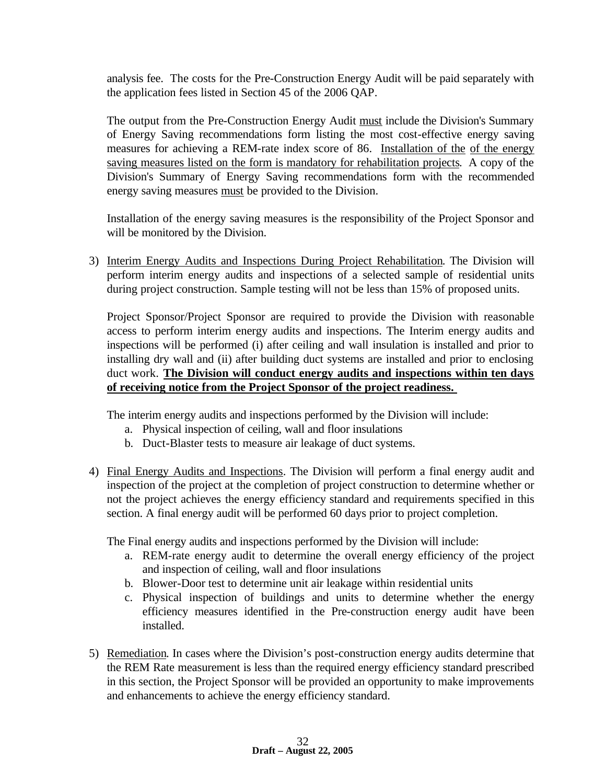analysis fee. The costs for the Pre-Construction Energy Audit will be paid separately with the application fees listed in Section 45 of the 2006 QAP.

The output from the Pre-Construction Energy Audit must include the Division's Summary of Energy Saving recommendations form listing the most cost-effective energy saving measures for achieving a REM-rate index score of 86. Installation of the of the energy saving measures listed on the form is mandatory for rehabilitation projects. A copy of the Division's Summary of Energy Saving recommendations form with the recommended energy saving measures must be provided to the Division.

Installation of the energy saving measures is the responsibility of the Project Sponsor and will be monitored by the Division.

3) Interim Energy Audits and Inspections During Project Rehabilitation. The Division will perform interim energy audits and inspections of a selected sample of residential units during project construction. Sample testing will not be less than 15% of proposed units.

Project Sponsor/Project Sponsor are required to provide the Division with reasonable access to perform interim energy audits and inspections. The Interim energy audits and inspections will be performed (i) after ceiling and wall insulation is installed and prior to installing dry wall and (ii) after building duct systems are installed and prior to enclosing duct work. **The Division will conduct energy audits and inspections within ten days of receiving notice from the Project Sponsor of the project readiness.** 

The interim energy audits and inspections performed by the Division will include:

- a. Physical inspection of ceiling, wall and floor insulations
- b. Duct-Blaster tests to measure air leakage of duct systems.
- 4) Final Energy Audits and Inspections. The Division will perform a final energy audit and inspection of the project at the completion of project construction to determine whether or not the project achieves the energy efficiency standard and requirements specified in this section. A final energy audit will be performed 60 days prior to project completion.

The Final energy audits and inspections performed by the Division will include:

- a. REM-rate energy audit to determine the overall energy efficiency of the project and inspection of ceiling, wall and floor insulations
- b. Blower-Door test to determine unit air leakage within residential units
- c. Physical inspection of buildings and units to determine whether the energy efficiency measures identified in the Pre-construction energy audit have been installed.
- 5) Remediation. In cases where the Division's post-construction energy audits determine that the REM Rate measurement is less than the required energy efficiency standard prescribed in this section, the Project Sponsor will be provided an opportunity to make improvements and enhancements to achieve the energy efficiency standard.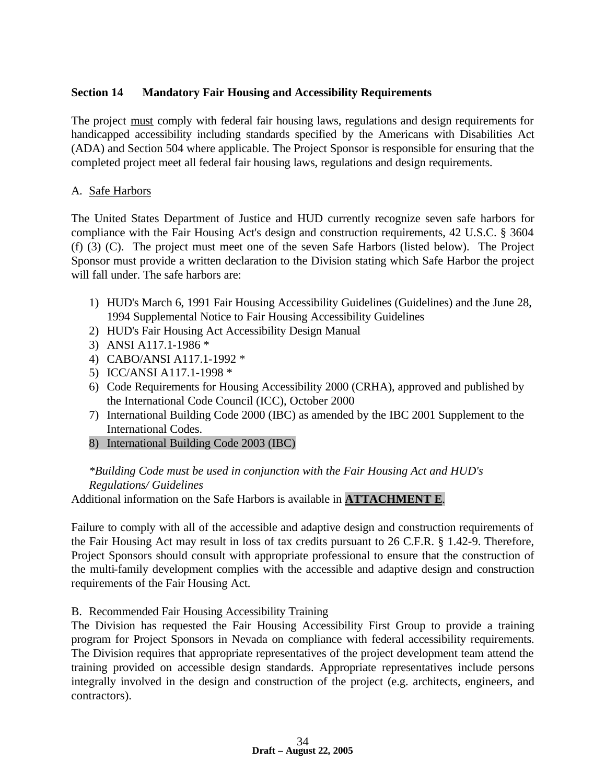## **Section 14 Mandatory Fair Housing and Accessibility Requirements**

The project must comply with federal fair housing laws, regulations and design requirements for handicapped accessibility including standards specified by the Americans with Disabilities Act (ADA) and Section 504 where applicable. The Project Sponsor is responsible for ensuring that the completed project meet all federal fair housing laws, regulations and design requirements.

## A. Safe Harbors

The United States Department of Justice and HUD currently recognize seven safe harbors for compliance with the Fair Housing Act's design and construction requirements, 42 U.S.C. § 3604 (f) (3) (C). The project must meet one of the seven Safe Harbors (listed below). The Project Sponsor must provide a written declaration to the Division stating which Safe Harbor the project will fall under. The safe harbors are:

- 1) HUD's March 6, 1991 Fair Housing Accessibility Guidelines (Guidelines) and the June 28, 1994 Supplemental Notice to Fair Housing Accessibility Guidelines
- 2) HUD's Fair Housing Act Accessibility Design Manual
- 3) ANSI A117.1-1986 \*
- 4) CABO/ANSI A117.1-1992 \*
- 5) ICC/ANSI A117.1-1998 \*
- 6) Code Requirements for Housing Accessibility 2000 (CRHA), approved and published by the International Code Council (ICC), October 2000
- 7) International Building Code 2000 (IBC) as amended by the IBC 2001 Supplement to the International Codes.
- 8) International Building Code 2003 (IBC)

## *\*Building Code must be used in conjunction with the Fair Housing Act and HUD's Regulations/ Guidelines*

Additional information on the Safe Harbors is available in **ATTACHMENT E**.

Failure to comply with all of the accessible and adaptive design and construction requirements of the Fair Housing Act may result in loss of tax credits pursuant to 26 C.F.R. § 1.42-9. Therefore, Project Sponsors should consult with appropriate professional to ensure that the construction of the multi-family development complies with the accessible and adaptive design and construction requirements of the Fair Housing Act.

## B. Recommended Fair Housing Accessibility Training

The Division has requested the Fair Housing Accessibility First Group to provide a training program for Project Sponsors in Nevada on compliance with federal accessibility requirements. The Division requires that appropriate representatives of the project development team attend the training provided on accessible design standards. Appropriate representatives include persons integrally involved in the design and construction of the project (e.g. architects, engineers, and contractors).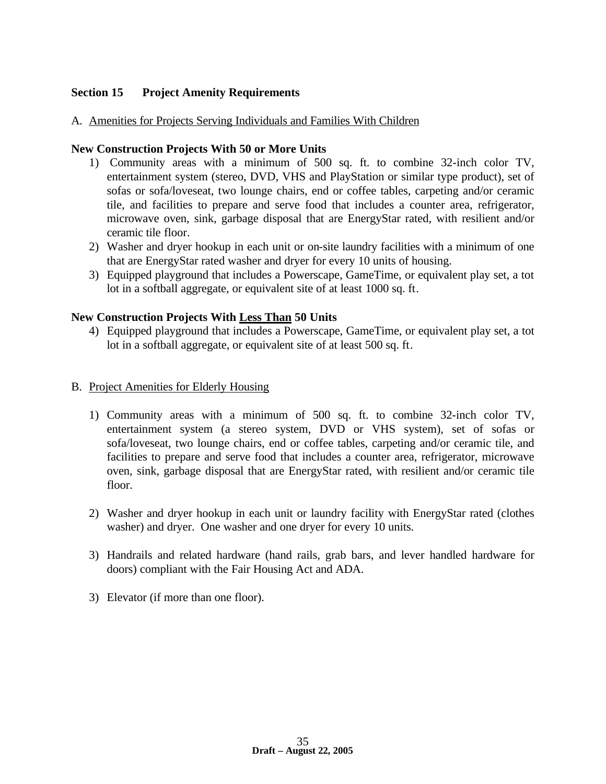## **Section 15 Project Amenity Requirements**

#### A. Amenities for Projects Serving Individuals and Families With Children

#### **New Construction Projects With 50 or More Units**

- 1) Community areas with a minimum of 500 sq. ft. to combine 32-inch color TV, entertainment system (stereo, DVD, VHS and PlayStation or similar type product), set of sofas or sofa/loveseat, two lounge chairs, end or coffee tables, carpeting and/or ceramic tile, and facilities to prepare and serve food that includes a counter area, refrigerator, microwave oven, sink, garbage disposal that are EnergyStar rated, with resilient and/or ceramic tile floor.
- 2) Washer and dryer hookup in each unit or on-site laundry facilities with a minimum of one that are EnergyStar rated washer and dryer for every 10 units of housing.
- 3) Equipped playground that includes a Powerscape, GameTime, or equivalent play set, a tot lot in a softball aggregate, or equivalent site of at least 1000 sq. ft.

#### **New Construction Projects With Less Than 50 Units**

4) Equipped playground that includes a Powerscape, GameTime, or equivalent play set, a tot lot in a softball aggregate, or equivalent site of at least 500 sq. ft.

#### B. Project Amenities for Elderly Housing

- 1) Community areas with a minimum of 500 sq. ft. to combine 32-inch color TV, entertainment system (a stereo system, DVD or VHS system), set of sofas or sofa/loveseat, two lounge chairs, end or coffee tables, carpeting and/or ceramic tile, and facilities to prepare and serve food that includes a counter area, refrigerator, microwave oven, sink, garbage disposal that are EnergyStar rated, with resilient and/or ceramic tile floor.
- 2) Washer and dryer hookup in each unit or laundry facility with EnergyStar rated (clothes washer) and dryer. One washer and one dryer for every 10 units.
- 3) Handrails and related hardware (hand rails, grab bars, and lever handled hardware for doors) compliant with the Fair Housing Act and ADA.
- 3) Elevator (if more than one floor).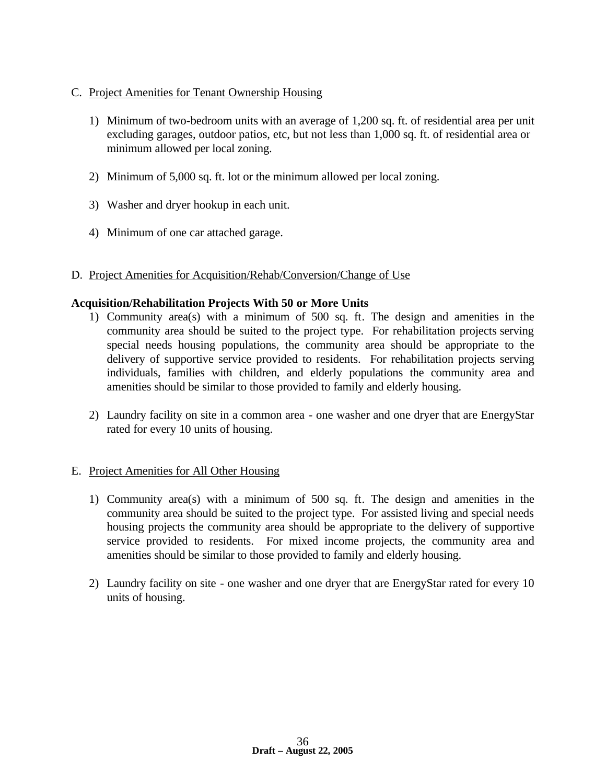### C. Project Amenities for Tenant Ownership Housing

- 1) Minimum of two-bedroom units with an average of 1,200 sq. ft. of residential area per unit excluding garages, outdoor patios, etc, but not less than 1,000 sq. ft. of residential area or minimum allowed per local zoning.
- 2) Minimum of 5,000 sq. ft. lot or the minimum allowed per local zoning.
- 3) Washer and dryer hookup in each unit.
- 4) Minimum of one car attached garage.

#### D. Project Amenities for Acquisition/Rehab/Conversion/Change of Use

#### **Acquisition/Rehabilitation Projects With 50 or More Units**

- 1) Community area(s) with a minimum of 500 sq. ft. The design and amenities in the community area should be suited to the project type. For rehabilitation projects serving special needs housing populations, the community area should be appropriate to the delivery of supportive service provided to residents. For rehabilitation projects serving individuals, families with children, and elderly populations the community area and amenities should be similar to those provided to family and elderly housing.
- 2) Laundry facility on site in a common area one washer and one dryer that are EnergyStar rated for every 10 units of housing.

#### E. Project Amenities for All Other Housing

- 1) Community area(s) with a minimum of 500 sq. ft. The design and amenities in the community area should be suited to the project type. For assisted living and special needs housing projects the community area should be appropriate to the delivery of supportive service provided to residents. For mixed income projects, the community area and amenities should be similar to those provided to family and elderly housing.
- 2) Laundry facility on site one washer and one dryer that are EnergyStar rated for every 10 units of housing.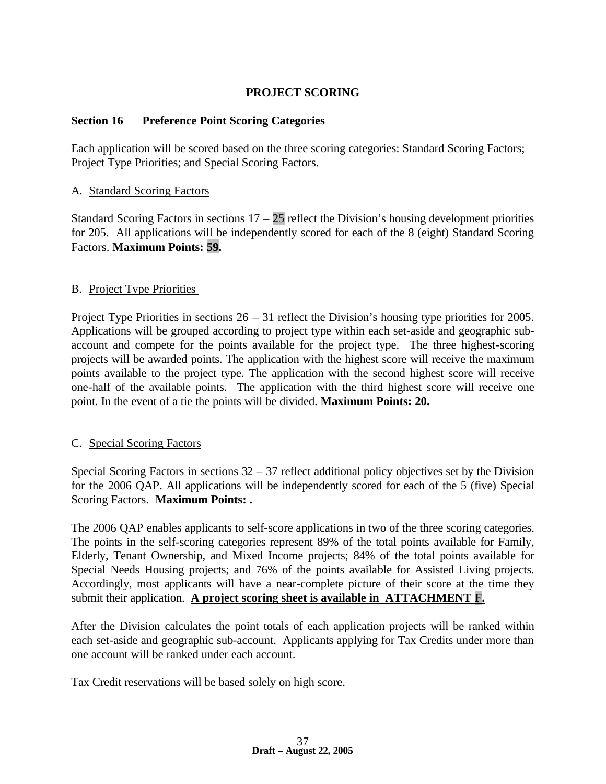## **PROJECT SCORING**

#### **Section 16 Preference Point Scoring Categories**

Each application will be scored based on the three scoring categories: Standard Scoring Factors; Project Type Priorities; and Special Scoring Factors.

#### A. Standard Scoring Factors

Standard Scoring Factors in sections  $17 - 25$  reflect the Division's housing development priorities for 205. All applications will be independently scored for each of the 8 (eight) Standard Scoring Factors. **Maximum Points: 59.**

#### B. Project Type Priorities

Project Type Priorities in sections 26 – 31 reflect the Division's housing type priorities for 2005. Applications will be grouped according to project type within each set-aside and geographic subaccount and compete for the points available for the project type. The three highest-scoring projects will be awarded points. The application with the highest score will receive the maximum points available to the project type. The application with the second highest score will receive one-half of the available points. The application with the third highest score will receive one point. In the event of a tie the points will be divided. **Maximum Points: 20.**

#### C. Special Scoring Factors

Special Scoring Factors in sections  $32 - 37$  reflect additional policy objectives set by the Division for the 2006 QAP. All applications will be independently scored for each of the 5 (five) Special Scoring Factors. **Maximum Points: .**

The 2006 QAP enables applicants to self-score applications in two of the three scoring categories. The points in the self-scoring categories represent 89% of the total points available for Family, Elderly, Tenant Ownership, and Mixed Income projects; 84% of the total points available for Special Needs Housing projects; and 76% of the points available for Assisted Living projects. Accordingly, most applicants will have a near-complete picture of their score at the time they submit their application. **A project scoring sheet is available in ATTACHMENT F.**

After the Division calculates the point totals of each application projects will be ranked within each set-aside and geographic sub-account. Applicants applying for Tax Credits under more than one account will be ranked under each account.

Tax Credit reservations will be based solely on high score.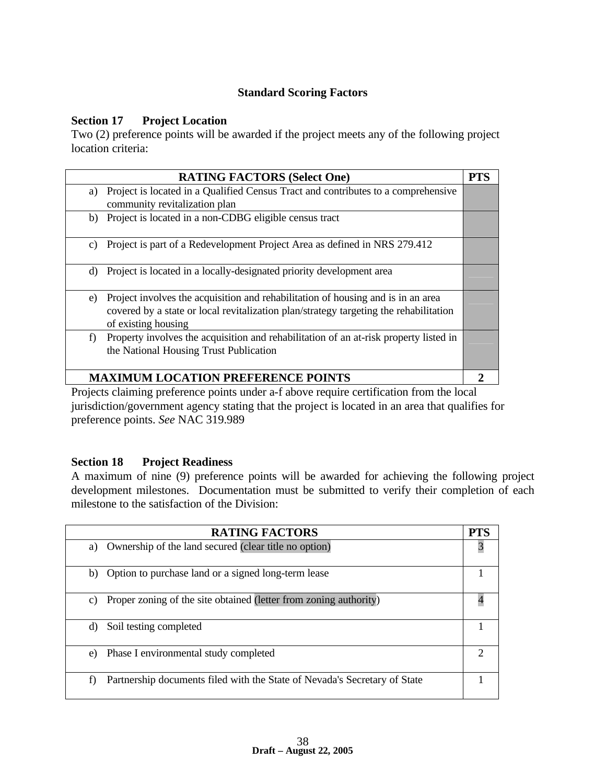## **Standard Scoring Factors**

#### **Section 17 Project Location**

Two (2) preference points will be awarded if the project meets any of the following project location criteria:

|    | <b>RATING FACTORS (Select One)</b>                                                                                                                                                               | PTS |
|----|--------------------------------------------------------------------------------------------------------------------------------------------------------------------------------------------------|-----|
| a) | Project is located in a Qualified Census Tract and contributes to a comprehensive<br>community revitalization plan                                                                               |     |
| b) | Project is located in a non-CDBG eligible census tract                                                                                                                                           |     |
| C) | Project is part of a Redevelopment Project Area as defined in NRS 279.412                                                                                                                        |     |
| d) | Project is located in a locally-designated priority development area                                                                                                                             |     |
| e) | Project involves the acquisition and rehabilitation of housing and is in an area<br>covered by a state or local revitalization plan/strategy targeting the rehabilitation<br>of existing housing |     |
| f) | Property involves the acquisition and rehabilitation of an at-risk property listed in<br>the National Housing Trust Publication                                                                  |     |
|    | <b>MAXIMUM LOCATION PREFERENCE POINTS</b>                                                                                                                                                        |     |

Projects claiming preference points under a-f above require certification from the local jurisdiction/government agency stating that the project is located in an area that qualifies for preference points. *See* NAC 319.989

## **Section 18 Project Readiness**

A maximum of nine (9) preference points will be awarded for achieving the following project development milestones. Documentation must be submitted to verify their completion of each milestone to the satisfaction of the Division:

| <b>RATING FACTORS</b>                                                           | <b>PTS</b> |
|---------------------------------------------------------------------------------|------------|
| Ownership of the land secured (clear title no option)<br>a)                     | 3          |
| Option to purchase land or a signed long-term lease<br>b)                       |            |
| Proper zoning of the site obtained (letter from zoning authority)<br>C)         |            |
| Soil testing completed<br>d)                                                    |            |
| Phase I environmental study completed<br>e)                                     | 2          |
| Partnership documents filed with the State of Nevada's Secretary of State<br>f) |            |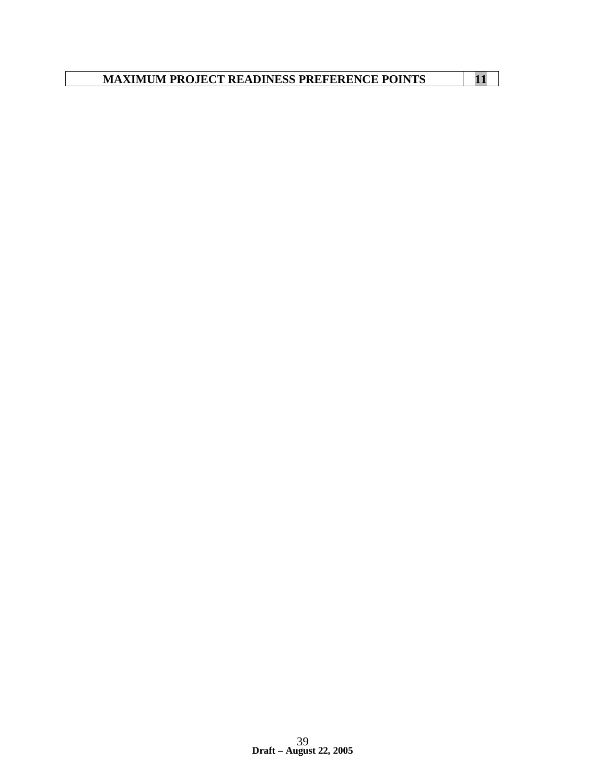**MAXIMUM PROJECT READINESS PREFERENCE POINTS 11**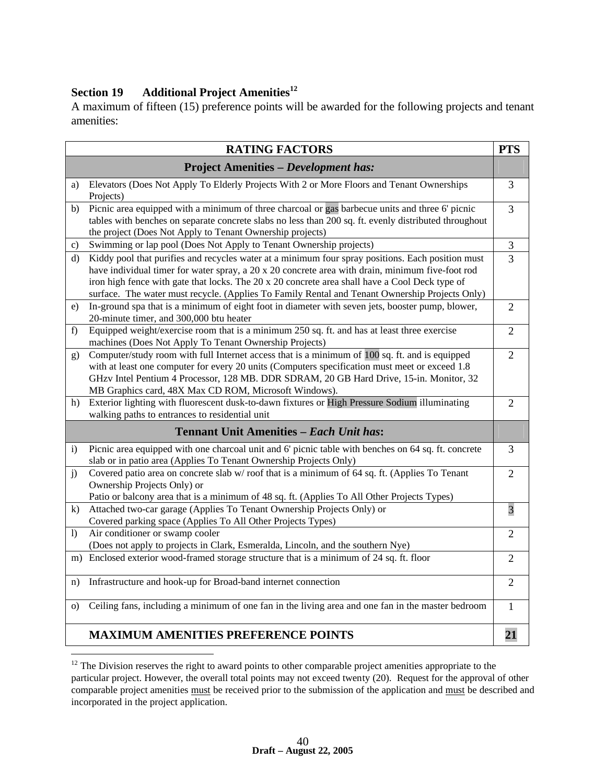# **Section 19 Additional Project Amenities<sup>12</sup>**

 $\overline{a}$ 

A maximum of fifteen (15) preference points will be awarded for the following projects and tenant amenities:

|              | <b>RATING FACTORS</b>                                                                                                                                                                                                                                                                                                                                                                                     | <b>PTS</b>     |
|--------------|-----------------------------------------------------------------------------------------------------------------------------------------------------------------------------------------------------------------------------------------------------------------------------------------------------------------------------------------------------------------------------------------------------------|----------------|
|              | <b>Project Amenities - Development has:</b>                                                                                                                                                                                                                                                                                                                                                               |                |
| a)           | Elevators (Does Not Apply To Elderly Projects With 2 or More Floors and Tenant Ownerships<br>Projects)                                                                                                                                                                                                                                                                                                    | 3              |
| b)           | Picnic area equipped with a minimum of three charcoal or gas barbecue units and three 6' picnic<br>tables with benches on separate concrete slabs no less than 200 sq. ft. evenly distributed throughout<br>the project (Does Not Apply to Tenant Ownership projects)                                                                                                                                     | $\overline{3}$ |
| c)           | Swimming or lap pool (Does Not Apply to Tenant Ownership projects)                                                                                                                                                                                                                                                                                                                                        | 3              |
| d)           | Kiddy pool that purifies and recycles water at a minimum four spray positions. Each position must<br>have individual timer for water spray, a 20 x 20 concrete area with drain, minimum five-foot rod<br>iron high fence with gate that locks. The 20 x 20 concrete area shall have a Cool Deck type of<br>surface. The water must recycle. (Applies To Family Rental and Tenant Ownership Projects Only) | 3              |
| e)           | In-ground spa that is a minimum of eight foot in diameter with seven jets, booster pump, blower,<br>20-minute timer, and 300,000 btu heater                                                                                                                                                                                                                                                               | $\overline{2}$ |
| f)           | Equipped weight/exercise room that is a minimum 250 sq. ft. and has at least three exercise<br>machines (Does Not Apply To Tenant Ownership Projects)                                                                                                                                                                                                                                                     | $\overline{2}$ |
| g)           | Computer/study room with full Internet access that is a minimum of 100 sq. ft. and is equipped<br>with at least one computer for every 20 units (Computers specification must meet or exceed 1.8<br>GHzv Intel Pentium 4 Processor, 128 MB. DDR SDRAM, 20 GB Hard Drive, 15-in. Monitor, 32<br>MB Graphics card, 48X Max CD ROM, Microsoft Windows).                                                      | $\overline{2}$ |
| h)           | Exterior lighting with fluorescent dusk-to-dawn fixtures or High Pressure Sodium illuminating<br>walking paths to entrances to residential unit                                                                                                                                                                                                                                                           | $\overline{2}$ |
|              | <b>Tennant Unit Amenities - Each Unit has:</b>                                                                                                                                                                                                                                                                                                                                                            |                |
| $\mathbf{i}$ | Picnic area equipped with one charcoal unit and 6' picnic table with benches on 64 sq. ft. concrete<br>slab or in patio area (Applies To Tenant Ownership Projects Only)                                                                                                                                                                                                                                  | 3              |
| j)           | Covered patio area on concrete slab w/roof that is a minimum of 64 sq. ft. (Applies To Tenant<br>Ownership Projects Only) or<br>Patio or balcony area that is a minimum of 48 sq. ft. (Applies To All Other Projects Types)                                                                                                                                                                               | $\overline{2}$ |
| $\mathbf{k}$ | Attached two-car garage (Applies To Tenant Ownership Projects Only) or<br>Covered parking space (Applies To All Other Projects Types)                                                                                                                                                                                                                                                                     | 3              |
| $\bf{D}$     | Air conditioner or swamp cooler<br>(Does not apply to projects in Clark, Esmeralda, Lincoln, and the southern Nye)                                                                                                                                                                                                                                                                                        | $\overline{2}$ |
| m)           | Enclosed exterior wood-framed storage structure that is a minimum of 24 sq. ft. floor                                                                                                                                                                                                                                                                                                                     | $\overline{2}$ |
| n)           | Infrastructure and hook-up for Broad-band internet connection                                                                                                                                                                                                                                                                                                                                             | $\overline{2}$ |
| $\Omega$     | Ceiling fans, including a minimum of one fan in the living area and one fan in the master bedroom                                                                                                                                                                                                                                                                                                         | $\mathbf{1}$   |
|              | <b>MAXIMUM AMENITIES PREFERENCE POINTS</b>                                                                                                                                                                                                                                                                                                                                                                | 21             |

 $12$  The Division reserves the right to award points to other comparable project amenities appropriate to the particular project. However, the overall total points may not exceed twenty (20). Request for the approval of other comparable project amenities must be received prior to the submission of the application and must be described and incorporated in the project application.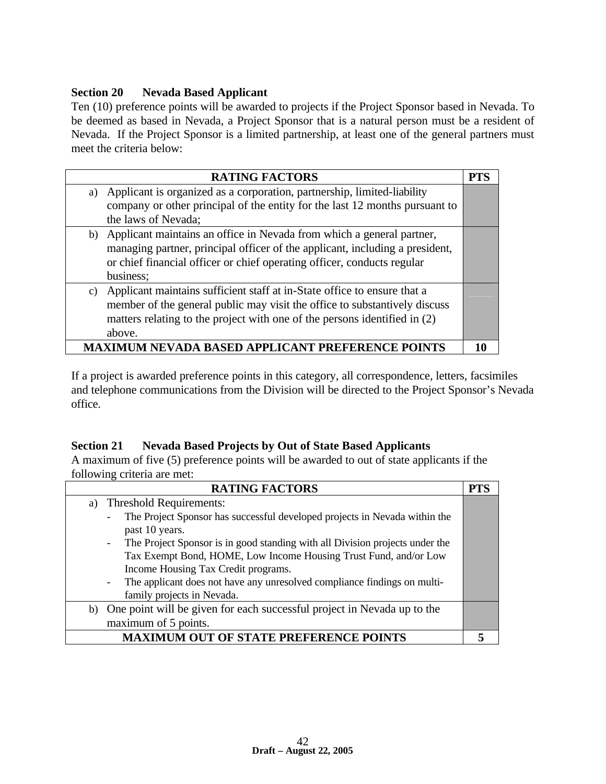## **Section 20 Nevada Based Applicant**

Ten (10) preference points will be awarded to projects if the Project Sponsor based in Nevada. To be deemed as based in Nevada, a Project Sponsor that is a natural person must be a resident of Nevada. If the Project Sponsor is a limited partnership, at least one of the general partners must meet the criteria below:

|    | <b>RATING FACTORS</b>                                                        | <b>PTS</b> |
|----|------------------------------------------------------------------------------|------------|
| a) | Applicant is organized as a corporation, partnership, limited-liability      |            |
|    | company or other principal of the entity for the last 12 months pursuant to  |            |
|    | the laws of Nevada;                                                          |            |
| b) | Applicant maintains an office in Nevada from which a general partner,        |            |
|    | managing partner, principal officer of the applicant, including a president, |            |
|    | or chief financial officer or chief operating officer, conducts regular      |            |
|    | business;                                                                    |            |
|    | c) Applicant maintains sufficient staff at in-State office to ensure that a  |            |
|    | member of the general public may visit the office to substantively discuss   |            |
|    | matters relating to the project with one of the persons identified in (2)    |            |
|    | above.                                                                       |            |
|    | M NEVADA BASED APPLICANT PREFERENCE POINTS                                   |            |

If a project is awarded preference points in this category, all correspondence, letters, facsimiles and telephone communications from the Division will be directed to the Project Sponsor's Nevada office.

## **Section 21 Nevada Based Projects by Out of State Based Applicants**

A maximum of five (5) preference points will be awarded to out of state applicants if the following criteria are met:

| <b>RATING FACTORS</b>                                                                                    | <b>PTS</b> |
|----------------------------------------------------------------------------------------------------------|------------|
| <b>Threshold Requirements:</b><br>a)                                                                     |            |
| The Project Sponsor has successful developed projects in Nevada within the<br>$\overline{\phantom{a}}$   |            |
| past 10 years.                                                                                           |            |
| The Project Sponsor is in good standing with all Division projects under the<br>$\overline{\phantom{a}}$ |            |
| Tax Exempt Bond, HOME, Low Income Housing Trust Fund, and/or Low                                         |            |
| Income Housing Tax Credit programs.                                                                      |            |
| The applicant does not have any unresolved compliance findings on multi-<br>$\overline{\phantom{a}}$     |            |
| family projects in Nevada.                                                                               |            |
| b) One point will be given for each successful project in Nevada up to the                               |            |
| maximum of 5 points.                                                                                     |            |
| <b>MAXIMUM OUT OF STATE PREFERENCE POINTS</b>                                                            |            |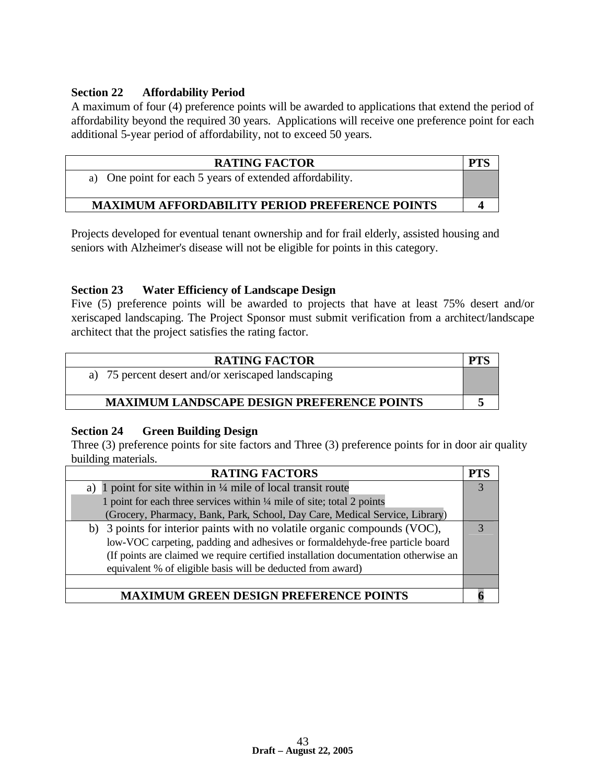## **Section 22 Affordability Period**

A maximum of four (4) preference points will be awarded to applications that extend the period of affordability beyond the required 30 years. Applications will receive one preference point for each additional 5-year period of affordability, not to exceed 50 years.

| <b>RATING FACTOR</b>                                     | PTS |
|----------------------------------------------------------|-----|
| a) One point for each 5 years of extended affordability. |     |
|                                                          |     |
| <b>MAXIMUM AFFORDABILITY PERIOD PREFERENCE POINTS</b>    |     |

Projects developed for eventual tenant ownership and for frail elderly, assisted housing and seniors with Alzheimer's disease will not be eligible for points in this category.

## **Section 23 Water Efficiency of Landscape Design**

Five (5) preference points will be awarded to projects that have at least 75% desert and/or xeriscaped landscaping. The Project Sponsor must submit verification from a architect/landscape architect that the project satisfies the rating factor.

| <b>RATING FACTOR</b>                               |  |
|----------------------------------------------------|--|
| a) 75 percent desert and/or xeriscaped landscaping |  |
| <b>MAXIMUM LANDSCAPE DESIGN PREFERENCE POINTS</b>  |  |

## **Section 24 Green Building Design**

Three (3) preference points for site factors and Three (3) preference points for in door air quality building materials.

| <b>RATING FACTORS</b>                                                               | PTS |
|-------------------------------------------------------------------------------------|-----|
| 1 point for site within in $\frac{1}{4}$ mile of local transit route<br>a)          |     |
| 1 point for each three services within 1/4 mile of site; total 2 points             |     |
| (Grocery, Pharmacy, Bank, Park, School, Day Care, Medical Service, Library)         |     |
| b) 3 points for interior paints with no volatile organic compounds (VOC),           |     |
| low-VOC carpeting, padding and adhesives or formaldehyde-free particle board        |     |
| (If points are claimed we require certified installation documentation otherwise an |     |
| equivalent % of eligible basis will be deducted from award)                         |     |
|                                                                                     |     |
| <b>IM GREEN DESIGN PREFERENCE POINTS</b>                                            |     |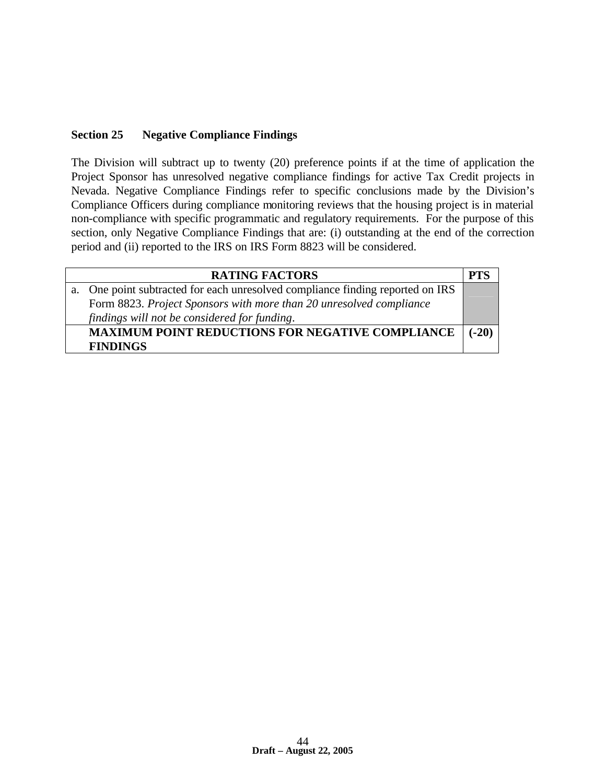## **Section 25 Negative Compliance Findings**

The Division will subtract up to twenty (20) preference points if at the time of application the Project Sponsor has unresolved negative compliance findings for active Tax Credit projects in Nevada. Negative Compliance Findings refer to specific conclusions made by the Division's Compliance Officers during compliance monitoring reviews that the housing project is in material non-compliance with specific programmatic and regulatory requirements. For the purpose of this section, only Negative Compliance Findings that are: (i) outstanding at the end of the correction period and (ii) reported to the IRS on IRS Form 8823 will be considered.

| <b>RATING FACTORS</b>                                                          | PTS     |
|--------------------------------------------------------------------------------|---------|
| a. One point subtracted for each unresolved compliance finding reported on IRS |         |
| Form 8823. Project Sponsors with more than 20 unresolved compliance            |         |
| findings will not be considered for funding.                                   |         |
| <b>MAXIMUM POINT REDUCTIONS FOR NEGATIVE COMPLIANCE</b>                        | $(-20)$ |
| <b>FINDINGS</b>                                                                |         |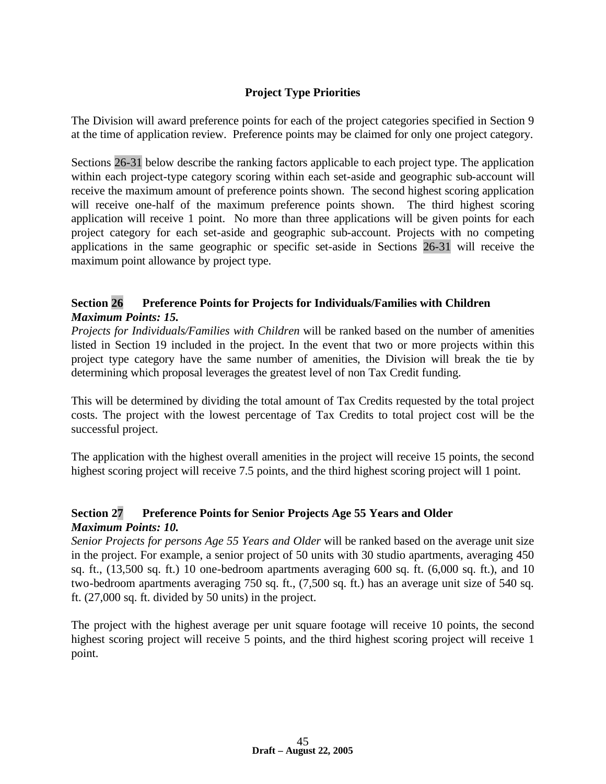## **Project Type Priorities**

The Division will award preference points for each of the project categories specified in Section 9 at the time of application review. Preference points may be claimed for only one project category.

Sections 26-31 below describe the ranking factors applicable to each project type. The application within each project-type category scoring within each set-aside and geographic sub-account will receive the maximum amount of preference points shown. The second highest scoring application will receive one-half of the maximum preference points shown. The third highest scoring application will receive 1 point. No more than three applications will be given points for each project category for each set-aside and geographic sub-account. Projects with no competing applications in the same geographic or specific set-aside in Sections 26-31 will receive the maximum point allowance by project type.

## **Section 26 Preference Points for Projects for Individuals/Families with Children**  *Maximum Points: 15.*

*Projects for Individuals/Families with Children* will be ranked based on the number of amenities listed in Section 19 included in the project. In the event that two or more projects within this project type category have the same number of amenities, the Division will break the tie by determining which proposal leverages the greatest level of non Tax Credit funding.

This will be determined by dividing the total amount of Tax Credits requested by the total project costs. The project with the lowest percentage of Tax Credits to total project cost will be the successful project.

The application with the highest overall amenities in the project will receive 15 points, the second highest scoring project will receive 7.5 points, and the third highest scoring project will 1 point.

## **Section 27 Preference Points for Senior Projects Age 55 Years and Older**  *Maximum Points: 10.*

*Senior Projects for persons Age 55 Years and Older* will be ranked based on the average unit size in the project. For example, a senior project of 50 units with 30 studio apartments, averaging 450 sq. ft., (13,500 sq. ft.) 10 one-bedroom apartments averaging 600 sq. ft. (6,000 sq. ft.), and 10 two-bedroom apartments averaging 750 sq. ft., (7,500 sq. ft.) has an average unit size of 540 sq. ft. (27,000 sq. ft. divided by 50 units) in the project.

The project with the highest average per unit square footage will receive 10 points, the second highest scoring project will receive 5 points, and the third highest scoring project will receive 1 point.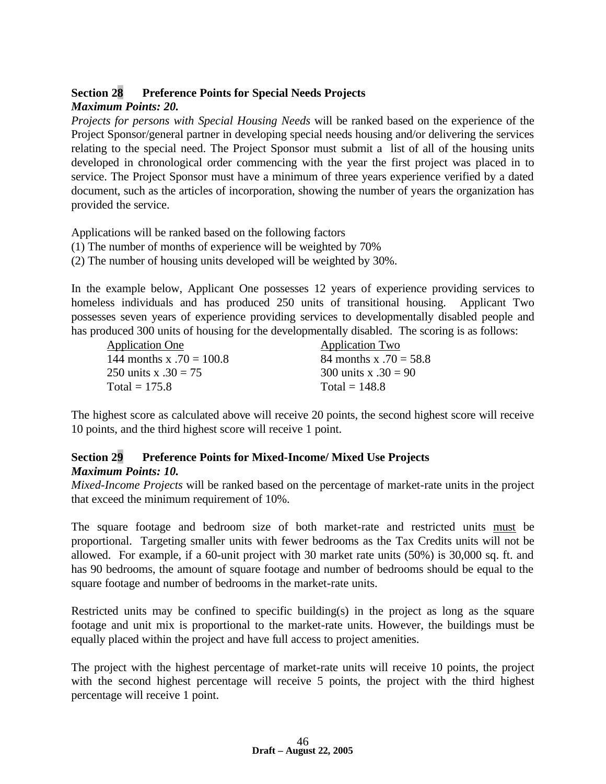#### **Section 28 Preference Points for Special Needs Projects** *Maximum Points: 20.*

*Projects for persons with Special Housing Needs* will be ranked based on the experience of the Project Sponsor/general partner in developing special needs housing and/or delivering the services relating to the special need. The Project Sponsor must submit a list of all of the housing units developed in chronological order commencing with the year the first project was placed in to service. The Project Sponsor must have a minimum of three years experience verified by a dated document, such as the articles of incorporation, showing the number of years the organization has provided the service.

Applications will be ranked based on the following factors

- (1) The number of months of experience will be weighted by 70%
- (2) The number of housing units developed will be weighted by 30%.

In the example below, Applicant One possesses 12 years of experience providing services to homeless individuals and has produced 250 units of transitional housing. Applicant Two possesses seven years of experience providing services to developmentally disabled people and has produced 300 units of housing for the developmentally disabled. The scoring is as follows:

| <b>Application One</b>     | <b>Application Two</b> |
|----------------------------|------------------------|
| 144 months x $.70 = 100.8$ | 84 months x .70 = 58.8 |
| 250 units x $.30 = 75$     | 300 units x .30 = 90   |
| Total = $175.8$            | Total = $148.8$        |

The highest score as calculated above will receive 20 points, the second highest score will receive 10 points, and the third highest score will receive 1 point.

## **Section 29 Preference Points for Mixed-Income/ Mixed Use Projects**  *Maximum Points: 10.*

*Mixed-Income Projects* will be ranked based on the percentage of market-rate units in the project that exceed the minimum requirement of 10%.

The square footage and bedroom size of both market-rate and restricted units must be proportional. Targeting smaller units with fewer bedrooms as the Tax Credits units will not be allowed. For example, if a 60-unit project with 30 market rate units (50%) is 30,000 sq. ft. and has 90 bedrooms, the amount of square footage and number of bedrooms should be equal to the square footage and number of bedrooms in the market-rate units.

Restricted units may be confined to specific building(s) in the project as long as the square footage and unit mix is proportional to the market-rate units. However, the buildings must be equally placed within the project and have full access to project amenities.

The project with the highest percentage of market-rate units will receive 10 points, the project with the second highest percentage will receive 5 points, the project with the third highest percentage will receive 1 point.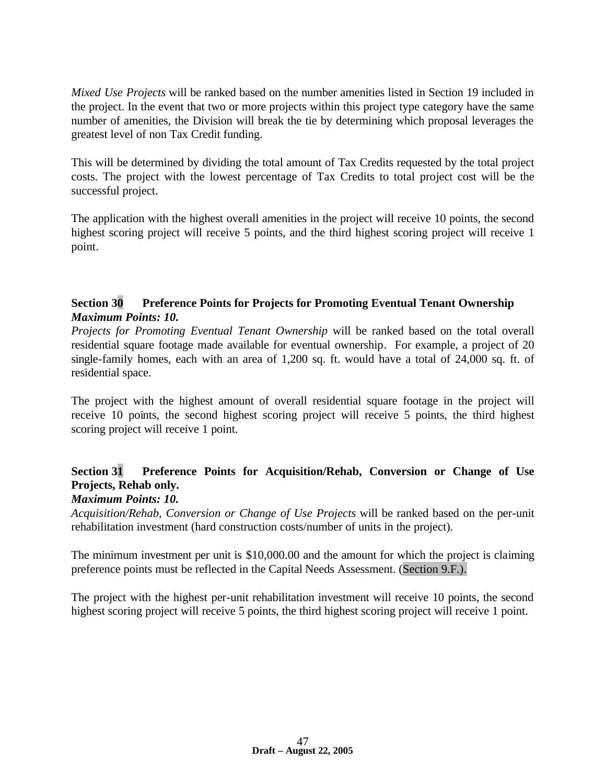*Mixed Use Projects* will be ranked based on the number amenities listed in Section 19 included in the project. In the event that two or more projects within this project type category have the same number of amenities, the Division will break the tie by determining which proposal leverages the greatest level of non Tax Credit funding.

This will be determined by dividing the total amount of Tax Credits requested by the total project costs. The project with the lowest percentage of Tax Credits to total project cost will be the successful project.

The application with the highest overall amenities in the project will receive 10 points, the second highest scoring project will receive 5 points, and the third highest scoring project will receive 1 point.

## **Section 30 Preference Points for Projects for Promoting Eventual Tenant Ownership**  *Maximum Points: 10.*

*Projects for Promoting Eventual Tenant Ownership* will be ranked based on the total overall residential square footage made available for eventual ownership. For example, a project of 20 single-family homes, each with an area of 1,200 sq. ft. would have a total of 24,000 sq. ft. of residential space.

The project with the highest amount of overall residential square footage in the project will receive 10 points, the second highest scoring project will receive 5 points, the third highest scoring project will receive 1 point.

# **Section 31 Preference Points for Acquisition/Rehab, Conversion or Change of Use Projects, Rehab only.**

## *Maximum Points: 10.*

*Acquisition/Rehab, Conversion or Change of Use Projects* will be ranked based on the per-unit rehabilitation investment (hard construction costs/number of units in the project).

The minimum investment per unit is \$10,000.00 and the amount for which the project is claiming preference points must be reflected in the Capital Needs Assessment. (Section 9.F.).

The project with the highest per-unit rehabilitation investment will receive 10 points, the second highest scoring project will receive 5 points, the third highest scoring project will receive 1 point.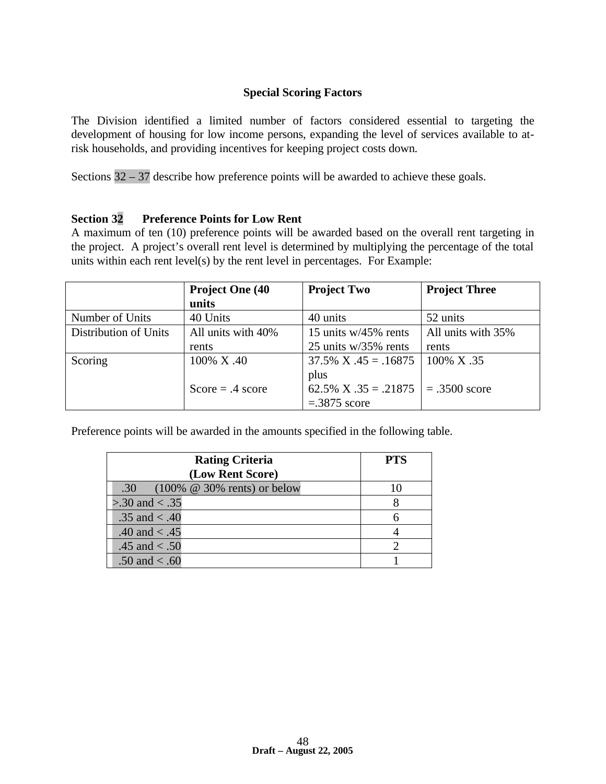## **Special Scoring Factors**

The Division identified a limited number of factors considered essential to targeting the development of housing for low income persons, expanding the level of services available to atrisk households, and providing incentives for keeping project costs down.

Sections 32 – 37 describe how preference points will be awarded to achieve these goals.

#### **Section 32 Preference Points for Low Rent**

A maximum of ten (10) preference points will be awarded based on the overall rent targeting in the project. A project's overall rent level is determined by multiplying the percentage of the total units within each rent level(s) by the rent level in percentages. For Example:

|                       | <b>Project One (40)</b> | <b>Project Two</b>                   | <b>Project Three</b> |
|-----------------------|-------------------------|--------------------------------------|----------------------|
|                       | units                   |                                      |                      |
| Number of Units       | 40 Units                | 40 units                             | 52 units             |
| Distribution of Units | All units with 40%      | 15 units $w/45\%$ rents              | All units with 35%   |
|                       | rents                   | 25 units w/35% rents                 | rents                |
| Scoring               | 100% X.40               | $37.5\%$ X $.45 = .16875$            | $100\%$ X .35        |
|                       |                         | plus                                 |                      |
|                       | Score = $.4$ score      | 62.5% X .35 = .21875   = .3500 score |                      |
|                       |                         | $=.3875$ score                       |                      |

Preference points will be awarded in the amounts specified in the following table.

| <b>Rating Criteria</b>                     | <b>PTS</b> |
|--------------------------------------------|------------|
| (Low Rent Score)                           |            |
| .30 $(100\% \ @ \ 30\% \)$ rents) or below |            |
| $> 0.30$ and $< 0.35$                      |            |
| .35 and $< .40$                            |            |
| .40 and $< .45$                            |            |
| .45 and $< .50$                            |            |
| .50 and $< .60$                            |            |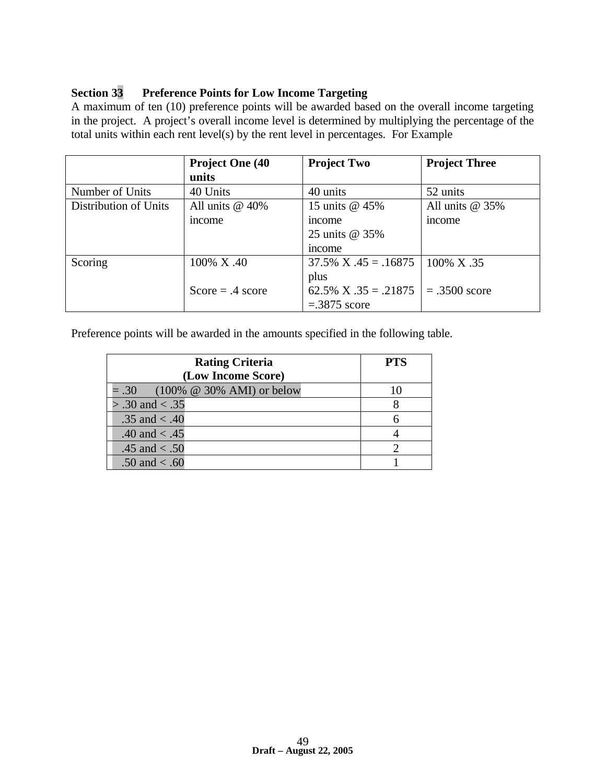## **Section 33 Preference Points for Low Income Targeting**

A maximum of ten (10) preference points will be awarded based on the overall income targeting in the project. A project's overall income level is determined by multiplying the percentage of the total units within each rent level(s) by the rent level in percentages. For Example

|                       | <b>Project One (40)</b> | <b>Project Two</b>                   | <b>Project Three</b> |
|-----------------------|-------------------------|--------------------------------------|----------------------|
|                       | units                   |                                      |                      |
| Number of Units       | 40 Units                | 40 units                             | 52 units             |
| Distribution of Units | All units $@$ 40%       | 15 units @ 45%                       | All units $@35\%$    |
|                       | <i>ncome</i>            | <i>ncome</i>                         | <sub>1</sub> ncome   |
|                       |                         | 25 units @ 35%                       |                      |
|                       |                         | mcome                                |                      |
| Scoring               | 100% X.40               | $37.5\%$ X $.45 = .16875$            | $100\%$ X .35        |
|                       |                         | plus                                 |                      |
|                       | $Score = .4 score$      | 62.5% X .35 = .21875   = .3500 score |                      |
|                       |                         | $=.3875$ score                       |                      |

Preference points will be awarded in the amounts specified in the following table.

| <b>Rating Criteria</b>                        | <b>PTS</b> |
|-----------------------------------------------|------------|
| (Low Income Score)                            |            |
| $(100\% \ @ \ 30\% \ AMI)$ or below<br>$=.30$ |            |
| $> .30$ and $< .35$                           |            |
| .35 and $< .40$                               |            |
| .40 and $< .45$                               |            |
| .45 and $< .50$                               |            |
| .50 and $< .60$                               |            |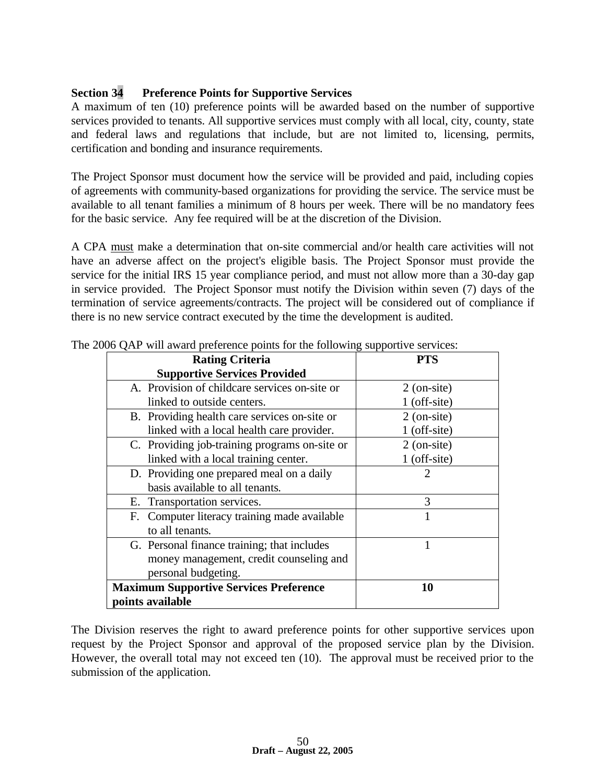## **Section 34 Preference Points for Supportive Services**

A maximum of ten (10) preference points will be awarded based on the number of supportive services provided to tenants. All supportive services must comply with all local, city, county, state and federal laws and regulations that include, but are not limited to, licensing, permits, certification and bonding and insurance requirements.

The Project Sponsor must document how the service will be provided and paid, including copies of agreements with community-based organizations for providing the service. The service must be available to all tenant families a minimum of 8 hours per week. There will be no mandatory fees for the basic service. Any fee required will be at the discretion of the Division.

A CPA must make a determination that on-site commercial and/or health care activities will not have an adverse affect on the project's eligible basis. The Project Sponsor must provide the service for the initial IRS 15 year compliance period, and must not allow more than a 30-day gap in service provided. The Project Sponsor must notify the Division within seven (7) days of the termination of service agreements/contracts. The project will be considered out of compliance if there is no new service contract executed by the time the development is audited.

| <b>Rating Criteria</b>                        | <b>PTS</b>            |
|-----------------------------------------------|-----------------------|
| <b>Supportive Services Provided</b>           |                       |
| A. Provision of childcare services on-site or | $2$ (on-site)         |
| linked to outside centers.                    | $1$ (off-site)        |
| B. Providing health care services on-site or  | $2$ (on-site)         |
| linked with a local health care provider.     | $1$ (off-site)        |
| C. Providing job-training programs on-site or | $2$ (on-site)         |
| linked with a local training center.          | $1$ (off-site)        |
| D. Providing one prepared meal on a daily     | $\mathcal{D}_{\cdot}$ |
| basis available to all tenants.               |                       |
| E. Transportation services.                   | 3                     |
| F. Computer literacy training made available  |                       |
| to all tenants.                               |                       |
| G. Personal finance training; that includes   |                       |
| money management, credit counseling and       |                       |
| personal budgeting.                           |                       |
| <b>Maximum Supportive Services Preference</b> | 10                    |
| points available                              |                       |

The 2006 OAP will award preference points for the following supportive services:

The Division reserves the right to award preference points for other supportive services upon request by the Project Sponsor and approval of the proposed service plan by the Division. However, the overall total may not exceed ten (10). The approval must be received prior to the submission of the application.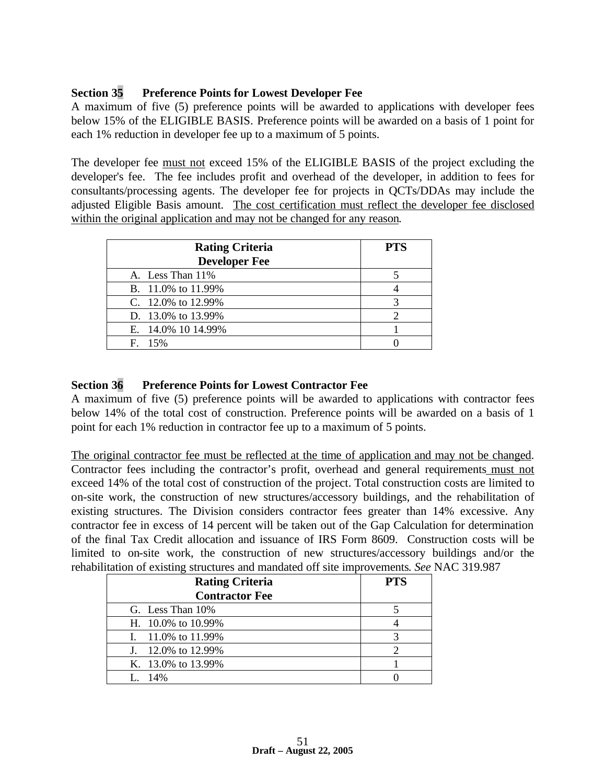## **Section 35 Preference Points for Lowest Developer Fee**

A maximum of five (5) preference points will be awarded to applications with developer fees below 15% of the ELIGIBLE BASIS. Preference points will be awarded on a basis of 1 point for each 1% reduction in developer fee up to a maximum of 5 points.

The developer fee must not exceed 15% of the ELIGIBLE BASIS of the project excluding the developer's fee. The fee includes profit and overhead of the developer, in addition to fees for consultants/processing agents. The developer fee for projects in QCTs/DDAs may include the adjusted Eligible Basis amount. The cost certification must reflect the developer fee disclosed within the original application and may not be changed for any reason.

| <b>Rating Criteria</b> | <b>PTS</b> |
|------------------------|------------|
| <b>Developer Fee</b>   |            |
| A. Less Than 11%       |            |
| B. 11.0% to 11.99%     |            |
| C. 12.0% to $12.99%$   |            |
| D. 13.0% to 13.99%     |            |
| E. 14.0% 10 14.99%     |            |
| $F = 15%$              |            |

## **Section 36 Preference Points for Lowest Contractor Fee**

A maximum of five (5) preference points will be awarded to applications with contractor fees below 14% of the total cost of construction. Preference points will be awarded on a basis of 1 point for each 1% reduction in contractor fee up to a maximum of 5 points.

The original contractor fee must be reflected at the time of application and may not be changed. Contractor fees including the contractor's profit, overhead and general requirements must not exceed 14% of the total cost of construction of the project. Total construction costs are limited to on-site work, the construction of new structures/accessory buildings, and the rehabilitation of existing structures. The Division considers contractor fees greater than 14% excessive. Any contractor fee in excess of 14 percent will be taken out of the Gap Calculation for determination of the final Tax Credit allocation and issuance of IRS Form 8609. Construction costs will be limited to on-site work, the construction of new structures/accessory buildings and/or the rehabilitation of existing structures and mandated off site improvements. *See* NAC 319.987

| <b>Rating Criteria</b> | <b>PTS</b> |
|------------------------|------------|
| <b>Contractor Fee</b>  |            |
| G. Less Than 10%       |            |
| H. $10.0\%$ to 10.99%  |            |
| I. $11.0\%$ to 11.99%  |            |
| J. 12.0% to 12.99%     |            |
| K. 13.0% to 13.99%     |            |
| $I_{\odot}$ 14%        |            |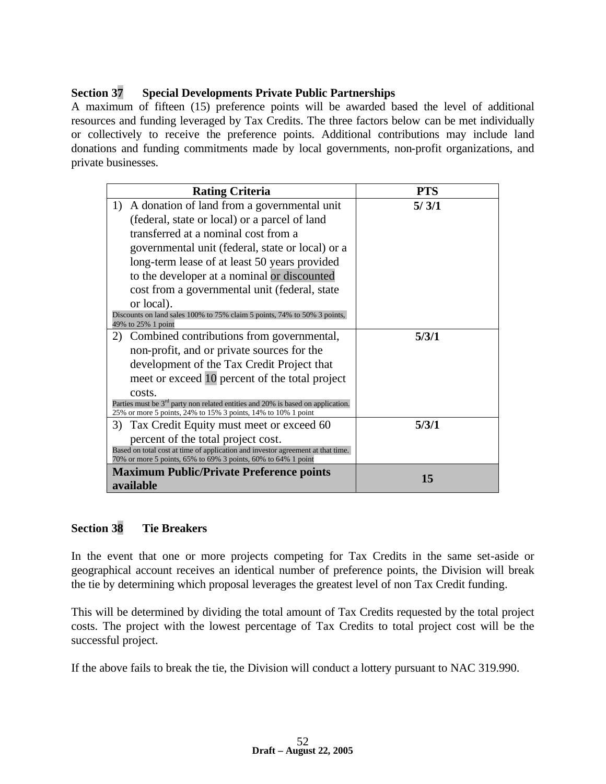## **Section 37 Special Developments Private Public Partnerships**

A maximum of fifteen (15) preference points will be awarded based the level of additional resources and funding leveraged by Tax Credits. The three factors below can be met individually or collectively to receive the preference points. Additional contributions may include land donations and funding commitments made by local governments, non-profit organizations, and private businesses.

| <b>Rating Criteria</b>                                                                                                                             | <b>PTS</b> |
|----------------------------------------------------------------------------------------------------------------------------------------------------|------------|
| A donation of land from a governmental unit<br>1)                                                                                                  | 5/3/1      |
| (federal, state or local) or a parcel of land                                                                                                      |            |
| transferred at a nominal cost from a                                                                                                               |            |
| governmental unit (federal, state or local) or a                                                                                                   |            |
| long-term lease of at least 50 years provided                                                                                                      |            |
| to the developer at a nominal or discounted                                                                                                        |            |
| cost from a governmental unit (federal, state                                                                                                      |            |
| or local).                                                                                                                                         |            |
| Discounts on land sales 100% to 75% claim 5 points, 74% to 50% 3 points,<br>49% to 25% 1 point                                                     |            |
| Combined contributions from governmental,<br>2)                                                                                                    | 5/3/1      |
| non-profit, and or private sources for the                                                                                                         |            |
| development of the Tax Credit Project that                                                                                                         |            |
| meet or exceed 10 percent of the total project                                                                                                     |            |
| costs.                                                                                                                                             |            |
| Parties must be $3rd$ party non related entities and 20% is based on application.<br>25% or more 5 points, 24% to 15% 3 points, 14% to 10% 1 point |            |
| Tax Credit Equity must meet or exceed 60<br>3)                                                                                                     | 5/3/1      |
| percent of the total project cost.                                                                                                                 |            |
| Based on total cost at time of application and investor agreement at that time.                                                                    |            |
| 70% or more 5 points, 65% to 69% 3 points, 60% to 64% 1 point                                                                                      |            |
| <b>Maximum Public/Private Preference points</b>                                                                                                    | 15         |
| available                                                                                                                                          |            |

## **Section 38 Tie Breakers**

In the event that one or more projects competing for Tax Credits in the same set-aside or geographical account receives an identical number of preference points, the Division will break the tie by determining which proposal leverages the greatest level of non Tax Credit funding.

This will be determined by dividing the total amount of Tax Credits requested by the total project costs. The project with the lowest percentage of Tax Credits to total project cost will be the successful project.

If the above fails to break the tie, the Division will conduct a lottery pursuant to NAC 319.990.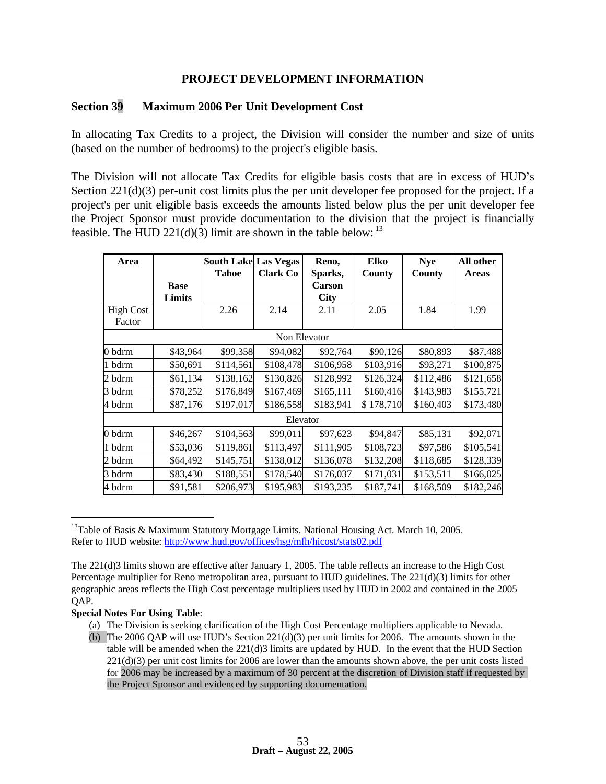#### **PROJECT DEVELOPMENT INFORMATION**

#### **Section 39 Maximum 2006 Per Unit Development Cost**

In allocating Tax Credits to a project, the Division will consider the number and size of units (based on the number of bedrooms) to the project's eligible basis.

The Division will not allocate Tax Credits for eligible basis costs that are in excess of HUD's Section 221(d)(3) per-unit cost limits plus the per unit developer fee proposed for the project. If a project's per unit eligible basis exceeds the amounts listed below plus the per unit developer fee the Project Sponsor must provide documentation to the division that the project is financially feasible. The HUD  $221(d)(3)$  limit are shown in the table below: <sup>13</sup>

| Area                       |                       | <b>South Lake Las Vegas</b><br><b>Tahoe</b> | <b>Clark Co</b> | Reno,<br>Sparks,             | <b>Elko</b><br>County | <b>Nye</b><br>County | All other<br><b>Areas</b> |
|----------------------------|-----------------------|---------------------------------------------|-----------------|------------------------------|-----------------------|----------------------|---------------------------|
|                            | <b>Base</b><br>Limits |                                             |                 | <b>Carson</b><br><b>City</b> |                       |                      |                           |
| <b>High Cost</b><br>Factor |                       | 2.26                                        | 2.14            | 2.11                         | 2.05                  | 1.84                 | 1.99                      |
|                            |                       |                                             | Non Elevator    |                              |                       |                      |                           |
| 0 bdrm                     | \$43,964              | \$99,358                                    | \$94,082        | \$92,764                     | \$90,126              | \$80,893             | \$87,488                  |
| 1 bdrm                     | \$50,691              | \$114,561                                   | \$108,478       | \$106,958                    | \$103,916             | \$93,271             | \$100,875                 |
| 2 bdrm                     | \$61,134              | \$138,162                                   | \$130,826       | \$128,992                    | \$126,324             | \$112,486            | \$121,658                 |
| 3 bdrm                     | \$78,252              | \$176,849                                   | \$167,469       | \$165,111                    | \$160,416             | \$143,983            | \$155,721                 |
| 4 bdrm                     | \$87,176              | \$197,017                                   | \$186,558       | \$183,941                    | \$178,710             | \$160,403            | \$173,480                 |
|                            |                       |                                             | Elevator        |                              |                       |                      |                           |
| 0 bdrm                     | \$46,267              | \$104,563                                   | \$99,011        | \$97,623                     | \$94,847              | \$85,131             | \$92,071                  |
| 1 bdrm                     | \$53,036              | \$119,861                                   | \$113,497       | \$111,905                    | \$108,723             | \$97,586             | \$105,541                 |
| 2 bdrm                     | \$64,492              | \$145,751                                   | \$138,012       | \$136,078                    | \$132,208             | \$118,685            | \$128,339                 |
| 3 bdrm                     | \$83,430              | \$188,551                                   | \$178,540       | \$176,037                    | \$171,031             | \$153,511            | \$166,025                 |
| 4 bdrm                     | \$91,581              | \$206,973                                   | \$195,983       | \$193,235                    | \$187,741             | \$168,509            | \$182,246                 |

<sup>&</sup>lt;sup>13</sup>Table of Basis & Maximum Statutory Mortgage Limits. National Housing Act. March 10, 2005. Refer to HUD website: http://www.hud.gov/offices/hsg/mfh/hicost/stats02.pdf

#### **Special Notes For Using Table**:

 $\overline{a}$ 

- (a) The Division is seeking clarification of the High Cost Percentage multipliers applicable to Nevada.
- (b) The 2006 QAP will use HUD's Section  $221(d)(3)$  per unit limits for 2006. The amounts shown in the table will be amended when the  $221(d)3$  limits are updated by HUD. In the event that the HUD Section 221(d)(3) per unit cost limits for 2006 are lower than the amounts shown above, the per unit costs listed for 2006 may be increased by a maximum of 30 percent at the discretion of Division staff if requested by the Project Sponsor and evidenced by supporting documentation.

The 221(d)3 limits shown are effective after January 1, 2005. The table reflects an increase to the High Cost Percentage multiplier for Reno metropolitan area, pursuant to HUD guidelines. The 221(d)(3) limits for other geographic areas reflects the High Cost percentage multipliers used by HUD in 2002 and contained in the 2005 QAP.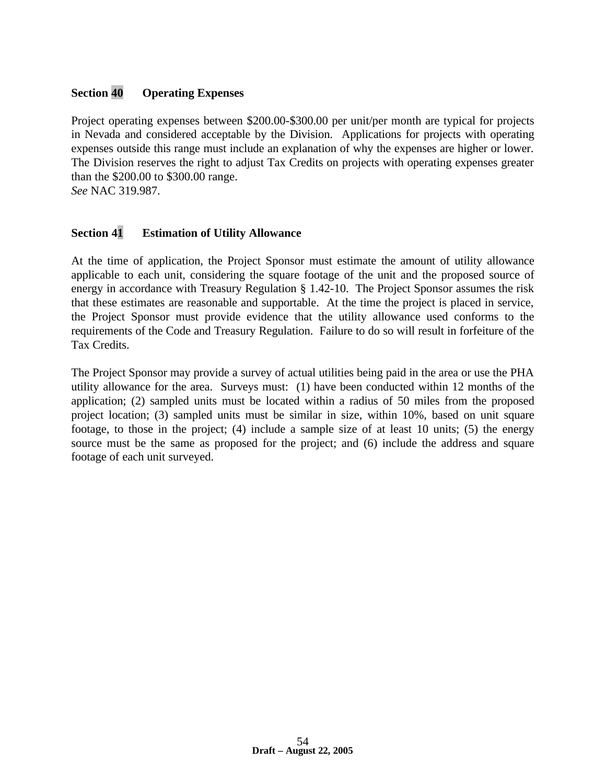## **Section 40 Operating Expenses**

Project operating expenses between \$200.00-\$300.00 per unit/per month are typical for projects in Nevada and considered acceptable by the Division. Applications for projects with operating expenses outside this range must include an explanation of why the expenses are higher or lower. The Division reserves the right to adjust Tax Credits on projects with operating expenses greater than the \$200.00 to \$300.00 range.

*See* NAC 319.987.

## **Section 41 Estimation of Utility Allowance**

At the time of application, the Project Sponsor must estimate the amount of utility allowance applicable to each unit, considering the square footage of the unit and the proposed source of energy in accordance with Treasury Regulation § 1.42-10. The Project Sponsor assumes the risk that these estimates are reasonable and supportable. At the time the project is placed in service, the Project Sponsor must provide evidence that the utility allowance used conforms to the requirements of the Code and Treasury Regulation. Failure to do so will result in forfeiture of the Tax Credits.

The Project Sponsor may provide a survey of actual utilities being paid in the area or use the PHA utility allowance for the area. Surveys must: (1) have been conducted within 12 months of the application; (2) sampled units must be located within a radius of 50 miles from the proposed project location; (3) sampled units must be similar in size, within 10%, based on unit square footage, to those in the project; (4) include a sample size of at least 10 units; (5) the energy source must be the same as proposed for the project; and (6) include the address and square footage of each unit surveyed.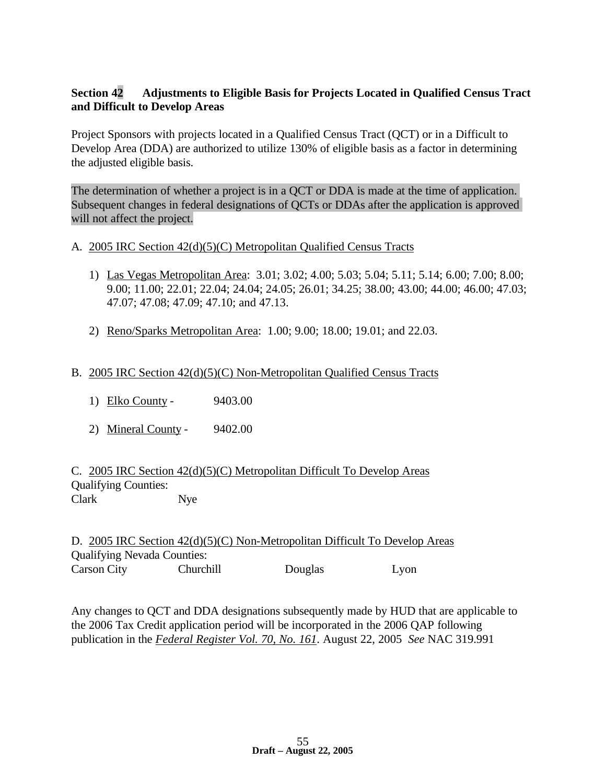## **Section 42 Adjustments to Eligible Basis for Projects Located in Qualified Census Tract and Difficult to Develop Areas**

Project Sponsors with projects located in a Qualified Census Tract (QCT) or in a Difficult to Develop Area (DDA) are authorized to utilize 130% of eligible basis as a factor in determining the adjusted eligible basis.

The determination of whether a project is in a QCT or DDA is made at the time of application. Subsequent changes in federal designations of QCTs or DDAs after the application is approved will not affect the project.

- A. 2005 IRC Section 42(d)(5)(C) Metropolitan Qualified Census Tracts
	- 1) Las Vegas Metropolitan Area: 3.01; 3.02; 4.00; 5.03; 5.04; 5.11; 5.14; 6.00; 7.00; 8.00; 9.00; 11.00; 22.01; 22.04; 24.04; 24.05; 26.01; 34.25; 38.00; 43.00; 44.00; 46.00; 47.03; 47.07; 47.08; 47.09; 47.10; and 47.13.
	- 2) Reno/Sparks Metropolitan Area: 1.00; 9.00; 18.00; 19.01; and 22.03.

## B. 2005 IRC Section 42(d)(5)(C) Non-Metropolitan Qualified Census Tracts

- 1) Elko County 9403.00
- 2) Mineral County 9402.00

C. 2005 IRC Section 42(d)(5)(C) Metropolitan Difficult To Develop Areas Qualifying Counties: Clark Nye

D. 2005 IRC Section 42(d)(5)(C) Non-Metropolitan Difficult To Develop Areas Qualifying Nevada Counties: Carson City Churchill Douglas Lyon

Any changes to QCT and DDA designations subsequently made by HUD that are applicable to the 2006 Tax Credit application period will be incorporated in the 2006 QAP following publication in the *Federal Register Vol. 70, No. 161*. August 22, 2005 *See* NAC 319.991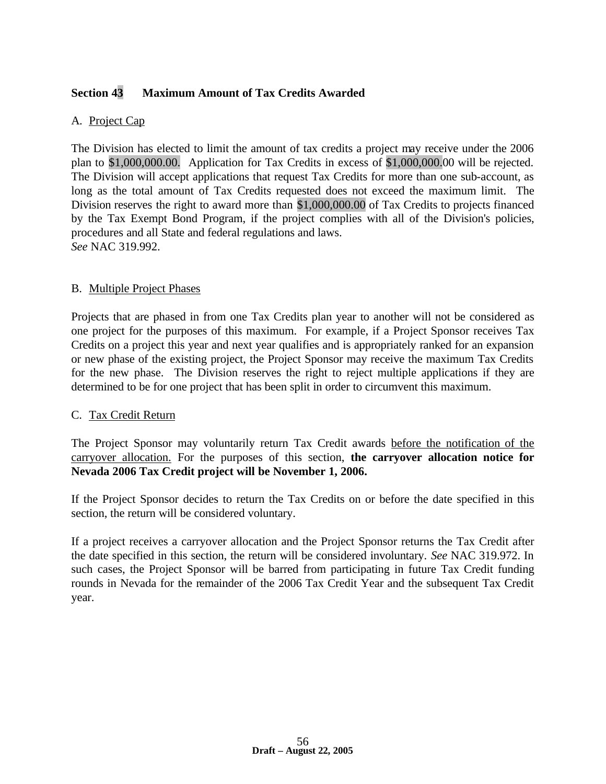## **Section 43 Maximum Amount of Tax Credits Awarded**

#### A. Project Cap

The Division has elected to limit the amount of tax credits a project may receive under the 2006 plan to \$1,000,000.00. Application for Tax Credits in excess of \$1,000,000.00 will be rejected. The Division will accept applications that request Tax Credits for more than one sub-account, as long as the total amount of Tax Credits requested does not exceed the maximum limit. The Division reserves the right to award more than \$1,000,000.00 of Tax Credits to projects financed by the Tax Exempt Bond Program, if the project complies with all of the Division's policies, procedures and all State and federal regulations and laws. *See* NAC 319.992.

#### B. Multiple Project Phases

Projects that are phased in from one Tax Credits plan year to another will not be considered as one project for the purposes of this maximum. For example, if a Project Sponsor receives Tax Credits on a project this year and next year qualifies and is appropriately ranked for an expansion or new phase of the existing project, the Project Sponsor may receive the maximum Tax Credits for the new phase. The Division reserves the right to reject multiple applications if they are determined to be for one project that has been split in order to circumvent this maximum.

#### C. Tax Credit Return

The Project Sponsor may voluntarily return Tax Credit awards before the notification of the carryover allocation. For the purposes of this section, **the carryover allocation notice for Nevada 2006 Tax Credit project will be November 1, 2006.** 

If the Project Sponsor decides to return the Tax Credits on or before the date specified in this section, the return will be considered voluntary.

If a project receives a carryover allocation and the Project Sponsor returns the Tax Credit after the date specified in this section, the return will be considered involuntary. *See* NAC 319.972. In such cases, the Project Sponsor will be barred from participating in future Tax Credit funding rounds in Nevada for the remainder of the 2006 Tax Credit Year and the subsequent Tax Credit year.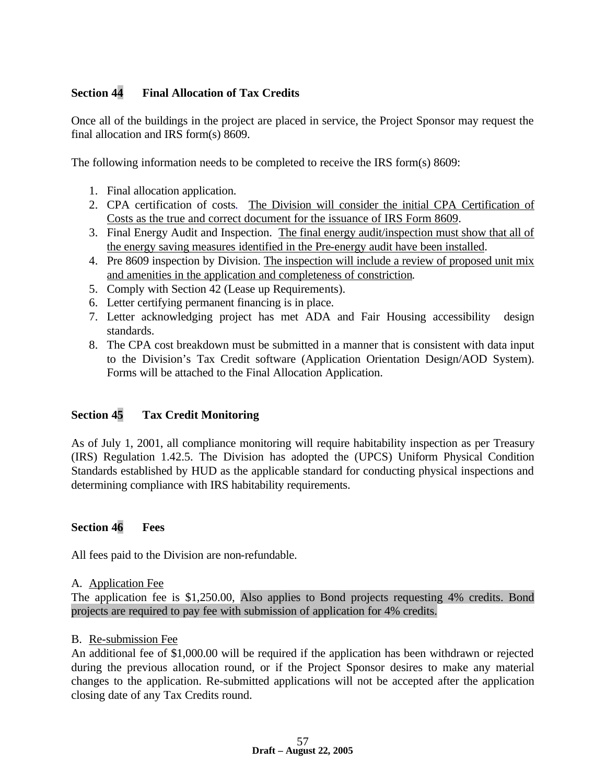## **Section 44 Final Allocation of Tax Credits**

Once all of the buildings in the project are placed in service, the Project Sponsor may request the final allocation and IRS form(s) 8609.

The following information needs to be completed to receive the IRS form(s) 8609:

- 1. Final allocation application.
- 2. CPA certification of costs. The Division will consider the initial CPA Certification of Costs as the true and correct document for the issuance of IRS Form 8609.
- 3. Final Energy Audit and Inspection. The final energy audit/inspection must show that all of the energy saving measures identified in the Pre-energy audit have been installed.
- 4. Pre 8609 inspection by Division. The inspection will include a review of proposed unit mix and amenities in the application and completeness of constriction.
- 5. Comply with Section 42 (Lease up Requirements).
- 6. Letter certifying permanent financing is in place.
- 7. Letter acknowledging project has met ADA and Fair Housing accessibility design standards.
- 8. The CPA cost breakdown must be submitted in a manner that is consistent with data input to the Division's Tax Credit software (Application Orientation Design/AOD System). Forms will be attached to the Final Allocation Application.

## **Section 45 Tax Credit Monitoring**

As of July 1, 2001, all compliance monitoring will require habitability inspection as per Treasury (IRS) Regulation 1.42.5. The Division has adopted the (UPCS) Uniform Physical Condition Standards established by HUD as the applicable standard for conducting physical inspections and determining compliance with IRS habitability requirements.

## **Section 46 Fees**

All fees paid to the Division are non-refundable.

#### A. Application Fee

The application fee is \$1,250.00, Also applies to Bond projects requesting 4% credits. Bond projects are required to pay fee with submission of application for 4% credits.

#### B. Re-submission Fee

An additional fee of \$1,000.00 will be required if the application has been withdrawn or rejected during the previous allocation round, or if the Project Sponsor desires to make any material changes to the application. Re-submitted applications will not be accepted after the application closing date of any Tax Credits round.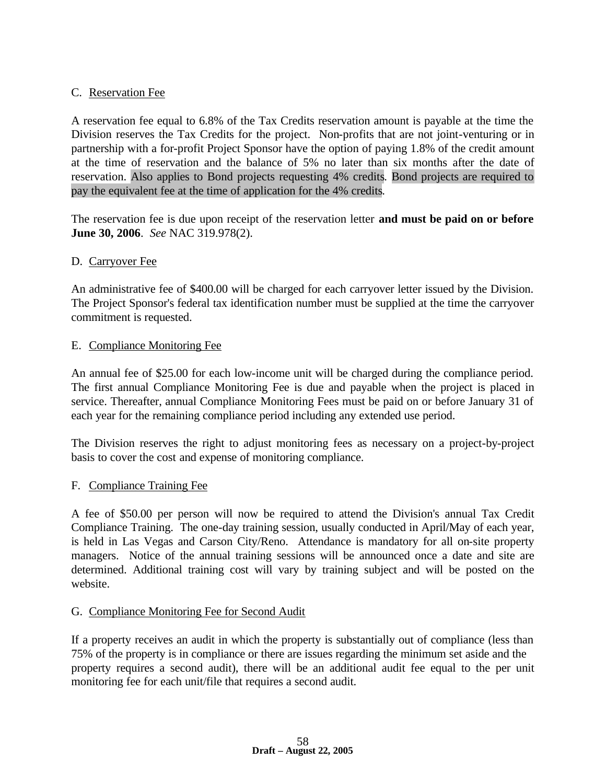### C. Reservation Fee

A reservation fee equal to 6.8% of the Tax Credits reservation amount is payable at the time the Division reserves the Tax Credits for the project. Non-profits that are not joint-venturing or in partnership with a for-profit Project Sponsor have the option of paying 1.8% of the credit amount at the time of reservation and the balance of 5% no later than six months after the date of reservation. Also applies to Bond projects requesting 4% credits. Bond projects are required to pay the equivalent fee at the time of application for the 4% credits.

The reservation fee is due upon receipt of the reservation letter **and must be paid on or before June 30, 2006**. *See* NAC 319.978(2).

#### D. Carryover Fee

An administrative fee of \$400.00 will be charged for each carryover letter issued by the Division. The Project Sponsor's federal tax identification number must be supplied at the time the carryover commitment is requested.

#### E. Compliance Monitoring Fee

An annual fee of \$25.00 for each low-income unit will be charged during the compliance period. The first annual Compliance Monitoring Fee is due and payable when the project is placed in service. Thereafter, annual Compliance Monitoring Fees must be paid on or before January 31 of each year for the remaining compliance period including any extended use period.

The Division reserves the right to adjust monitoring fees as necessary on a project-by-project basis to cover the cost and expense of monitoring compliance.

#### F. Compliance Training Fee

A fee of \$50.00 per person will now be required to attend the Division's annual Tax Credit Compliance Training. The one-day training session, usually conducted in April/May of each year, is held in Las Vegas and Carson City/Reno. Attendance is mandatory for all on-site property managers. Notice of the annual training sessions will be announced once a date and site are determined. Additional training cost will vary by training subject and will be posted on the website.

#### G. Compliance Monitoring Fee for Second Audit

If a property receives an audit in which the property is substantially out of compliance (less than 75% of the property is in compliance or there are issues regarding the minimum set aside and the property requires a second audit), there will be an additional audit fee equal to the per unit monitoring fee for each unit/file that requires a second audit.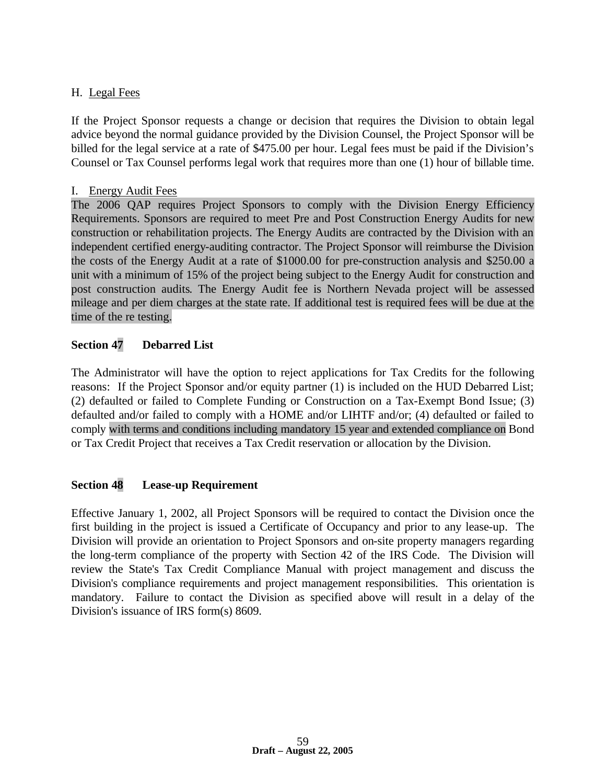## H. Legal Fees

If the Project Sponsor requests a change or decision that requires the Division to obtain legal advice beyond the normal guidance provided by the Division Counsel, the Project Sponsor will be billed for the legal service at a rate of \$475.00 per hour. Legal fees must be paid if the Division's Counsel or Tax Counsel performs legal work that requires more than one (1) hour of billable time.

#### I. Energy Audit Fees

The 2006 QAP requires Project Sponsors to comply with the Division Energy Efficiency Requirements. Sponsors are required to meet Pre and Post Construction Energy Audits for new construction or rehabilitation projects. The Energy Audits are contracted by the Division with an independent certified energy-auditing contractor. The Project Sponsor will reimburse the Division the costs of the Energy Audit at a rate of \$1000.00 for pre-construction analysis and \$250.00 a unit with a minimum of 15% of the project being subject to the Energy Audit for construction and post construction audits. The Energy Audit fee is Northern Nevada project will be assessed mileage and per diem charges at the state rate. If additional test is required fees will be due at the time of the re testing.

## **Section 47 Debarred List**

The Administrator will have the option to reject applications for Tax Credits for the following reasons: If the Project Sponsor and/or equity partner (1) is included on the HUD Debarred List; (2) defaulted or failed to Complete Funding or Construction on a Tax-Exempt Bond Issue; (3) defaulted and/or failed to comply with a HOME and/or LIHTF and/or; (4) defaulted or failed to comply with terms and conditions including mandatory 15 year and extended compliance on Bond or Tax Credit Project that receives a Tax Credit reservation or allocation by the Division.

## **Section 48 Lease-up Requirement**

Effective January 1, 2002, all Project Sponsors will be required to contact the Division once the first building in the project is issued a Certificate of Occupancy and prior to any lease-up. The Division will provide an orientation to Project Sponsors and on-site property managers regarding the long-term compliance of the property with Section 42 of the IRS Code. The Division will review the State's Tax Credit Compliance Manual with project management and discuss the Division's compliance requirements and project management responsibilities. This orientation is mandatory. Failure to contact the Division as specified above will result in a delay of the Division's issuance of IRS form(s) 8609.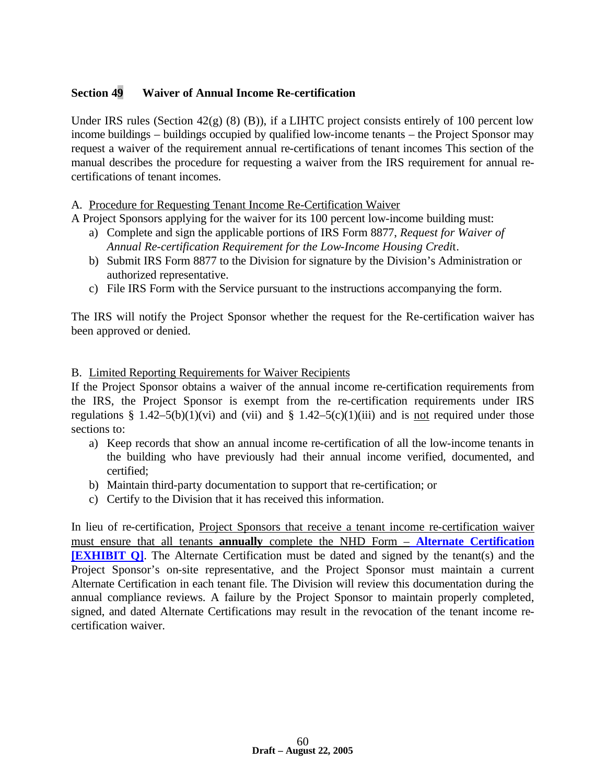## **Section 49 Waiver of Annual Income Re-certification**

Under IRS rules (Section 42(g) (8) (B)), if a LIHTC project consists entirely of 100 percent low income buildings – buildings occupied by qualified low-income tenants – the Project Sponsor may request a waiver of the requirement annual re-certifications of tenant incomes This section of the manual describes the procedure for requesting a waiver from the IRS requirement for annual recertifications of tenant incomes.

#### A. Procedure for Requesting Tenant Income Re-Certification Waiver

A Project Sponsors applying for the waiver for its 100 percent low-income building must:

- a) Complete and sign the applicable portions of IRS Form 8877, *Request for Waiver of Annual Re-certification Requirement for the Low-Income Housing Credi*t.
- b) Submit IRS Form 8877 to the Division for signature by the Division's Administration or authorized representative.
- c) File IRS Form with the Service pursuant to the instructions accompanying the form.

The IRS will notify the Project Sponsor whether the request for the Re-certification waiver has been approved or denied.

#### B. Limited Reporting Requirements for Waiver Recipients

If the Project Sponsor obtains a waiver of the annual income re-certification requirements from the IRS, the Project Sponsor is exempt from the re-certification requirements under IRS regulations § 1.42–5(b)(1)(vi) and (vii) and § 1.42–5(c)(1)(iii) and is not required under those sections to:

- a) Keep records that show an annual income re-certification of all the low-income tenants in the building who have previously had their annual income verified, documented, and certified;
- b) Maintain third-party documentation to support that re-certification; or
- c) Certify to the Division that it has received this information.

In lieu of re-certification, Project Sponsors that receive a tenant income re-certification waiver must ensure that all tenants **annually** complete the NHD Form – **Alternate Certification [EXHIBIT Q]**. The Alternate Certification must be dated and signed by the tenant(s) and the Project Sponsor's on-site representative, and the Project Sponsor must maintain a current Alternate Certification in each tenant file. The Division will review this documentation during the annual compliance reviews. A failure by the Project Sponsor to maintain properly completed, signed, and dated Alternate Certifications may result in the revocation of the tenant income recertification waiver.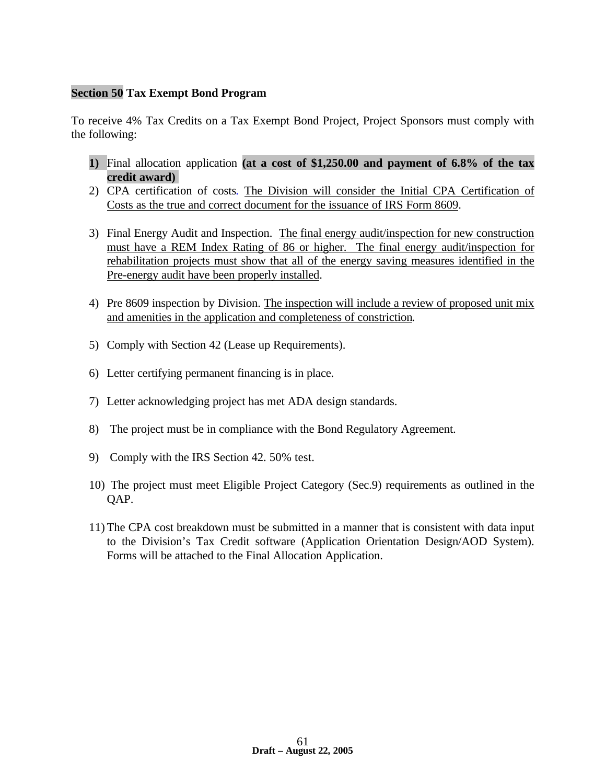## **Section 50 Tax Exempt Bond Program**

To receive 4% Tax Credits on a Tax Exempt Bond Project, Project Sponsors must comply with the following:

- **1)** Final allocation application **(at a cost of \$1,250.00 and payment of 6.8% of the tax credit award)**
- 2) CPA certification of costs. The Division will consider the Initial CPA Certification of Costs as the true and correct document for the issuance of IRS Form 8609.
- 3) Final Energy Audit and Inspection. The final energy audit/inspection for new construction must have a REM Index Rating of 86 or higher. The final energy audit/inspection for rehabilitation projects must show that all of the energy saving measures identified in the Pre-energy audit have been properly installed.
- 4) Pre 8609 inspection by Division. The inspection will include a review of proposed unit mix and amenities in the application and completeness of constriction.
- 5) Comply with Section 42 (Lease up Requirements).
- 6) Letter certifying permanent financing is in place.
- 7) Letter acknowledging project has met ADA design standards.
- 8) The project must be in compliance with the Bond Regulatory Agreement.
- 9) Comply with the IRS Section 42. 50% test.
- 10) The project must meet Eligible Project Category (Sec.9) requirements as outlined in the QAP.
- 11) The CPA cost breakdown must be submitted in a manner that is consistent with data input to the Division's Tax Credit software (Application Orientation Design/AOD System). Forms will be attached to the Final Allocation Application.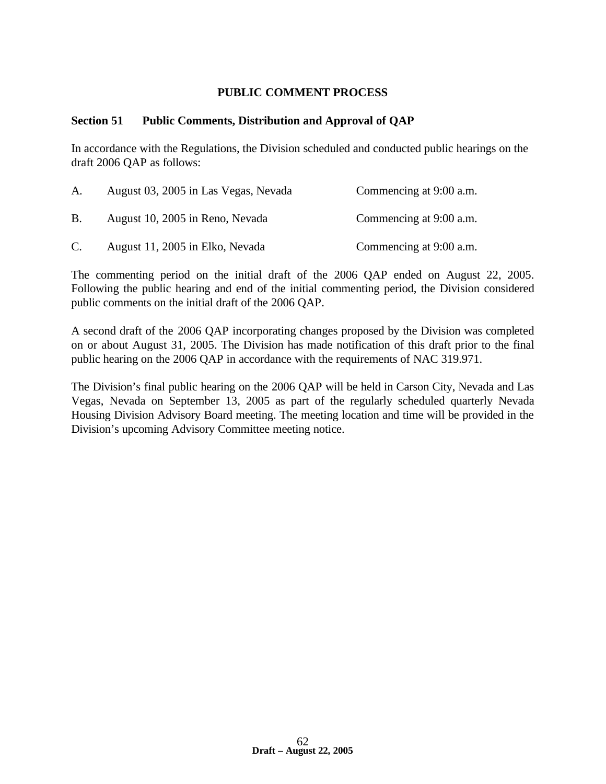#### **PUBLIC COMMENT PROCESS**

#### **Section 51 Public Comments, Distribution and Approval of QAP**

In accordance with the Regulations, the Division scheduled and conducted public hearings on the draft 2006 QAP as follows:

| A.        | August 03, 2005 in Las Vegas, Nevada | Commencing at 9:00 a.m. |
|-----------|--------------------------------------|-------------------------|
| <b>B.</b> | August 10, 2005 in Reno, Nevada      | Commencing at 9:00 a.m. |
| C.        | August 11, 2005 in Elko, Nevada      | Commencing at 9:00 a.m. |

The commenting period on the initial draft of the 2006 QAP ended on August 22, 2005. Following the public hearing and end of the initial commenting period, the Division considered public comments on the initial draft of the 2006 QAP.

A second draft of the 2006 QAP incorporating changes proposed by the Division was completed on or about August 31, 2005. The Division has made notification of this draft prior to the final public hearing on the 2006 QAP in accordance with the requirements of NAC 319.971.

The Division's final public hearing on the 2006 QAP will be held in Carson City, Nevada and Las Vegas, Nevada on September 13, 2005 as part of the regularly scheduled quarterly Nevada Housing Division Advisory Board meeting. The meeting location and time will be provided in the Division's upcoming Advisory Committee meeting notice.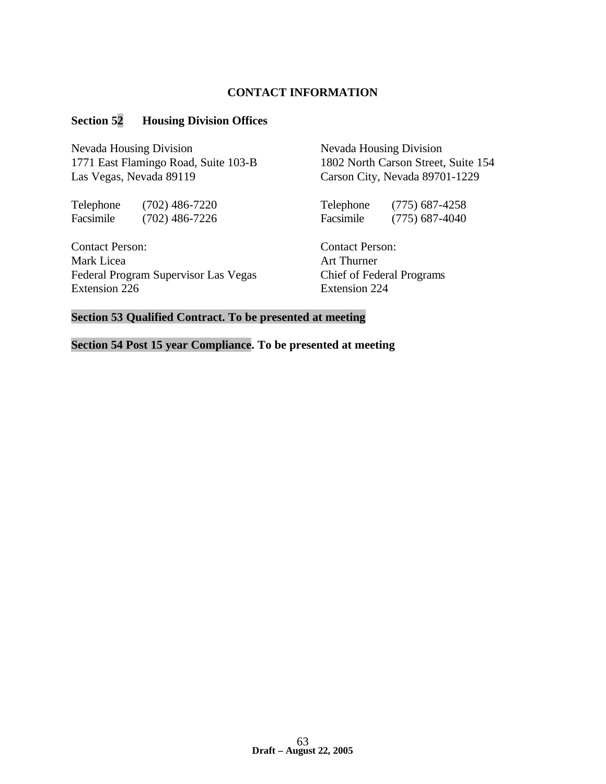#### **CONTACT INFORMATION**

#### **Section 52 Housing Division Offices**

Nevada Housing Division<br>
Nevada Housing Division 1771 East Flamingo Road, Suite 103-B 1802 North Carson Street, Suite 154 Las Vegas, Nevada 89119 Carson City, Nevada 89701-1229

Telephone (702) 486-7220 Telephone (775) 687-4258 Facsimile (702) 486-7226 Facsimile (775) 687-4040

Contact Person: Contact Person: Mark Licea **Art Thurner** Federal Program Supervisor Las Vegas Chief of Federal Programs Extension 226 Extension 224

#### **Section 53 Qualified Contract. To be presented at meeting**

**Section 54 Post 15 year Compliance. To be presented at meeting**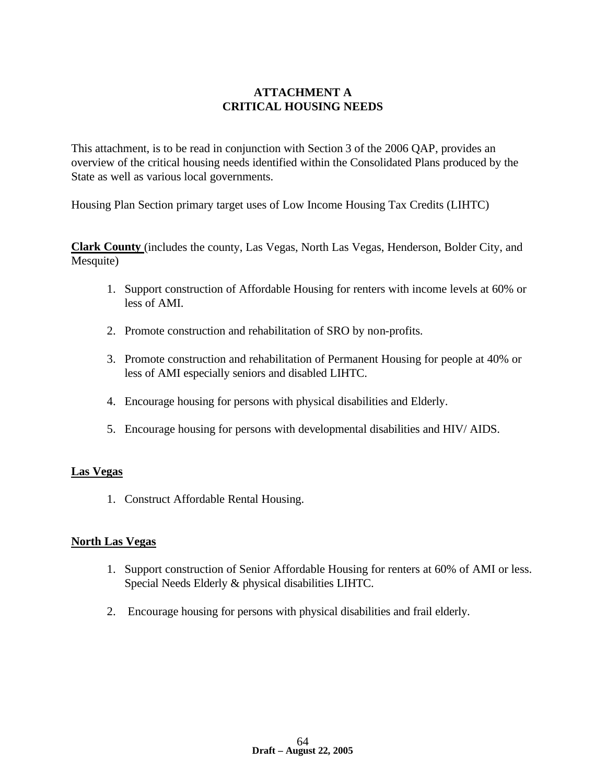## **ATTACHMENT A CRITICAL HOUSING NEEDS**

This attachment, is to be read in conjunction with Section 3 of the 2006 QAP, provides an overview of the critical housing needs identified within the Consolidated Plans produced by the State as well as various local governments.

Housing Plan Section primary target uses of Low Income Housing Tax Credits (LIHTC)

**Clark County** (includes the county, Las Vegas, North Las Vegas, Henderson, Bolder City, and Mesquite)

- 1. Support construction of Affordable Housing for renters with income levels at 60% or less of AMI.
- 2. Promote construction and rehabilitation of SRO by non-profits.
- 3. Promote construction and rehabilitation of Permanent Housing for people at 40% or less of AMI especially seniors and disabled LIHTC.
- 4. Encourage housing for persons with physical disabilities and Elderly.
- 5. Encourage housing for persons with developmental disabilities and HIV/ AIDS.

#### **Las Vegas**

1. Construct Affordable Rental Housing.

#### **North Las Vegas**

- 1. Support construction of Senior Affordable Housing for renters at 60% of AMI or less. Special Needs Elderly & physical disabilities LIHTC.
- 2. Encourage housing for persons with physical disabilities and frail elderly.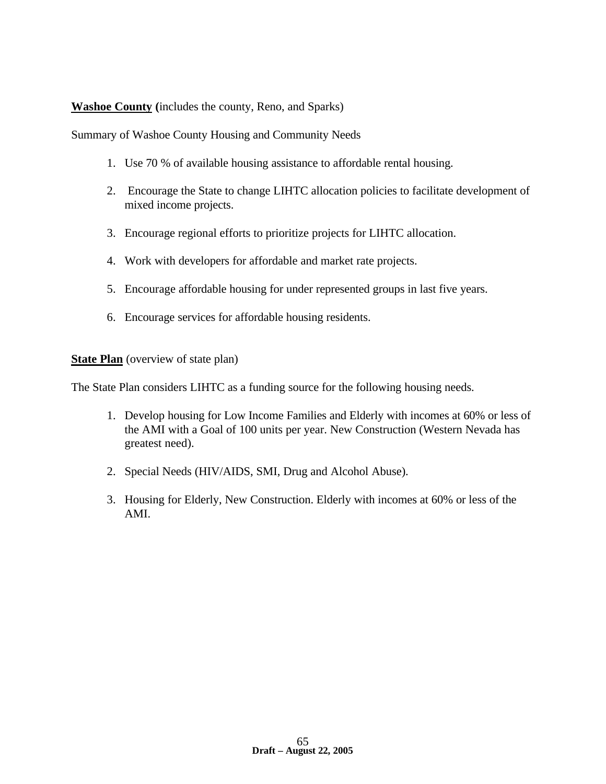## **Washoe County (**includes the county, Reno, and Sparks)

Summary of Washoe County Housing and Community Needs

- 1. Use 70 % of available housing assistance to affordable rental housing.
- 2. Encourage the State to change LIHTC allocation policies to facilitate development of mixed income projects.
- 3. Encourage regional efforts to prioritize projects for LIHTC allocation.
- 4. Work with developers for affordable and market rate projects.
- 5. Encourage affordable housing for under represented groups in last five years.
- 6. Encourage services for affordable housing residents.

**State Plan** (overview of state plan)

The State Plan considers LIHTC as a funding source for the following housing needs.

- 1. Develop housing for Low Income Families and Elderly with incomes at 60% or less of the AMI with a Goal of 100 units per year. New Construction (Western Nevada has greatest need).
- 2. Special Needs (HIV/AIDS, SMI, Drug and Alcohol Abuse).
- 3. Housing for Elderly, New Construction. Elderly with incomes at 60% or less of the AMI.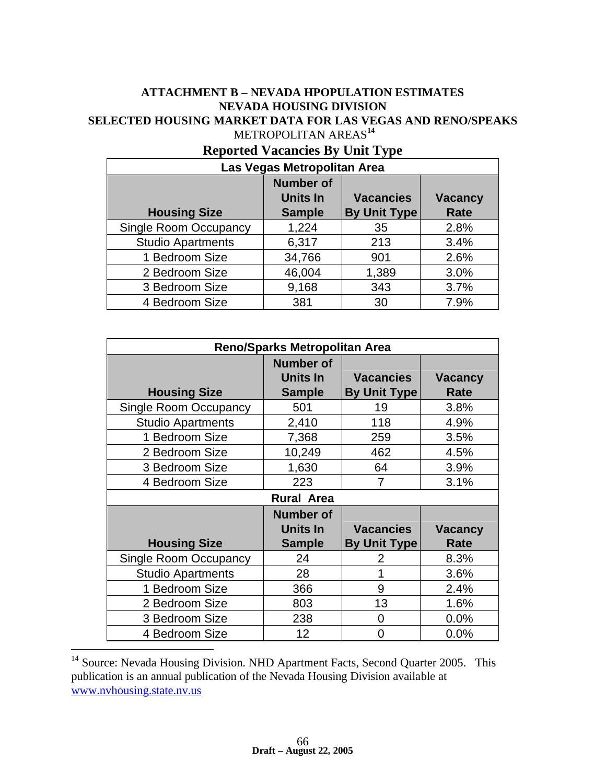## **ATTACHMENT B – NEVADA HPOPULATION ESTIMATES NEVADA HOUSING DIVISION SELECTED HOUSING MARKET DATA FOR LAS VEGAS AND RENO/SPEAKS** METROPOLITAN AREAS**<sup>14</sup>**

| Las Vegas Metropolitan Area  |                                                      |                                         |                        |  |
|------------------------------|------------------------------------------------------|-----------------------------------------|------------------------|--|
| <b>Housing Size</b>          | <b>Number of</b><br><b>Units In</b><br><b>Sample</b> | <b>Vacancies</b><br><b>By Unit Type</b> | <b>Vacancy</b><br>Rate |  |
| <b>Single Room Occupancy</b> | 1,224                                                | 35                                      | 2.8%                   |  |
| <b>Studio Apartments</b>     | 6,317                                                | 213                                     | 3.4%                   |  |
| 1 Bedroom Size               | 34,766                                               | 901                                     | 2.6%                   |  |
| 2 Bedroom Size               | 46,004                                               | 1,389                                   | 3.0%                   |  |
| 3 Bedroom Size               | 9,168                                                | 343                                     | 3.7%                   |  |
| 4 Bedroom Size               | 381                                                  | 30                                      | 7.9%                   |  |

# **Reported Vacancies By Unit Type**

| <b>Reno/Sparks Metropolitan Area</b> |                  |                     |                |  |
|--------------------------------------|------------------|---------------------|----------------|--|
|                                      | <b>Number of</b> |                     |                |  |
|                                      | Units In         | <b>Vacancies</b>    | <b>Vacancy</b> |  |
| <b>Housing Size</b>                  | <b>Sample</b>    | <b>By Unit Type</b> | Rate           |  |
| Single Room Occupancy                | 501              | 19                  | 3.8%           |  |
| <b>Studio Apartments</b>             | 2,410            | 118                 | 4.9%           |  |
| 1 Bedroom Size                       | 7,368            | 259                 | 3.5%           |  |
| 2 Bedroom Size                       | 10,249           | 462                 | 4.5%           |  |
| 3 Bedroom Size                       | 1,630            | 64                  | 3.9%           |  |
| 4 Bedroom Size                       | 223              | 7                   | 3.1%           |  |
| <b>Rural Area</b>                    |                  |                     |                |  |
|                                      | <b>Number of</b> |                     |                |  |
|                                      | Units In         | <b>Vacancies</b>    | <b>Vacancy</b> |  |
| <b>Housing Size</b>                  | <b>Sample</b>    | <b>By Unit Type</b> | Rate           |  |
| Single Room Occupancy                | 24               | 2                   | 8.3%           |  |
| <b>Studio Apartments</b>             | 28               | 1                   | 3.6%           |  |
| 1 Bedroom Size                       | 366              | 9                   | 2.4%           |  |
| 2 Bedroom Size                       | 803              | 13                  | 1.6%           |  |
| 3 Bedroom Size                       | 238              | 0                   | 0.0%           |  |
| 4 Bedroom Size                       | 12               | O                   | 0.0%           |  |

<sup>14</sup> Source: Nevada Housing Division. NHD Apartment Facts, Second Quarter 2005. This publication is an annual publication of the Nevada Housing Division available at www.nvhousing.state.nv.us

 $\overline{a}$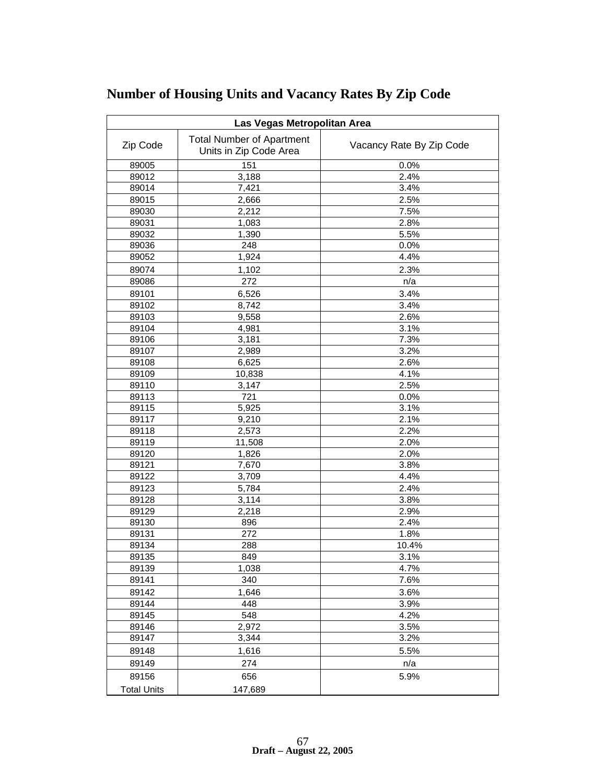| Las Vegas Metropolitan Area |                                                            |                          |  |
|-----------------------------|------------------------------------------------------------|--------------------------|--|
| Zip Code                    | <b>Total Number of Apartment</b><br>Units in Zip Code Area | Vacancy Rate By Zip Code |  |
| 89005                       | 151                                                        | 0.0%                     |  |
| 89012                       | 3,188                                                      | 2.4%                     |  |
| 89014                       | 7,421                                                      | 3.4%                     |  |
| 89015                       | 2,666                                                      | 2.5%                     |  |
| 89030                       | 2,212                                                      | 7.5%                     |  |
| 89031                       | 1,083                                                      | 2.8%                     |  |
| 89032                       | 1,390                                                      | 5.5%                     |  |
| 89036                       | 248                                                        | 0.0%                     |  |
| 89052                       | 1,924                                                      | 4.4%                     |  |
| 89074                       | 1,102                                                      | 2.3%                     |  |
| 89086                       | 272                                                        | n/a                      |  |
| 89101                       | 6,526                                                      | 3.4%                     |  |
| 89102                       | 8,742                                                      | 3.4%                     |  |
| 89103                       | 9,558                                                      | 2.6%                     |  |
| 89104                       | 4,981                                                      | 3.1%                     |  |
| 89106                       | 3,181                                                      | 7.3%                     |  |
| 89107                       | 2,989                                                      | 3.2%                     |  |
| 89108                       | 6,625                                                      | 2.6%                     |  |
| 89109                       | 10,838                                                     | 4.1%                     |  |
| 89110                       | 3,147                                                      | 2.5%                     |  |
| 89113                       | 721                                                        | 0.0%                     |  |
| 89115                       | 5,925                                                      | 3.1%                     |  |
| 89117                       | 9,210                                                      | 2.1%                     |  |
| 89118                       | 2,573                                                      | 2.2%                     |  |
| 89119                       | 11,508                                                     | 2.0%                     |  |
| 89120                       | 1,826                                                      | 2.0%                     |  |
| 89121                       | 7,670                                                      | 3.8%                     |  |
| 89122                       | 3,709                                                      | 4.4%                     |  |
| 89123                       | 5,784                                                      | 2.4%                     |  |
| 89128                       | 3,114                                                      | 3.8%                     |  |
| 89129                       | 2,218                                                      | 2.9%                     |  |
| 89130                       | 896                                                        | 2.4%                     |  |
| 89131                       | 272                                                        | 1.8%                     |  |
| 89134                       | 288                                                        | 10.4%                    |  |
| 89135                       | 849                                                        | 3.1%                     |  |
| 89139                       | 1,038                                                      | 4.7%                     |  |
| 89141                       | 340                                                        | 7.6%                     |  |
| 89142                       | 1,646                                                      | 3.6%                     |  |
| 89144                       | 448                                                        | 3.9%                     |  |
| 89145                       | 548                                                        | 4.2%                     |  |
| 89146                       | 2,972                                                      | 3.5%                     |  |
| 89147                       | 3,344                                                      | 3.2%                     |  |
| 89148                       | 1,616                                                      | 5.5%                     |  |
| 89149                       | 274                                                        | n/a                      |  |
| 89156                       | 656                                                        | 5.9%                     |  |
| <b>Total Units</b>          | 147,689                                                    |                          |  |

# **Number of Housing Units and Vacancy Rates By Zip Code**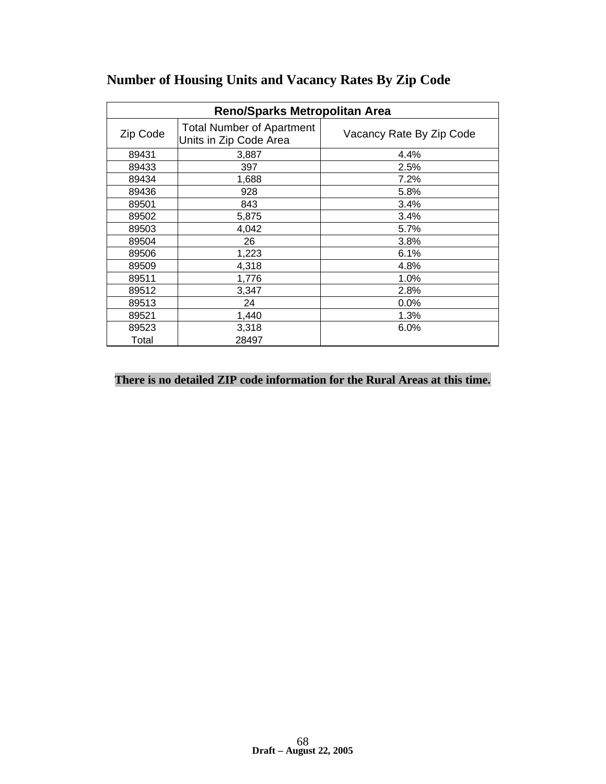| <b>Reno/Sparks Metropolitan Area</b> |                                                            |                          |  |  |
|--------------------------------------|------------------------------------------------------------|--------------------------|--|--|
| Zip Code                             | <b>Total Number of Apartment</b><br>Units in Zip Code Area | Vacancy Rate By Zip Code |  |  |
| 89431                                | 3,887                                                      | 4.4%                     |  |  |
| 89433                                | 397                                                        | 2.5%                     |  |  |
| 89434                                | 1,688                                                      | 7.2%                     |  |  |
| 89436                                | 928                                                        | 5.8%                     |  |  |
| 89501                                | 843                                                        | 3.4%                     |  |  |
| 89502                                | 5,875                                                      | 3.4%                     |  |  |
| 89503                                | 4,042                                                      | 5.7%                     |  |  |
| 89504                                | 26                                                         | 3.8%                     |  |  |
| 89506                                | 1,223                                                      | 6.1%                     |  |  |
| 89509                                | 4,318                                                      | 4.8%                     |  |  |
| 89511                                | 1,776                                                      | 1.0%                     |  |  |
| 89512                                | 3,347                                                      | 2.8%                     |  |  |
| 89513                                | 24                                                         | 0.0%                     |  |  |
| 89521                                | 1,440                                                      | 1.3%                     |  |  |
| 89523                                | 3,318                                                      | 6.0%                     |  |  |
| Total                                | 28497                                                      |                          |  |  |

# **Number of Housing Units and Vacancy Rates By Zip Code**

# **There is no detailed ZIP code information for the Rural Areas at this time.**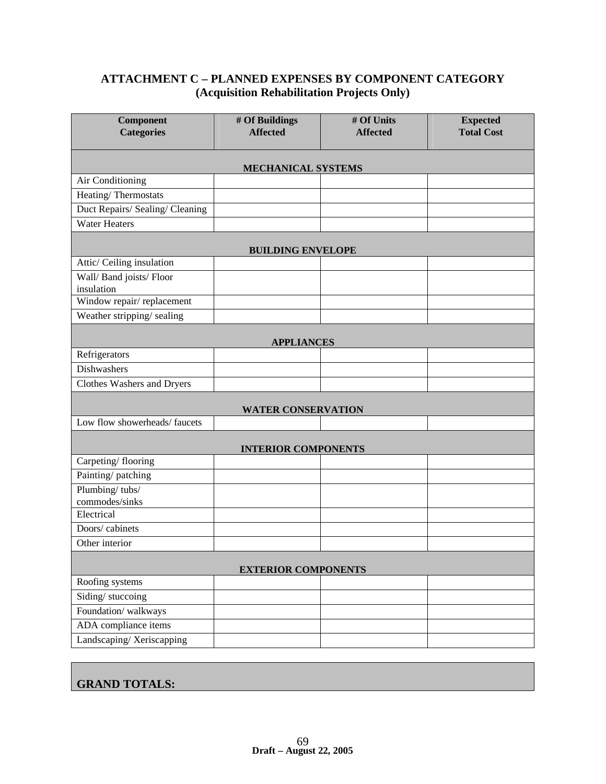# **ATTACHMENT C – PLANNED EXPENSES BY COMPONENT CATEGORY (Acquisition Rehabilitation Projects Only)**

| <b>Component</b><br><b>Categories</b>  | # Of Buildings<br><b>Affected</b> | # Of Units<br><b>Affected</b> | <b>Expected</b><br><b>Total Cost</b> |
|----------------------------------------|-----------------------------------|-------------------------------|--------------------------------------|
|                                        |                                   |                               |                                      |
| MECHANICAL SYSTEMS                     |                                   |                               |                                      |
| Air Conditioning                       |                                   |                               |                                      |
| Heating/Thermostats                    |                                   |                               |                                      |
| Duct Repairs/ Sealing/ Cleaning        |                                   |                               |                                      |
| <b>Water Heaters</b>                   |                                   |                               |                                      |
| <b>BUILDING ENVELOPE</b>               |                                   |                               |                                      |
| Attic/ Ceiling insulation              |                                   |                               |                                      |
| Wall/ Band joists/ Floor<br>insulation |                                   |                               |                                      |
| Window repair/replacement              |                                   |                               |                                      |
| Weather stripping/sealing              |                                   |                               |                                      |
| <b>APPLIANCES</b>                      |                                   |                               |                                      |
| Refrigerators                          |                                   |                               |                                      |
| Dishwashers                            |                                   |                               |                                      |
| Clothes Washers and Dryers             |                                   |                               |                                      |
| <b>WATER CONSERVATION</b>              |                                   |                               |                                      |
| Low flow showerheads/faucets           |                                   |                               |                                      |
| <b>INTERIOR COMPONENTS</b>             |                                   |                               |                                      |
| Carpeting/flooring                     |                                   |                               |                                      |
| Painting/patching                      |                                   |                               |                                      |
| Plumbing/tubs/<br>commodes/sinks       |                                   |                               |                                      |
| Electrical                             |                                   |                               |                                      |
| Doors/cabinets                         |                                   |                               |                                      |
| Other interior                         |                                   |                               |                                      |
| <b>EXTERIOR COMPONENTS</b>             |                                   |                               |                                      |
| Roofing systems                        |                                   |                               |                                      |
| Siding/stuccoing                       |                                   |                               |                                      |
| Foundation/walkways                    |                                   |                               |                                      |
| ADA compliance items                   |                                   |                               |                                      |
| Landscaping/Xeriscapping               |                                   |                               |                                      |

# **GRAND TOTALS:**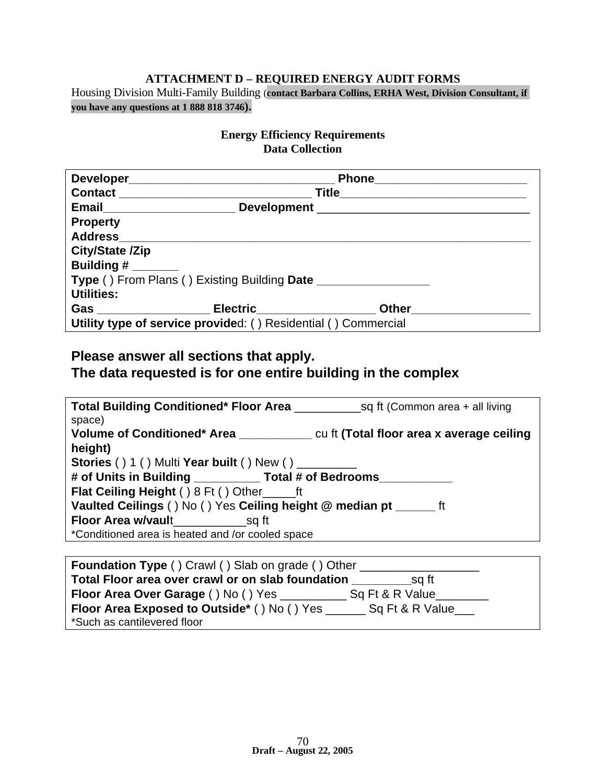#### **ATTACHMENT D – REQUIRED ENERGY AUDIT FORMS**

Housing Division Multi-Family Building (**contact Barbara Collins, ERHA West, Division Consultant, if you have any questions at 1 888 818 3746).**

## **Energy Efficiency Requirements Data Collection**

|                   | Email________________________                                  | Development ___________________________________ |  |
|-------------------|----------------------------------------------------------------|-------------------------------------------------|--|
| <b>Property</b>   |                                                                |                                                 |  |
|                   |                                                                |                                                 |  |
| City/State /Zip   |                                                                |                                                 |  |
| Building #        |                                                                |                                                 |  |
|                   | Type () From Plans () Existing Building Date                   |                                                 |  |
| <b>Utilities:</b> |                                                                |                                                 |  |
|                   |                                                                | Other______________                             |  |
|                   | Utility type of service provided: () Residential () Commercial |                                                 |  |

# **Please answer all sections that apply. The data requested is for one entire building in the complex**

| space)                                                                                |  |
|---------------------------------------------------------------------------------------|--|
| Volume of Conditioned* Area entitled to the Cu ft (Total floor area x average ceiling |  |
| height)                                                                               |  |
| Stories () 1 () Multi Year built () New () ________                                   |  |
| # of Units in Building ___________ Total # of Bedrooms______                          |  |
| <b>Flat Ceiling Height () 8 Ft () Other ft</b>                                        |  |
| Vaulted Ceilings () No () Yes Ceiling height @ median pt _______ ft                   |  |
|                                                                                       |  |
| *Conditioned area is heated and /or cooled space                                      |  |
|                                                                                       |  |

| <b>Foundation Type ()</b> Crawl () Slab on grade () Other      |  |
|----------------------------------------------------------------|--|
| Total Floor area over crawl or on slab foundation<br>sq ft     |  |
| Floor Area Over Garage () No () Yes ____<br>Sq Ft & R Value    |  |
| Floor Area Exposed to Outside* () No () Yes<br>Sq Ft & R Value |  |
| *Such as cantilevered floor                                    |  |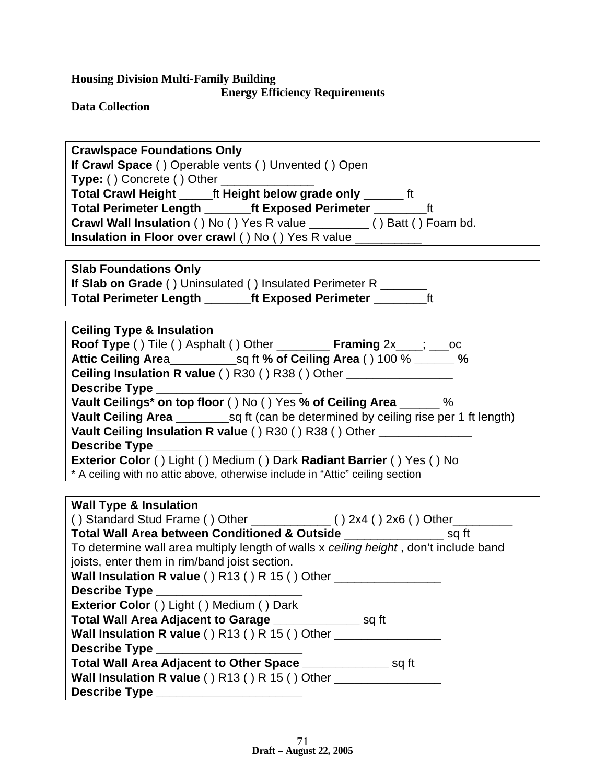# **Energy Efficiency Requirements**

**Data Collection**

| <b>Crawlspace Foundations Only</b>                                                   |  |  |  |
|--------------------------------------------------------------------------------------|--|--|--|
| If Crawl Space () Operable vents () Unvented () Open                                 |  |  |  |
| <b>Type: ()</b> Concrete () Other ________________                                   |  |  |  |
| Total Crawl Height ______ ft Height below grade only _______ ft                      |  |  |  |
| Total Perimeter Length __________ ft Exposed Perimeter __________________________    |  |  |  |
| Crawl Wall Insulation () No () Yes R value __________ () Batt () Foam bd.            |  |  |  |
| Insulation in Floor over crawl () No () Yes R value ____________________________     |  |  |  |
|                                                                                      |  |  |  |
|                                                                                      |  |  |  |
| <b>Slab Foundations Only</b>                                                         |  |  |  |
| <b>If Slab on Grade ()</b> Uninsulated () Insulated Perimeter R ________             |  |  |  |
| Total Perimeter Length ________ft Exposed Perimeter ___________ft                    |  |  |  |
|                                                                                      |  |  |  |
| <b>Ceiling Type &amp; Insulation</b>                                                 |  |  |  |
| <b>Roof Type ()</b> Tile () Asphalt () Other <b>Framing</b> 2x___; ___ oc            |  |  |  |
|                                                                                      |  |  |  |
| Ceiling Insulation R value () R30 () R38 () Other _________________                  |  |  |  |
|                                                                                      |  |  |  |
| Vault Ceilings* on top floor () No () Yes % of Ceiling Area ______ %                 |  |  |  |
|                                                                                      |  |  |  |
| Vault Ceiling Insulation R value () R30 () R38 () Other _______________              |  |  |  |
| Describe Type _______________________                                                |  |  |  |
| Exterior Color () Light () Medium () Dark Radiant Barrier () Yes () No               |  |  |  |
| * A ceiling with no attic above, otherwise include in "Attic" ceiling section        |  |  |  |
|                                                                                      |  |  |  |
| <b>Wall Type &amp; Insulation</b>                                                    |  |  |  |
| () Standard Stud Frame () Other $\frac{1}{2}$ () 2x4 () 2x6 () Other $\frac{1}{2}$   |  |  |  |
| Total Wall Area between Conditioned & Outside ______________________ sq ft           |  |  |  |
| To determine wall area multiply length of walls x ceiling height, don't include band |  |  |  |
| joists, enter them in rim/band joist section.                                        |  |  |  |
| Wall Insulation R value () R13 () R 15 () Other                                      |  |  |  |
| Describe Type ________________                                                       |  |  |  |
| Exterior Color () Light () Medium () Dark                                            |  |  |  |
| Total Wall Area Adjacent to Garage ____________________ sq ft                        |  |  |  |
| Wall Insulation R value () R13 () R 15 () Other ________________                     |  |  |  |
|                                                                                      |  |  |  |
| Total Wall Area Adjacent to Other Space ________________ sq ft                       |  |  |  |
| Wall Insulation R value () R13 () R 15 () Other ________________________________     |  |  |  |
|                                                                                      |  |  |  |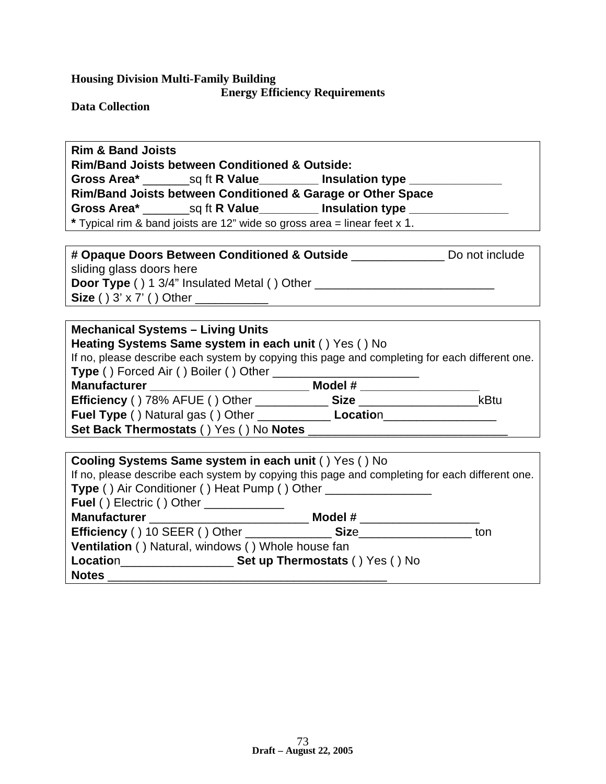**Energy Efficiency Requirements**

**Data Collection**

# **Rim & Band Joists**

**Rim/Band Joists between Conditioned & Outside:**

Gross Area\* **30 and Sq ft R Value Consulation type \_\_\_\_\_\_\_\_** 

**Rim/Band Joists between Conditioned & Garage or Other Space**

**Gross Area\*** \_\_\_\_\_\_\_sq ft **R Value\_\_\_\_\_\_\_\_\_ Insulation type \_\_\_\_\_\_\_\_\_\_\_\_\_\_\_**

**\*** Typical rim & band joists are 12" wide so gross area = linear feet x 1.

| # Opaque Doors Between Conditioned & Outside        | Do not include |
|-----------------------------------------------------|----------------|
| sliding glass doors here                            |                |
| <b>Door Type</b> () 1 3/4" Insulated Metal () Other |                |
| Size () $3' \times 7'$ () Other                     |                |

### **Mechanical Systems – Living Units**

**Heating Systems Same system in each unit** ( ) Yes ( ) No

If no, please describe each system by copying this page and completing for each different one. **Type** ( ) Forced Air ( ) Boiler ( ) Other \_\_\_\_\_\_\_\_\_\_\_\_\_\_\_\_\_\_\_\_\_\_

**Manufacturer Model # 2009 Model # 2009 Model # 2009 Model # 2009 Model # 2009 Model # 2009 Model # 2009 Model # 2009 Model # 2009 Model # 2009 Model # 2009 Model # 2009 Model # 2009 Model # 2009 Model # 2009 Model # 2009** 

**Efficiency** ( ) 78% AFUE ( ) Other \_\_\_\_\_\_\_\_\_\_\_ **Size** \_\_\_\_\_\_\_\_\_\_\_\_\_\_\_\_\_\_kBtu **Fuel Type** ( ) Natural gas ( ) Other \_\_\_\_\_\_\_\_\_\_\_ **Locatio**n\_\_\_\_\_\_\_\_\_\_\_\_\_\_\_\_\_

**Set Back Thermostats () Yes () No Notes \_** 

| Cooling Systems Same system in each unit () Yes () No<br>If no, please describe each system by copying this page and completing for each different one.<br>Type () Air Conditioner () Heat Pump () Other _____________________ |                                          |     |
|--------------------------------------------------------------------------------------------------------------------------------------------------------------------------------------------------------------------------------|------------------------------------------|-----|
| <b>Fuel () Electric () Other</b> _______________                                                                                                                                                                               |                                          |     |
| Manufacturer _____________________________                                                                                                                                                                                     |                                          |     |
|                                                                                                                                                                                                                                | Efficiency () 10 SEER () Other Size Size | ton |
| Ventilation () Natural, windows () Whole house fan                                                                                                                                                                             |                                          |     |
|                                                                                                                                                                                                                                |                                          |     |
| <b>Notes</b>                                                                                                                                                                                                                   |                                          |     |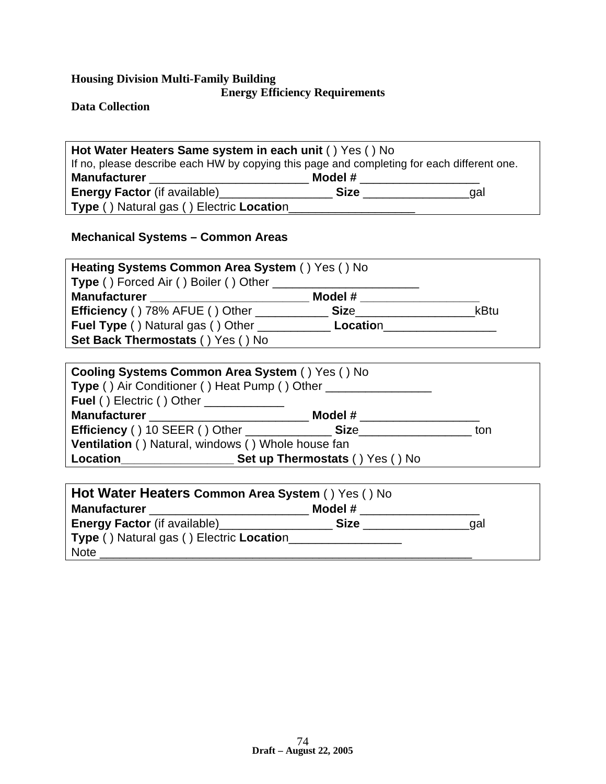**Energy Efficiency Requirements**

**Data Collection**

| Hot Water Heaters Same system in each unit () Yes () No                                    |             |     |  |
|--------------------------------------------------------------------------------------------|-------------|-----|--|
| If no, please describe each HW by copying this page and completing for each different one. |             |     |  |
| <b>Manufacturer</b>                                                                        | Model #     |     |  |
| <b>Energy Factor</b> (if available) <b>Energy Factor</b>                                   | <b>Size</b> | aal |  |
| Type () Natural gas () Electric Location                                                   |             |     |  |

# **Mechanical Systems – Common Areas**

| Heating Systems Common Area System () Yes () No      |         |      |
|------------------------------------------------------|---------|------|
| <b>Type ()</b> Forced Air () Boiler () Other         |         |      |
| <b>Manufacturer</b>                                  | Model # |      |
| <b>Efficiency () 78% AFUE () Other</b>               | Size    | kBtu |
| <b>Fuel Type () Natural gas () Other</b><br>Location |         |      |
| Set Back Thermostats () Yes () No                    |         |      |

| <b>Cooling Systems Common Area System () Yes () No</b>                                               |                                                             |     |  |
|------------------------------------------------------------------------------------------------------|-------------------------------------------------------------|-----|--|
| Type () Air Conditioner () Heat Pump () Other ___________________________________                    |                                                             |     |  |
| Fuel () Electric () Other _____________                                                              |                                                             |     |  |
| Model # 2000 and 2000 and 2000 and 2000 and 2000 and 2000 and 2000 and 2000 and 2000 and 2000 and 20 |                                                             |     |  |
|                                                                                                      | <b>Efficiency</b> () 10 SEER () Other <b>Size</b> Size Size | ton |  |
| Ventilation () Natural, windows () Whole house fan                                                   |                                                             |     |  |
| Set up Thermostats () Yes () No<br>Location                                                          |                                                             |     |  |
|                                                                                                      |                                                             |     |  |

| Hot Water Heaters Common Area System () Yes () No        |             |     |  |
|----------------------------------------------------------|-------------|-----|--|
| <b>Manufacturer</b>                                      | Model #     |     |  |
| <b>Energy Factor</b> (if available) <b>Energy Factor</b> | <b>Size</b> | aal |  |
| Type () Natural gas () Electric Location                 |             |     |  |
| <b>Note</b>                                              |             |     |  |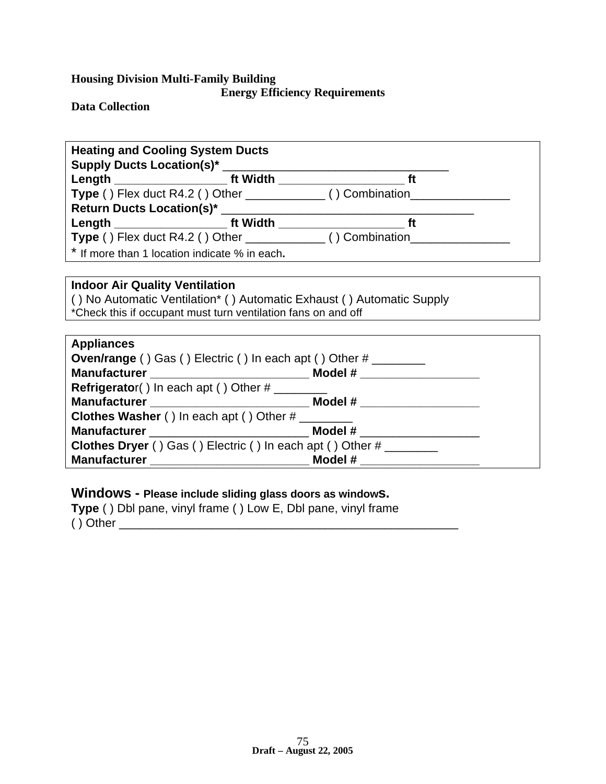**Energy Efficiency Requirements**

**Data Collection**

| <b>Heating and Cooling System Ducts</b>                                                                                                                                                                                        |  |  |  |  |
|--------------------------------------------------------------------------------------------------------------------------------------------------------------------------------------------------------------------------------|--|--|--|--|
| Supply Ducts Location(s)* _______                                                                                                                                                                                              |  |  |  |  |
|                                                                                                                                                                                                                                |  |  |  |  |
| Type () Flex duct R4.2 () Other ______________ () Combination_________                                                                                                                                                         |  |  |  |  |
|                                                                                                                                                                                                                                |  |  |  |  |
| Length ft Width ft Width the state of the state of the state of the state of the state of the state of the state of the state of the state of the state of the state of the state of the state of the state of the state of th |  |  |  |  |
|                                                                                                                                                                                                                                |  |  |  |  |
| * If more than 1 location indicate % in each.                                                                                                                                                                                  |  |  |  |  |

## **Indoor Air Quality Ventilation**

( ) No Automatic Ventilation\* ( ) Automatic Exhaust ( ) Automatic Supply \*Check this if occupant must turn ventilation fans on and off

| <b>Appliances</b>                                                  |                               |  |
|--------------------------------------------------------------------|-------------------------------|--|
| <b>Oven/range ()</b> Gas () Electric () In each apt () Other #     |                               |  |
|                                                                    |                               |  |
| <b>Refrigerator()</b> In each apt () Other #                       |                               |  |
|                                                                    |                               |  |
| <b>Clothes Washer ()</b> In each apt () Other #                    |                               |  |
| Manufacturer ______________________________                        | Model # _____________________ |  |
| Clothes Dryer () Gas () Electric () In each apt () Other # _______ |                               |  |
|                                                                    |                               |  |

# **Windows - Please include sliding glass doors as windows.**

**Type** ( ) Dbl pane, vinyl frame ( ) Low E, Dbl pane, vinyl frame ( ) Other \_\_\_\_\_\_\_\_\_\_\_\_\_\_\_\_\_\_\_\_\_\_\_\_\_\_\_\_\_\_\_\_\_\_\_\_\_\_\_\_\_\_\_\_\_\_\_\_\_\_\_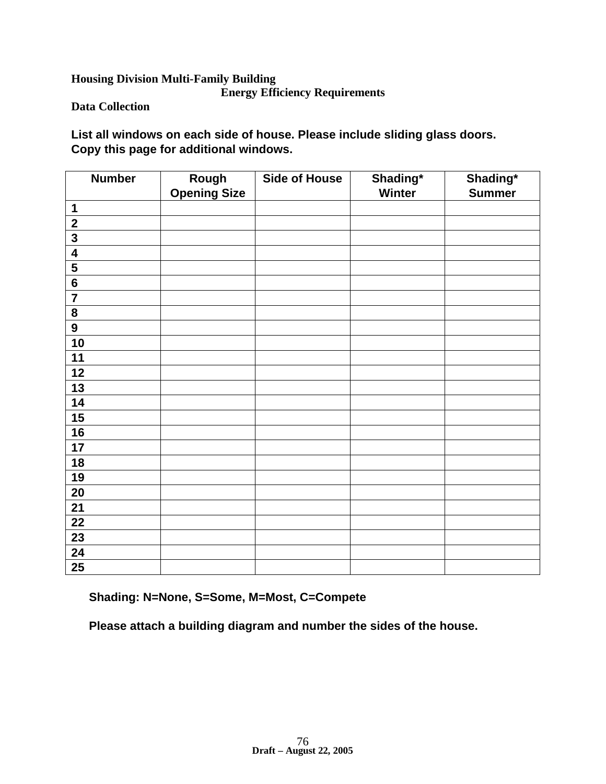### **Housing Division Multi-Family Building Energy Efficiency Requirements**

**Data Collection**

**List all windows on each side of house. Please include sliding glass doors. Copy this page for additional windows.**

| <b>Number</b>           | Rough<br><b>Opening Size</b> | <b>Side of House</b> | Shading*<br>Winter | Shading*<br><b>Summer</b> |
|-------------------------|------------------------------|----------------------|--------------------|---------------------------|
| $\mathbf 1$             |                              |                      |                    |                           |
| $\mathbf{2}$            |                              |                      |                    |                           |
| $\overline{\mathbf{3}}$ |                              |                      |                    |                           |
| $\overline{4}$          |                              |                      |                    |                           |
| $\overline{\mathbf{5}}$ |                              |                      |                    |                           |
| $\overline{\mathbf{6}}$ |                              |                      |                    |                           |
| $\overline{7}$          |                              |                      |                    |                           |
| 8                       |                              |                      |                    |                           |
| $\overline{9}$          |                              |                      |                    |                           |
| 10                      |                              |                      |                    |                           |
| 11                      |                              |                      |                    |                           |
| 12                      |                              |                      |                    |                           |
| 13                      |                              |                      |                    |                           |
| 14                      |                              |                      |                    |                           |
| 15                      |                              |                      |                    |                           |
| 16                      |                              |                      |                    |                           |
| 17                      |                              |                      |                    |                           |
| 18                      |                              |                      |                    |                           |
| 19                      |                              |                      |                    |                           |
| 20                      |                              |                      |                    |                           |
| 21                      |                              |                      |                    |                           |
| 22                      |                              |                      |                    |                           |
| 23                      |                              |                      |                    |                           |
| 24                      |                              |                      |                    |                           |
| $\overline{25}$         |                              |                      |                    |                           |

**Shading: N=None, S=Some, M=Most, C=Compete**

**Please attach a building diagram and number the sides of the house.**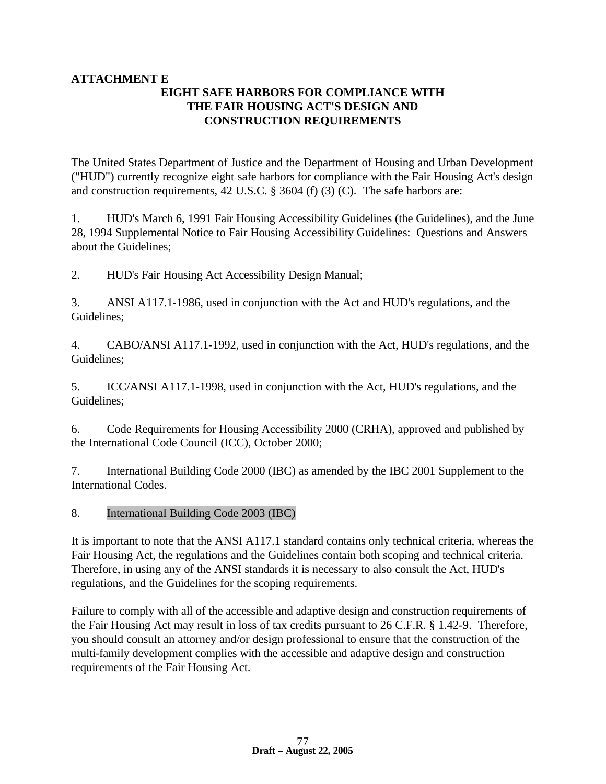#### **ATTACHMENT E EIGHT SAFE HARBORS FOR COMPLIANCE WITH THE FAIR HOUSING ACT'S DESIGN AND CONSTRUCTION REQUIREMENTS**

The United States Department of Justice and the Department of Housing and Urban Development ("HUD") currently recognize eight safe harbors for compliance with the Fair Housing Act's design and construction requirements, 42 U.S.C. § 3604 (f) (3) (C). The safe harbors are:

1. HUD's March 6, 1991 Fair Housing Accessibility Guidelines (the Guidelines), and the June 28, 1994 Supplemental Notice to Fair Housing Accessibility Guidelines: Questions and Answers about the Guidelines;

2. HUD's Fair Housing Act Accessibility Design Manual;

3. ANSI A117.1-1986, used in conjunction with the Act and HUD's regulations, and the Guidelines;

4. CABO/ANSI A117.1-1992, used in conjunction with the Act, HUD's regulations, and the Guidelines;

5. ICC/ANSI A117.1-1998, used in conjunction with the Act, HUD's regulations, and the Guidelines;

6. Code Requirements for Housing Accessibility 2000 (CRHA), approved and published by the International Code Council (ICC), October 2000;

7. International Building Code 2000 (IBC) as amended by the IBC 2001 Supplement to the International Codes.

8. International Building Code 2003 (IBC)

It is important to note that the ANSI A117.1 standard contains only technical criteria, whereas the Fair Housing Act, the regulations and the Guidelines contain both scoping and technical criteria. Therefore, in using any of the ANSI standards it is necessary to also consult the Act, HUD's regulations, and the Guidelines for the scoping requirements.

Failure to comply with all of the accessible and adaptive design and construction requirements of the Fair Housing Act may result in loss of tax credits pursuant to 26 C.F.R. § 1.42-9. Therefore, you should consult an attorney and/or design professional to ensure that the construction of the multi-family development complies with the accessible and adaptive design and construction requirements of the Fair Housing Act.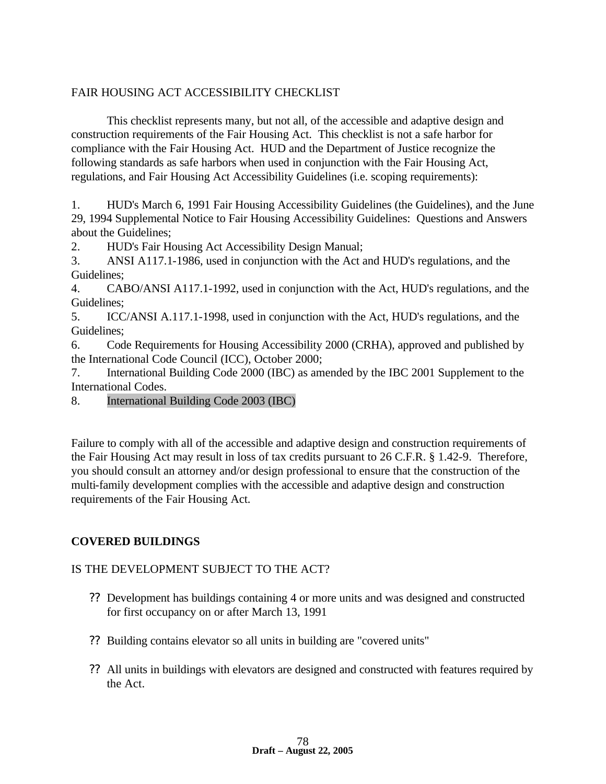### FAIR HOUSING ACT ACCESSIBILITY CHECKLIST

This checklist represents many, but not all, of the accessible and adaptive design and construction requirements of the Fair Housing Act. This checklist is not a safe harbor for compliance with the Fair Housing Act. HUD and the Department of Justice recognize the following standards as safe harbors when used in conjunction with the Fair Housing Act, regulations, and Fair Housing Act Accessibility Guidelines (i.e. scoping requirements):

1. HUD's March 6, 1991 Fair Housing Accessibility Guidelines (the Guidelines), and the June 29, 1994 Supplemental Notice to Fair Housing Accessibility Guidelines: Questions and Answers about the Guidelines;

2. HUD's Fair Housing Act Accessibility Design Manual;

3. ANSI A117.1-1986, used in conjunction with the Act and HUD's regulations, and the Guidelines;

4. CABO/ANSI A117.1-1992, used in conjunction with the Act, HUD's regulations, and the Guidelines;

5. ICC/ANSI A.117.1-1998, used in conjunction with the Act, HUD's regulations, and the Guidelines;

6. Code Requirements for Housing Accessibility 2000 (CRHA), approved and published by the International Code Council (ICC), October 2000;

7. International Building Code 2000 (IBC) as amended by the IBC 2001 Supplement to the International Codes.

#### 8. International Building Code 2003 (IBC)

Failure to comply with all of the accessible and adaptive design and construction requirements of the Fair Housing Act may result in loss of tax credits pursuant to 26 C.F.R. § 1.42-9. Therefore, you should consult an attorney and/or design professional to ensure that the construction of the multi-family development complies with the accessible and adaptive design and construction requirements of the Fair Housing Act.

## **COVERED BUILDINGS**

#### IS THE DEVELOPMENT SUBJECT TO THE ACT?

- ?? Development has buildings containing 4 or more units and was designed and constructed for first occupancy on or after March 13, 1991
- ?? Building contains elevator so all units in building are "covered units"
- ?? All units in buildings with elevators are designed and constructed with features required by the Act.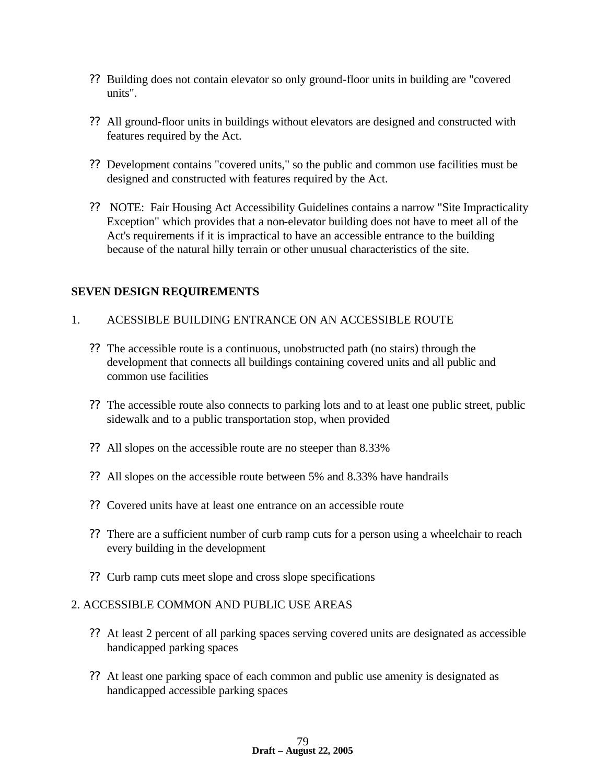- ?? Building does not contain elevator so only ground-floor units in building are "covered units".
- ?? All ground-floor units in buildings without elevators are designed and constructed with features required by the Act.
- ?? Development contains "covered units," so the public and common use facilities must be designed and constructed with features required by the Act.
- ?? NOTE: Fair Housing Act Accessibility Guidelines contains a narrow "Site Impracticality Exception" which provides that a non-elevator building does not have to meet all of the Act's requirements if it is impractical to have an accessible entrance to the building because of the natural hilly terrain or other unusual characteristics of the site.

#### **SEVEN DESIGN REQUIREMENTS**

#### 1. ACESSIBLE BUILDING ENTRANCE ON AN ACCESSIBLE ROUTE

- ?? The accessible route is a continuous, unobstructed path (no stairs) through the development that connects all buildings containing covered units and all public and common use facilities
- ?? The accessible route also connects to parking lots and to at least one public street, public sidewalk and to a public transportation stop, when provided
- ?? All slopes on the accessible route are no steeper than 8.33%
- ?? All slopes on the accessible route between 5% and 8.33% have handrails
- ?? Covered units have at least one entrance on an accessible route
- ?? There are a sufficient number of curb ramp cuts for a person using a wheelchair to reach every building in the development
- ?? Curb ramp cuts meet slope and cross slope specifications

#### 2. ACCESSIBLE COMMON AND PUBLIC USE AREAS

- ?? At least 2 percent of all parking spaces serving covered units are designated as accessible handicapped parking spaces
- ?? At least one parking space of each common and public use amenity is designated as handicapped accessible parking spaces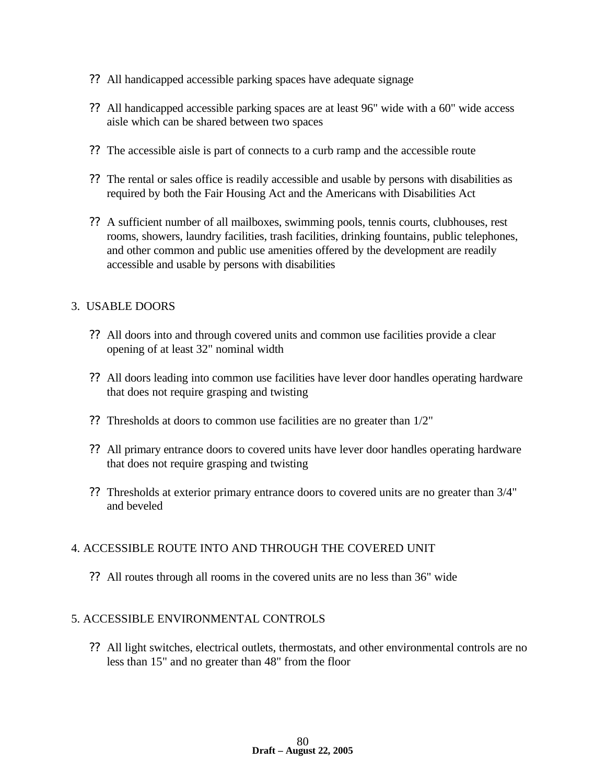- ?? All handicapped accessible parking spaces have adequate signage
- ?? All handicapped accessible parking spaces are at least 96" wide with a 60" wide access aisle which can be shared between two spaces
- ?? The accessible aisle is part of connects to a curb ramp and the accessible route
- ?? The rental or sales office is readily accessible and usable by persons with disabilities as required by both the Fair Housing Act and the Americans with Disabilities Act
- ?? A sufficient number of all mailboxes, swimming pools, tennis courts, clubhouses, rest rooms, showers, laundry facilities, trash facilities, drinking fountains, public telephones, and other common and public use amenities offered by the development are readily accessible and usable by persons with disabilities

#### 3. USABLE DOORS

- ?? All doors into and through covered units and common use facilities provide a clear opening of at least 32" nominal width
- ?? All doors leading into common use facilities have lever door handles operating hardware that does not require grasping and twisting
- ?? Thresholds at doors to common use facilities are no greater than 1/2"
- ?? All primary entrance doors to covered units have lever door handles operating hardware that does not require grasping and twisting
- ?? Thresholds at exterior primary entrance doors to covered units are no greater than 3/4" and beveled

#### 4. ACCESSIBLE ROUTE INTO AND THROUGH THE COVERED UNIT

?? All routes through all rooms in the covered units are no less than 36" wide

#### 5. ACCESSIBLE ENVIRONMENTAL CONTROLS

?? All light switches, electrical outlets, thermostats, and other environmental controls are no less than 15" and no greater than 48" from the floor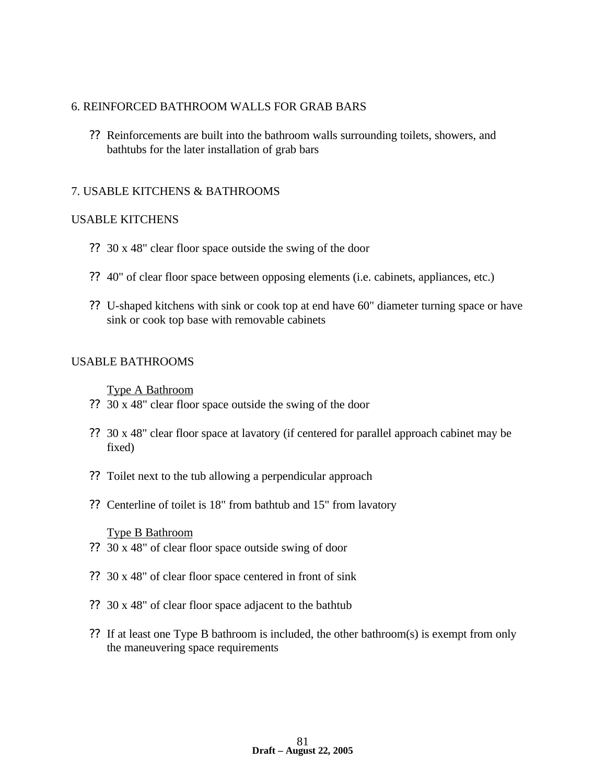#### 6. REINFORCED BATHROOM WALLS FOR GRAB BARS

?? Reinforcements are built into the bathroom walls surrounding toilets, showers, and bathtubs for the later installation of grab bars

#### 7. USABLE KITCHENS & BATHROOMS

#### USABLE KITCHENS

- ?? 30 x 48" clear floor space outside the swing of the door
- ?? 40" of clear floor space between opposing elements (i.e. cabinets, appliances, etc.)
- ?? U-shaped kitchens with sink or cook top at end have 60" diameter turning space or have sink or cook top base with removable cabinets

#### USABLE BATHROOMS

Type A Bathroom

- ?? 30 x 48" clear floor space outside the swing of the door
- ?? 30 x 48" clear floor space at lavatory (if centered for parallel approach cabinet may be fixed)
- ?? Toilet next to the tub allowing a perpendicular approach
- ?? Centerline of toilet is 18" from bathtub and 15" from lavatory

#### Type B Bathroom

- ?? 30 x 48" of clear floor space outside swing of door
- ?? 30 x 48" of clear floor space centered in front of sink
- ?? 30 x 48" of clear floor space adjacent to the bathtub
- ?? If at least one Type B bathroom is included, the other bathroom(s) is exempt from only the maneuvering space requirements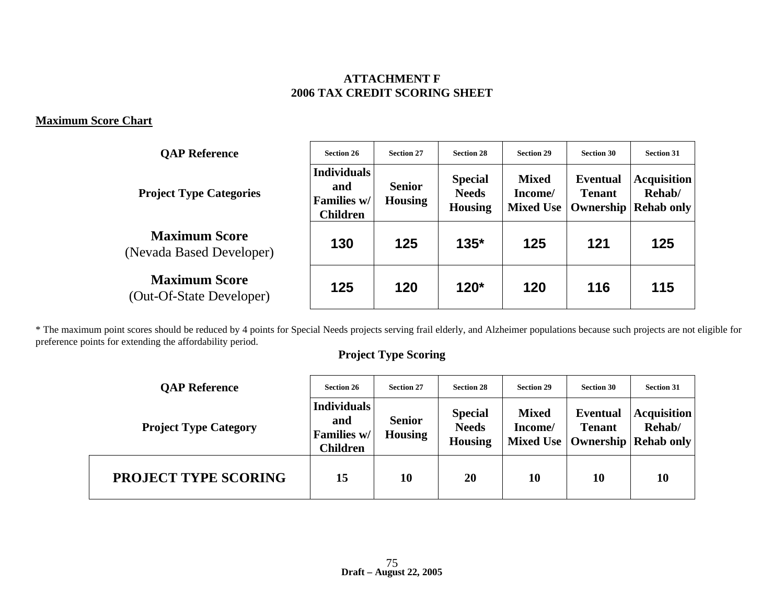### **ATTACHMENT F 2006 TAX CREDIT SCORING SHEET**

#### **Maximum Score Chart**

| <b>OAP Reference</b>                             | <b>Section 26</b>                                           | <b>Section 27</b>               | <b>Section 28</b>                                | <b>Section 29</b>                           | <b>Section 30</b>                             | <b>Section 31</b>                                 |
|--------------------------------------------------|-------------------------------------------------------------|---------------------------------|--------------------------------------------------|---------------------------------------------|-----------------------------------------------|---------------------------------------------------|
| <b>Project Type Categories</b>                   | <b>Individuals</b><br>and<br>Families w/<br><b>Children</b> | <b>Senior</b><br><b>Housing</b> | <b>Special</b><br><b>Needs</b><br><b>Housing</b> | <b>Mixed</b><br>Income/<br><b>Mixed Use</b> | <b>Eventual</b><br><b>Tenant</b><br>Ownership | <b>Acquisition</b><br>Rehab/<br><b>Rehab only</b> |
| <b>Maximum Score</b><br>(Nevada Based Developer) | 130                                                         | 125                             | $135*$                                           | 125                                         | 121                                           | 125                                               |
| <b>Maximum Score</b><br>(Out-Of-State Developer) | 125                                                         | 120                             | $120*$                                           | 120                                         | 116                                           | 115                                               |

\* The maximum point scores should be reduced by 4 points for Special Needs projects serving frail elderly, and Alzheimer populations because such projects are not eligible for preference points for extending the affordability period.

# **Project Type Scoring**

| <b>OAP Reference</b>         | <b>Section 26</b>                                                                              | <b>Section 27</b> | <b>Section 28</b>                                | <b>Section 29</b>       | <b>Section 30</b>                                                      | <b>Section 31</b>            |
|------------------------------|------------------------------------------------------------------------------------------------|-------------------|--------------------------------------------------|-------------------------|------------------------------------------------------------------------|------------------------------|
| <b>Project Type Category</b> | <b>Individuals</b><br><b>Senior</b><br>and<br><b>Housing</b><br>Families w/<br><b>Children</b> |                   | <b>Special</b><br><b>Needs</b><br><b>Housing</b> | <b>Mixed</b><br>Income/ | <b>Eventual</b><br><b>Tenant</b><br>Mixed Use   Ownership   Rehab only | <b>Acquisition</b><br>Rehab/ |
| <b>PROJECT TYPE SCORING</b>  | 15                                                                                             | 10                | 20                                               | 10                      | 10                                                                     | 10                           |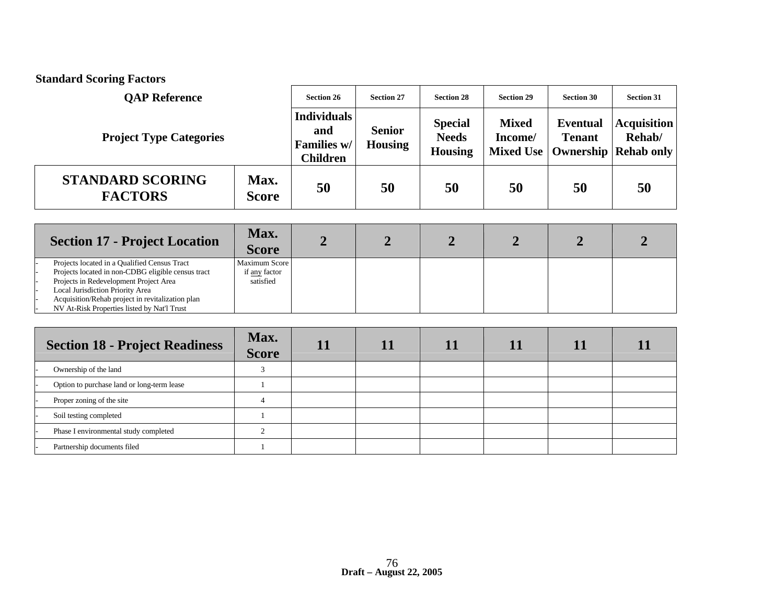| <b>Standard Scoring Factors</b>                                                                                                                                                                                                      |                                             |                                                             |                                 |                                                  |                                      |                                                      |                                                   |
|--------------------------------------------------------------------------------------------------------------------------------------------------------------------------------------------------------------------------------------|---------------------------------------------|-------------------------------------------------------------|---------------------------------|--------------------------------------------------|--------------------------------------|------------------------------------------------------|---------------------------------------------------|
| <b>OAP Reference</b>                                                                                                                                                                                                                 |                                             | <b>Section 26</b>                                           | <b>Section 27</b>               | <b>Section 28</b>                                | <b>Section 29</b>                    | <b>Section 30</b>                                    | <b>Section 31</b>                                 |
| <b>Project Type Categories</b>                                                                                                                                                                                                       |                                             | <b>Individuals</b><br>and<br>Families w/<br><b>Children</b> | <b>Senior</b><br><b>Housing</b> | <b>Special</b><br><b>Needs</b><br><b>Housing</b> | <b>Mixed</b><br>Income/<br>Mixed Use | <b>Eventual</b><br><b>Tenant</b><br><b>Ownership</b> | <b>Acquisition</b><br>Rehab/<br><b>Rehab only</b> |
| <b>STANDARD SCORING</b><br><b>FACTORS</b>                                                                                                                                                                                            | Max.<br><b>Score</b>                        | 50                                                          | 50                              | 50                                               | 50                                   | 50                                                   | 50                                                |
| <b>Section 17 - Project Location</b>                                                                                                                                                                                                 | Max.<br><b>Score</b>                        | $\overline{2}$                                              | $\overline{2}$                  | $\overline{2}$                                   | $\overline{2}$                       | $\overline{2}$                                       |                                                   |
| Projects located in a Qualified Census Tract<br>Projects located in non-CDBG eligible census tract<br>Projects in Redevelopment Project Area<br>Local Jurisdiction Priority Area<br>Acquisition/Rehab project in revitalization plan | Maximum Score<br>if any factor<br>satisfied |                                                             |                                 |                                                  |                                      |                                                      |                                                   |

| <b>Section 18 - Project Readiness</b>      | Max.<br><b>Score</b> |  |  |  |
|--------------------------------------------|----------------------|--|--|--|
| Ownership of the land                      |                      |  |  |  |
| Option to purchase land or long-term lease |                      |  |  |  |
| Proper zoning of the site                  |                      |  |  |  |
| Soil testing completed                     |                      |  |  |  |
| Phase I environmental study completed      |                      |  |  |  |
| Partnership documents filed                |                      |  |  |  |

- NV At-Risk Properties listed by Nat'l Trust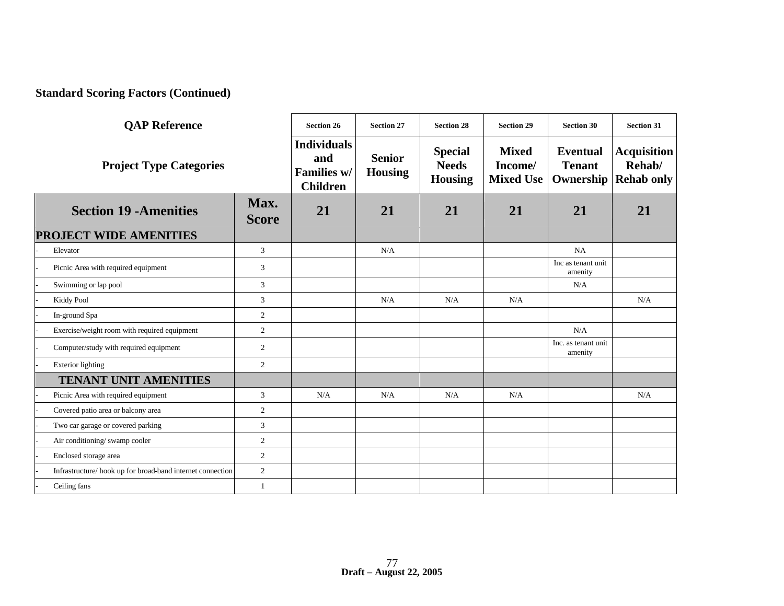# **Standard Scoring Factors (Continued)**

| <b>QAP</b> Reference                                      |                      | <b>Section 26</b>                                           | <b>Section 27</b>               | <b>Section 28</b>                                | <b>Section 29</b>                           | <b>Section 30</b>                             | <b>Section 31</b>                                 |
|-----------------------------------------------------------|----------------------|-------------------------------------------------------------|---------------------------------|--------------------------------------------------|---------------------------------------------|-----------------------------------------------|---------------------------------------------------|
| <b>Project Type Categories</b>                            |                      | <b>Individuals</b><br>and<br>Families w/<br><b>Children</b> | <b>Senior</b><br><b>Housing</b> | <b>Special</b><br><b>Needs</b><br><b>Housing</b> | <b>Mixed</b><br>Income/<br><b>Mixed Use</b> | <b>Eventual</b><br><b>Tenant</b><br>Ownership | <b>Acquisition</b><br>Rehab/<br><b>Rehab only</b> |
| <b>Section 19 - Amenities</b>                             | Max.<br><b>Score</b> | 21                                                          | 21                              | 21                                               | 21                                          | 21                                            | 21                                                |
| <b>PROJECT WIDE AMENITIES</b>                             |                      |                                                             |                                 |                                                  |                                             |                                               |                                                   |
| Elevator                                                  | 3                    |                                                             | N/A                             |                                                  |                                             | NA                                            |                                                   |
| Picnic Area with required equipment                       | 3                    |                                                             |                                 |                                                  |                                             | Inc as tenant unit<br>amenity                 |                                                   |
| Swimming or lap pool                                      | $\mathbf{3}$         |                                                             |                                 |                                                  |                                             | N/A                                           |                                                   |
| Kiddy Pool                                                | 3                    |                                                             | N/A                             | N/A                                              | N/A                                         |                                               | N/A                                               |
| In-ground Spa                                             | $\overline{2}$       |                                                             |                                 |                                                  |                                             |                                               |                                                   |
| Exercise/weight room with required equipment              | 2                    |                                                             |                                 |                                                  |                                             | N/A                                           |                                                   |
| Computer/study with required equipment                    | 2                    |                                                             |                                 |                                                  |                                             | Inc. as tenant unit<br>amenity                |                                                   |
| <b>Exterior lighting</b>                                  | 2                    |                                                             |                                 |                                                  |                                             |                                               |                                                   |
| <b>TENANT UNIT AMENITIES</b>                              |                      |                                                             |                                 |                                                  |                                             |                                               |                                                   |
| Picnic Area with required equipment                       | 3                    | N/A                                                         | N/A                             | N/A                                              | N/A                                         |                                               | N/A                                               |
| Covered patio area or balcony area                        | $\sqrt{2}$           |                                                             |                                 |                                                  |                                             |                                               |                                                   |
| Two car garage or covered parking                         | $\overline{3}$       |                                                             |                                 |                                                  |                                             |                                               |                                                   |
| Air conditioning/swamp cooler                             | 2                    |                                                             |                                 |                                                  |                                             |                                               |                                                   |
| Enclosed storage area                                     | $\overline{2}$       |                                                             |                                 |                                                  |                                             |                                               |                                                   |
| Infrastructure/hook up for broad-band internet connection | $\overline{2}$       |                                                             |                                 |                                                  |                                             |                                               |                                                   |
| Ceiling fans                                              | $\overline{1}$       |                                                             |                                 |                                                  |                                             |                                               |                                                   |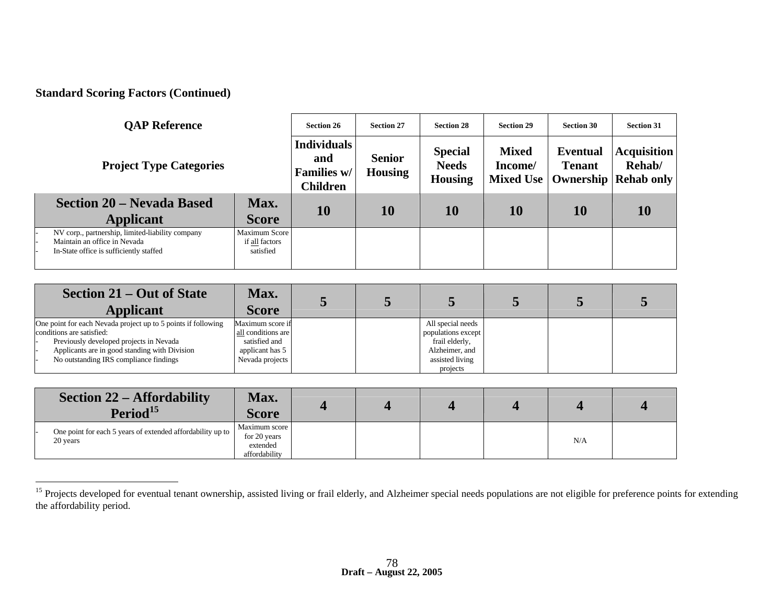# **Standard Scoring Factors (Continued)**

 $\overline{a}$ 

| <b>OAP Reference</b>                                                                                                        | <b>Section 26</b>                            | <b>Section 27</b>                                           | <b>Section 28</b>               | <b>Section 29</b>                                | <b>Section 30</b>                           | <b>Section 31</b>                |                                                                 |
|-----------------------------------------------------------------------------------------------------------------------------|----------------------------------------------|-------------------------------------------------------------|---------------------------------|--------------------------------------------------|---------------------------------------------|----------------------------------|-----------------------------------------------------------------|
| <b>Project Type Categories</b>                                                                                              |                                              | <b>Individuals</b><br>and<br>Families w/<br><b>Children</b> | <b>Senior</b><br><b>Housing</b> | <b>Special</b><br><b>Needs</b><br><b>Housing</b> | <b>Mixed</b><br>Income/<br><b>Mixed Use</b> | <b>Eventual</b><br><b>Tenant</b> | <b>Acquisition</b><br>Rehab/<br><b>Ownership   Rehab only  </b> |
| Section 20 – Nevada Based<br><b>Applicant</b>                                                                               | Max.<br><b>Score</b>                         | 10                                                          | 10                              | 10                                               | 10                                          | 10                               | 10                                                              |
| NV corp., partnership, limited-liability company<br>Maintain an office in Nevada<br>In-State office is sufficiently staffed | Maximum Score<br>if all factors<br>satisfied |                                                             |                                 |                                                  |                                             |                                  |                                                                 |

| Section 21 – Out of State<br><b>Applicant</b>                 | Max.<br><b>Score</b> |  |                    |  |  |
|---------------------------------------------------------------|----------------------|--|--------------------|--|--|
| One point for each Nevada project up to 5 points if following | Maximum score if     |  | All special needs  |  |  |
| conditions are satisfied:                                     | all conditions are   |  | populations except |  |  |
| Previously developed projects in Nevada                       | satisfied and        |  | frail elderly,     |  |  |
| Applicants are in good standing with Division                 | applicant has 5      |  | Alzheimer, and     |  |  |
| No outstanding IRS compliance findings                        | Nevada projects      |  | assisted living    |  |  |
|                                                               |                      |  | projects           |  |  |

| <b>Section 22 – Affordability</b><br>Period <sup>15</sup>              | Max.<br>Score                                              |  |  |     |  |
|------------------------------------------------------------------------|------------------------------------------------------------|--|--|-----|--|
| One point for each 5 years of extended affordability up to<br>20 years | Maximum score<br>for 20 years<br>extended<br>affordability |  |  | N/A |  |

<sup>&</sup>lt;sup>15</sup> Projects developed for eventual tenant ownership, assisted living or frail elderly, and Alzheimer special needs populations are not eligible for preference points for extending the affordability period.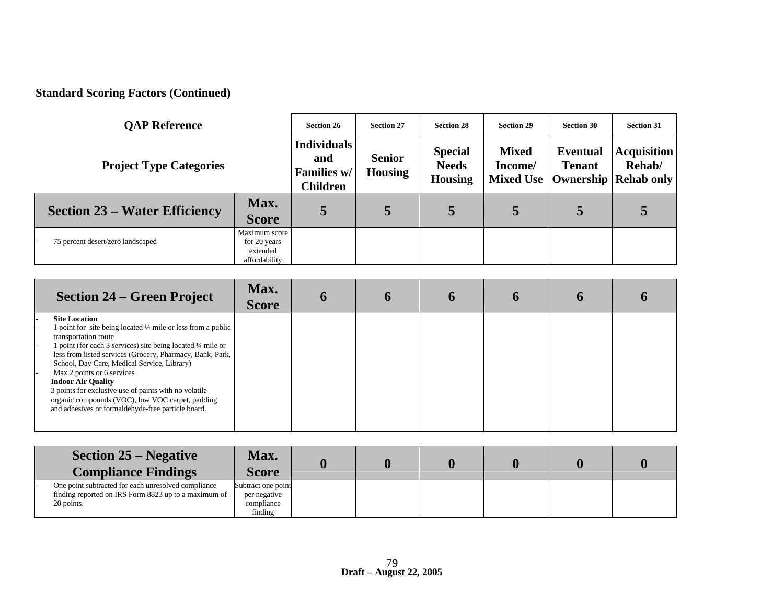# **Standard Scoring Factors (Continued)**

| <b>OAP Reference</b>                 | <b>Section 26</b>                                          | <b>Section 27</b>                                           | <b>Section 28</b>               | <b>Section 29</b>                                | <b>Section 30</b>                    | <b>Section 31</b>                |                                                                 |
|--------------------------------------|------------------------------------------------------------|-------------------------------------------------------------|---------------------------------|--------------------------------------------------|--------------------------------------|----------------------------------|-----------------------------------------------------------------|
| <b>Project Type Categories</b>       |                                                            | <b>Individuals</b><br>and<br>Families w/<br><b>Children</b> | <b>Senior</b><br><b>Housing</b> | <b>Special</b><br><b>Needs</b><br><b>Housing</b> | <b>Mixed</b><br>Income/<br>Mixed Use | <b>Eventual</b><br><b>Tenant</b> | <b>Acquisition</b><br>Rehab/<br><b>Ownership   Rehab only  </b> |
| <b>Section 23 – Water Efficiency</b> | Max.<br><b>Score</b>                                       | 5                                                           | 5                               | 5                                                | 5                                    | 5                                | 5                                                               |
| 75 percent desert/zero landscaped    | Maximum score<br>for 20 years<br>extended<br>affordability |                                                             |                                 |                                                  |                                      |                                  |                                                                 |

| <b>Section 24 – Green Project</b>                                                                                                                                                                                                                                                                                                                                                                                                                                                                                       | Max.<br><b>Score</b> |  |  |  |
|-------------------------------------------------------------------------------------------------------------------------------------------------------------------------------------------------------------------------------------------------------------------------------------------------------------------------------------------------------------------------------------------------------------------------------------------------------------------------------------------------------------------------|----------------------|--|--|--|
| <b>Site Location</b><br>1 point for site being located 1/4 mile or less from a public<br>transportation route<br>1 point (for each 3 services) site being located 1/4 mile or<br>less from listed services (Grocery, Pharmacy, Bank, Park,<br>School, Day Care, Medical Service, Library)<br>Max 2 points or 6 services<br><b>Indoor Air Quality</b><br>3 points for exclusive use of paints with no volatile<br>organic compounds (VOC), low VOC carpet, padding<br>and adhesives or formaldehyde-free particle board. |                      |  |  |  |

| <b>Section 25 – Negative</b><br><b>Compliance Findings</b>                                                                    | Max.<br><b>Score</b>                                        |  |  |  |
|-------------------------------------------------------------------------------------------------------------------------------|-------------------------------------------------------------|--|--|--|
| One point subtracted for each unresolved compliance<br>finding reported on IRS Form 8823 up to a maximum of $-$<br>20 points. | Subtract one point<br>per negative<br>compliance<br>finding |  |  |  |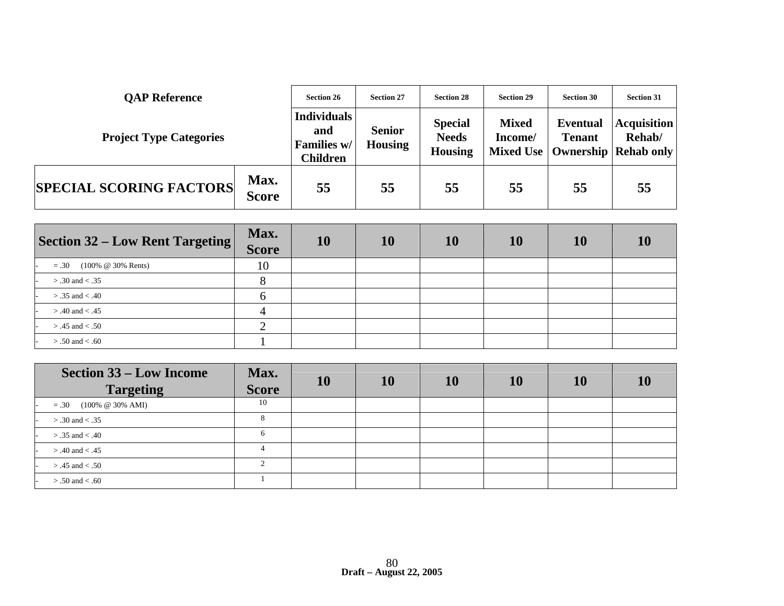| <b>QAP Reference</b>           |                                                             | <b>Section 26</b> | <b>Section 27</b>               | <b>Section 28</b>                                | <b>Section 29</b>       | <b>Section 30</b>                | <b>Section 31</b>                                                  |
|--------------------------------|-------------------------------------------------------------|-------------------|---------------------------------|--------------------------------------------------|-------------------------|----------------------------------|--------------------------------------------------------------------|
| <b>Project Type Categories</b> | <b>Individuals</b><br>and<br>Families w/<br><b>Children</b> |                   | <b>Senior</b><br><b>Housing</b> | <b>Special</b><br><b>Needs</b><br><b>Housing</b> | <b>Mixed</b><br>Income/ | <b>Eventual</b><br><b>Tenant</b> | <b>Acquisition</b><br>Rehab/<br>Mixed Use   Ownership   Rehab only |
| <b>SPECIAL SCORING FACTORS</b> | Max.<br><b>Score</b>                                        | 55                | 55                              | 55                                               | 55                      | 55                               | 55                                                                 |

| Section 32 – Low Rent Targeting        | Max.<br><b>Score</b> | 10 | 10 | 10 | 10 | 10 | 10 |
|----------------------------------------|----------------------|----|----|----|----|----|----|
| $(100\% \ @ \ 30\% \$ Rents)<br>$=.30$ | 10                   |    |    |    |    |    |    |
| $> .30$ and $< .35$                    |                      |    |    |    |    |    |    |
| $> .35$ and $< .40$                    |                      |    |    |    |    |    |    |
| $> .40$ and $< .45$                    |                      |    |    |    |    |    |    |
| $> .45$ and $< .50$                    | ◠                    |    |    |    |    |    |    |
| $> .50$ and $< .60$                    |                      |    |    |    |    |    |    |

| <b>Section 33 – Low Income</b><br><b>Targeting</b> | Max.<br><b>Score</b> | 10 | 10 | 10 | 10 | 10 |  |
|----------------------------------------------------|----------------------|----|----|----|----|----|--|
| $=.30$ (100% @ 30% AMI)                            | 10                   |    |    |    |    |    |  |
| $> .30$ and $< .35$                                |                      |    |    |    |    |    |  |
| $> .35$ and $< .40$                                | 6                    |    |    |    |    |    |  |
| $> .40$ and $< .45$                                |                      |    |    |    |    |    |  |
| $> .45$ and $< .50$                                |                      |    |    |    |    |    |  |
| $> .50$ and $< .60$                                |                      |    |    |    |    |    |  |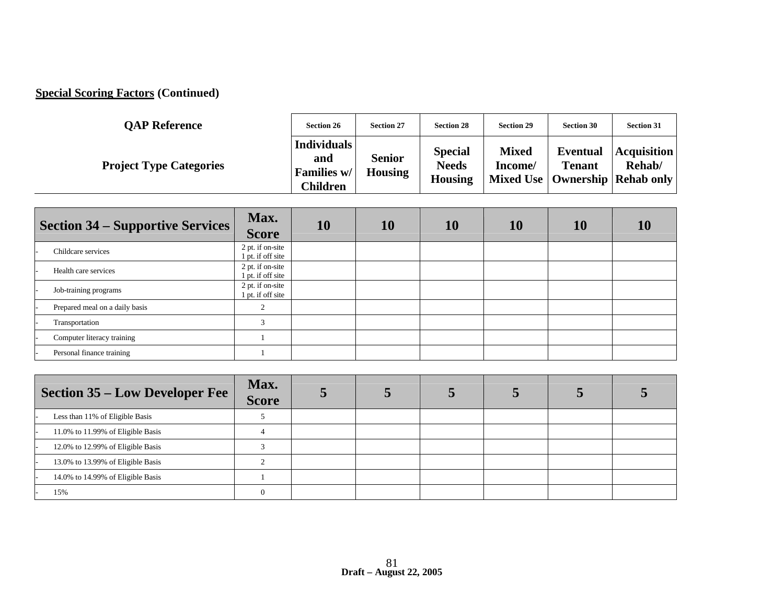# **Special Scoring Factors (Continued)**

| <b>OAP Reference</b>           | <b>Section 26</b>                                    | <b>Section 27</b>               | <b>Section 28</b>                                | <b>Section 29</b>       | <b>Section 30</b>                | <b>Section 31</b>                                                  |
|--------------------------------|------------------------------------------------------|---------------------------------|--------------------------------------------------|-------------------------|----------------------------------|--------------------------------------------------------------------|
| <b>Project Type Categories</b> | <b>Individuals</b><br>and<br>Families w/<br>Children | <b>Senior</b><br><b>Housing</b> | <b>Special</b><br><b>Needs</b><br><b>Housing</b> | <b>Mixed</b><br>Income/ | <b>Eventual</b><br><b>Tenant</b> | <b>Acquisition</b><br>Rehab/<br>Mixed Use   Ownership   Rehab only |

| <b>Section 34 – Supportive Services</b> | Max.<br><b>Score</b>                  | 10 | 10 | 10 | 10 | 10 |  |
|-----------------------------------------|---------------------------------------|----|----|----|----|----|--|
| Childcare services                      | 2 pt. if on-site<br>1 pt. if off site |    |    |    |    |    |  |
| Health care services                    | 2 pt. if on-site<br>1 pt. if off site |    |    |    |    |    |  |
| Job-training programs                   | 2 pt. if on-site<br>1 pt. if off site |    |    |    |    |    |  |
| Prepared meal on a daily basis          | $\overline{2}$                        |    |    |    |    |    |  |
| Transportation                          | 3                                     |    |    |    |    |    |  |
| Computer literacy training              |                                       |    |    |    |    |    |  |
| Personal finance training               |                                       |    |    |    |    |    |  |

| <b>Section 35 – Low Developer Fee</b> | Max.<br><b>Score</b> |  |  |  |
|---------------------------------------|----------------------|--|--|--|
| Less than 11% of Eligible Basis       |                      |  |  |  |
| 11.0% to 11.99% of Eligible Basis     |                      |  |  |  |
| 12.0% to 12.99% of Eligible Basis     |                      |  |  |  |
| 13.0% to 13.99% of Eligible Basis     |                      |  |  |  |
| 14.0% to 14.99% of Eligible Basis     |                      |  |  |  |
| 15%                                   |                      |  |  |  |